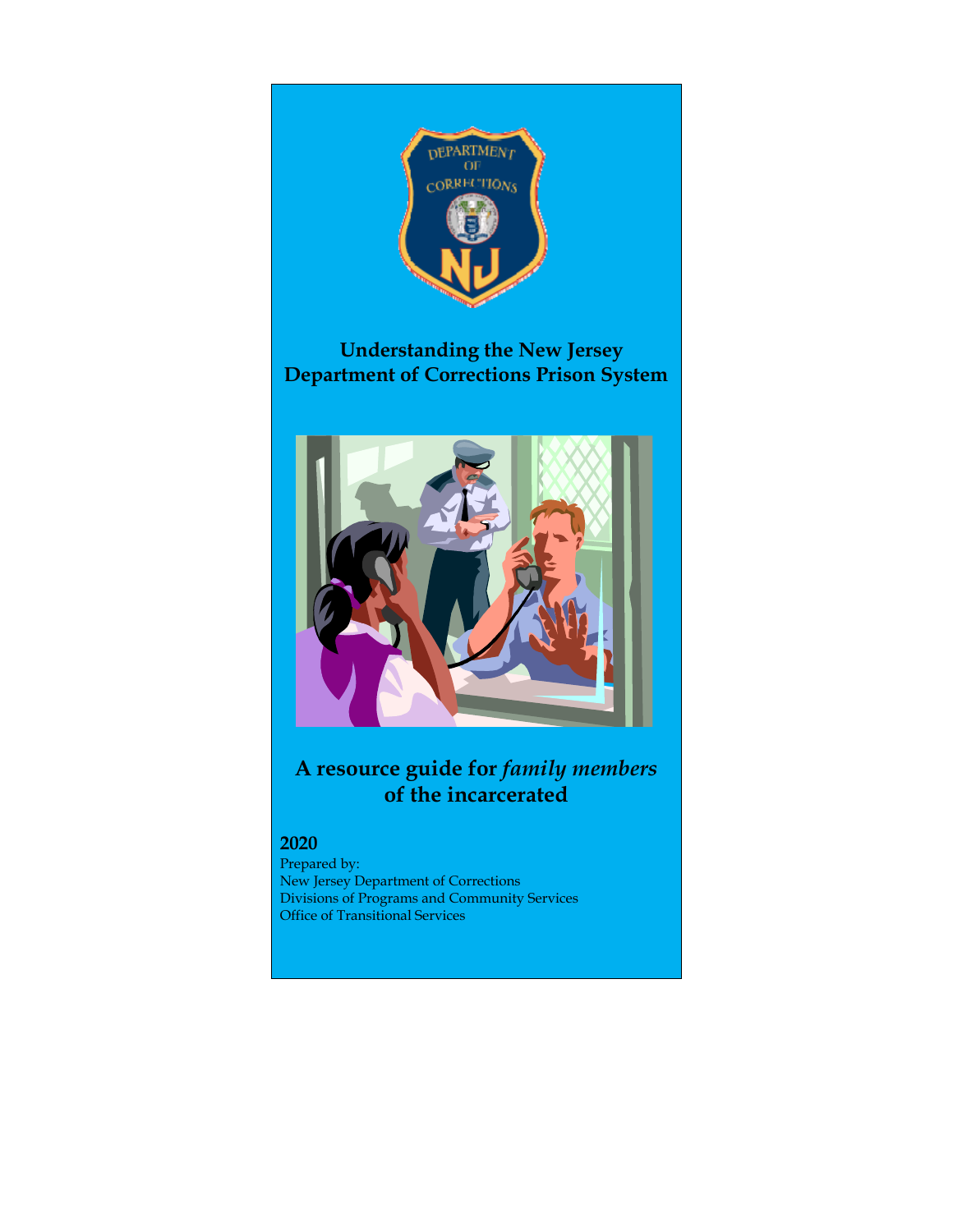

# **Understanding the New Jersey Department of Corrections Prison System**



# **A resource guide for** *family members* **of the incarcerated**

# **2020**

Prepared by: New Jersey Department of Corrections Divisions of Programs and Community Services Office of Transitional Services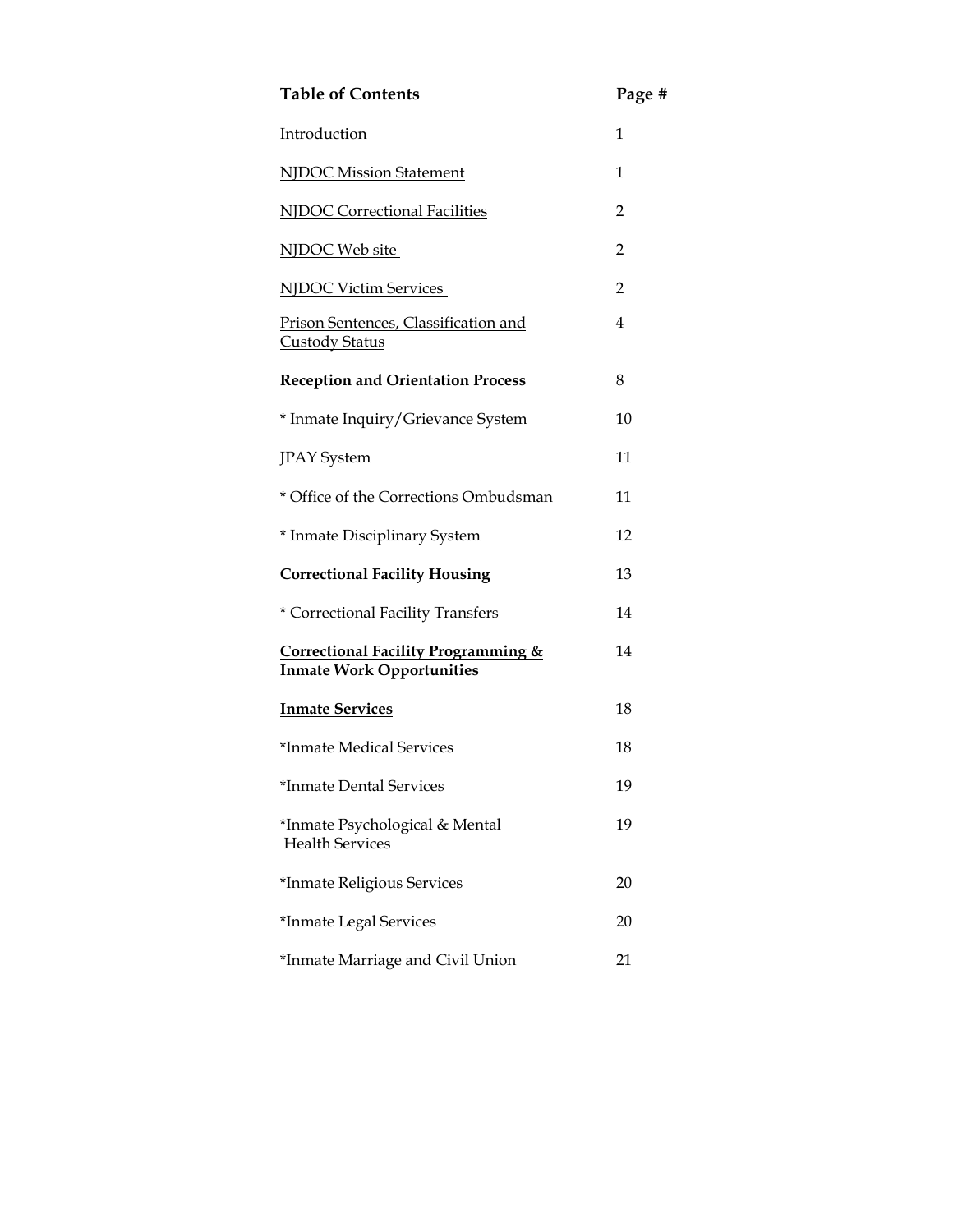| <b>Table of Contents</b>                                                           | Page #         |
|------------------------------------------------------------------------------------|----------------|
| Introduction                                                                       | 1              |
| NJDOC Mission Statement                                                            | 1              |
| <b>NJDOC Correctional Facilities</b>                                               | $\overline{2}$ |
| NJDOC Web site                                                                     | 2              |
| <b>NJDOC Victim Services</b>                                                       | $\overline{2}$ |
| Prison Sentences, Classification and<br><b>Custody Status</b>                      | 4              |
| <b>Reception and Orientation Process</b>                                           | 8              |
| * Inmate Inquiry/Grievance System                                                  | 10             |
| <b>JPAY</b> System                                                                 | 11             |
| * Office of the Corrections Ombudsman                                              | 11             |
| * Inmate Disciplinary System                                                       | 12             |
| <b>Correctional Facility Housing</b>                                               | 13             |
| * Correctional Facility Transfers                                                  | 14             |
| <b>Correctional Facility Programming &amp;</b><br><b>Inmate Work Opportunities</b> | 14             |
| <b>Inmate Services</b>                                                             | 18             |
| *Inmate Medical Services                                                           | 18             |
| *Inmate Dental Services                                                            | 19             |
| *Inmate Psychological & Mental<br><b>Health Services</b>                           | 19             |
| *Inmate Religious Services                                                         | 20             |
| *Inmate Legal Services                                                             | 20             |
| *Inmate Marriage and Civil Union                                                   | 21             |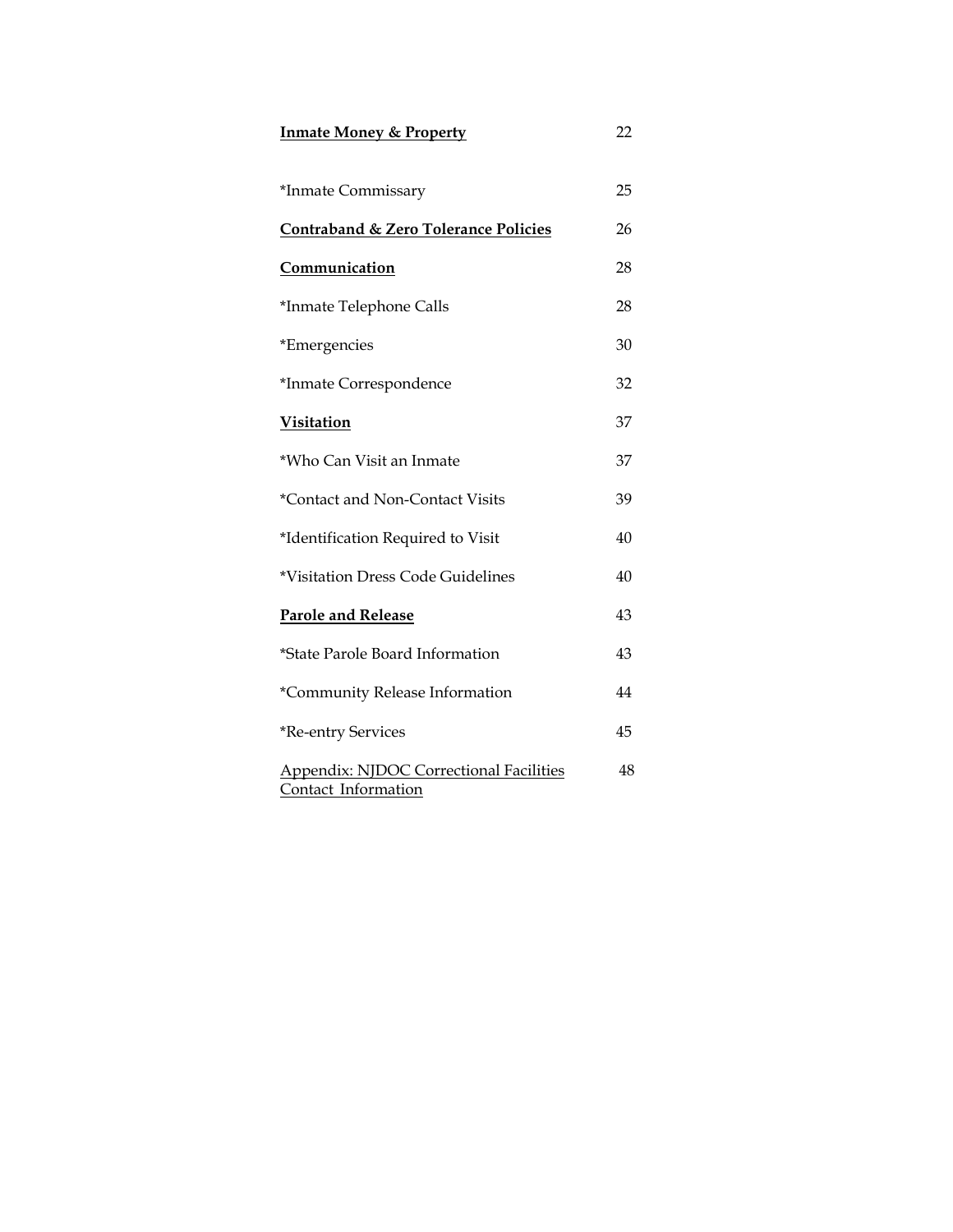| <b>Inmate Money &amp; Property</b>                                    |    |
|-----------------------------------------------------------------------|----|
| *Inmate Commissary                                                    | 25 |
| <b>Contraband &amp; Zero Tolerance Policies</b>                       | 26 |
| Communication                                                         | 28 |
| *Inmate Telephone Calls                                               | 28 |
| *Emergencies                                                          | 30 |
| *Inmate Correspondence                                                | 32 |
| <b>Visitation</b>                                                     | 37 |
| *Who Can Visit an Inmate                                              | 37 |
| *Contact and Non-Contact Visits                                       | 39 |
| *Identification Required to Visit                                     | 40 |
| *Visitation Dress Code Guidelines                                     | 40 |
| <b>Parole and Release</b>                                             | 43 |
| *State Parole Board Information                                       | 43 |
| *Community Release Information                                        | 44 |
| *Re-entry Services                                                    | 45 |
| <b>Appendix: NJDOC Correctional Facilities</b><br>Contact Information | 48 |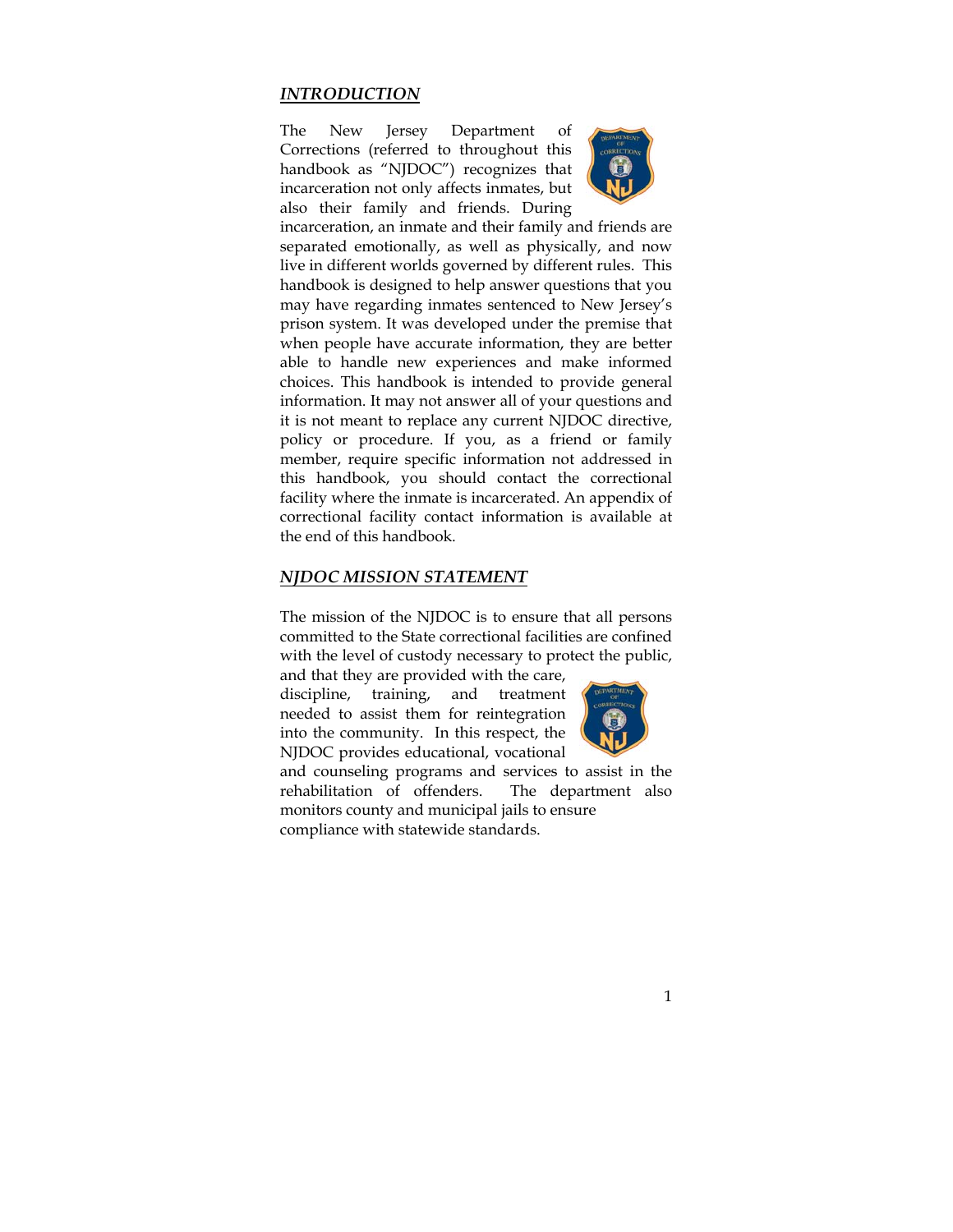## *INTRODUCTION*

The New Jersey Department of Corrections (referred to throughout this handbook as "NJDOC") recognizes that incarceration not only affects inmates, but also their family and friends. During



incarceration, an inmate and their family and friends are separated emotionally, as well as physically, and now live in different worlds governed by different rules. This handbook is designed to help answer questions that you may have regarding inmates sentenced to New Jersey's prison system. It was developed under the premise that when people have accurate information, they are better able to handle new experiences and make informed choices. This handbook is intended to provide general information. It may not answer all of your questions and it is not meant to replace any current NJDOC directive, policy or procedure. If you, as a friend or family member, require specific information not addressed in this handbook, you should contact the correctional facility where the inmate is incarcerated. An appendix of correctional facility contact information is available at the end of this handbook.

#### *NJDOC MISSION STATEMENT*

The mission of the NJDOC is to ensure that all persons committed to the State correctional facilities are confined with the level of custody necessary to protect the public,

and that they are provided with the care, discipline, training, and treatment needed to assist them for reintegration into the community. In this respect, the NJDOC provides educational, vocational



and counseling programs and services to assist in the rehabilitation of offenders. The department also monitors county and municipal jails to ensure compliance with statewide standards.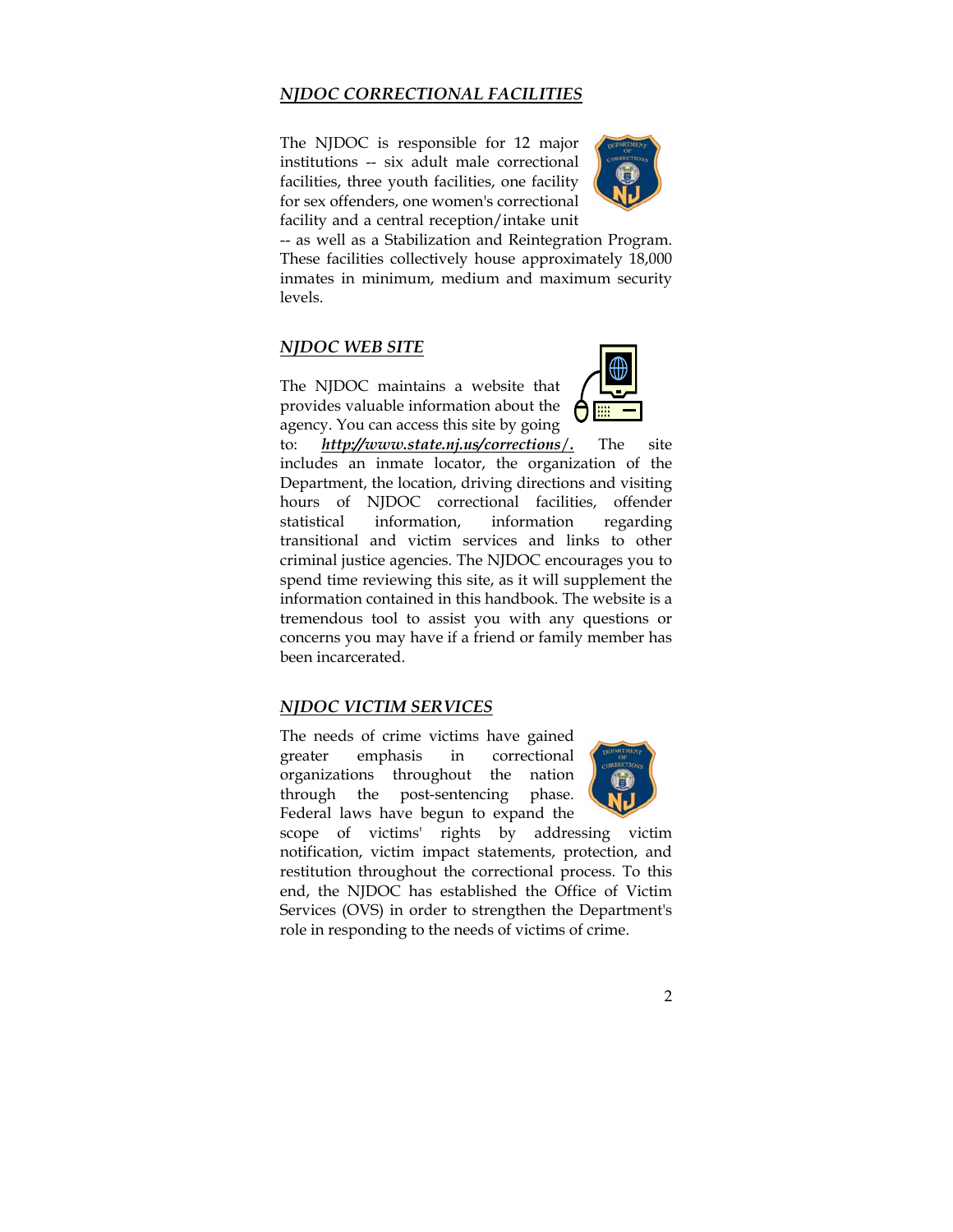# *NJDOC CORRECTIONAL FACILITIES*

The NJDOC is responsible for 12 major institutions -- six adult male correctional facilities, three youth facilities, one facility for sex offenders, one women's correctional facility and a central reception/intake unit



-- as well as a Stabilization and Reintegration Program. These facilities collectively house approximately 18,000 inmates in minimum, medium and maximum security levels.

## *NJDOC WEB SITE*

The NJDOC maintains a website that provides valuable information about the agency. You can access this site by going



to: *http://www.state.nj.us/corrections*/*.* The site includes an inmate locator, the organization of the Department, the location, driving directions and visiting hours of NJDOC correctional facilities, offender statistical information, information regarding transitional and victim services and links to other criminal justice agencies. The NJDOC encourages you to spend time reviewing this site, as it will supplement the information contained in this handbook. The website is a tremendous tool to assist you with any questions or concerns you may have if a friend or family member has been incarcerated.

#### *NJDOC VICTIM SERVICES*

The needs of crime victims have gained greater emphasis in correctional organizations throughout the nation through the post-sentencing phase. Federal laws have begun to expand the



scope of victims' rights by addressing victim notification, victim impact statements, protection, and restitution throughout the correctional process. To this end, the NJDOC has established the Office of Victim Services (OVS) in order to strengthen the Department's role in responding to the needs of victims of crime.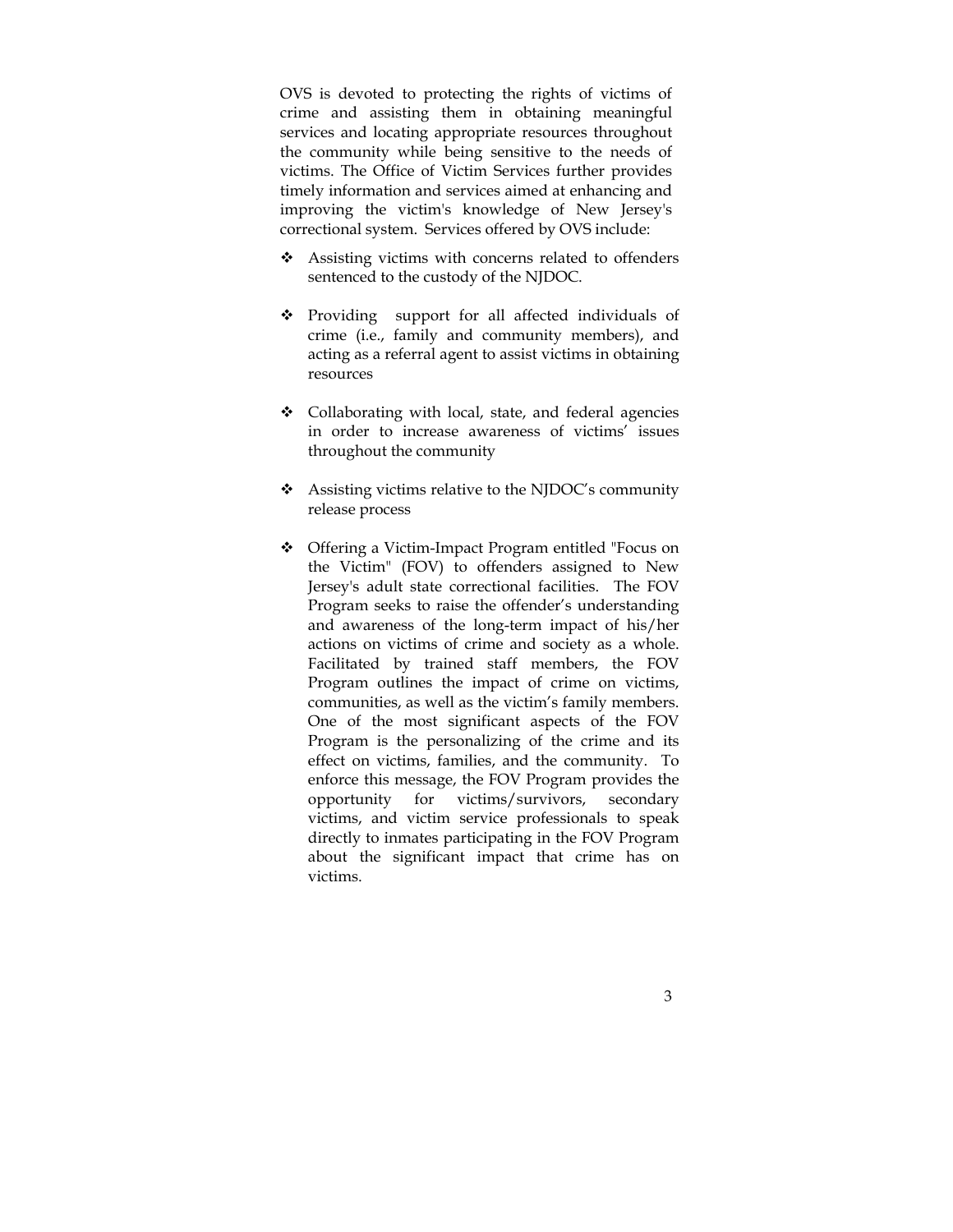OVS is devoted to protecting the rights of victims of crime and assisting them in obtaining meaningful services and locating appropriate resources throughout the community while being sensitive to the needs of victims. The Office of Victim Services further provides timely information and services aimed at enhancing and improving the victim's knowledge of New Jersey's correctional system. Services offered by OVS include:

- ❖ Assisting victims with concerns related to offenders sentenced to the custody of the NJDOC.
- Providing support for all affected individuals of crime (i.e., family and community members), and acting as a referral agent to assist victims in obtaining resources
- ❖ Collaborating with local, state, and federal agencies in order to increase awareness of victims' issues throughout the community
- Assisting victims relative to the NJDOC's community release process
- Offering a Victim-Impact Program entitled "Focus on the Victim" (FOV) to offenders assigned to New Jersey's adult state correctional facilities. The FOV Program seeks to raise the offender's understanding and awareness of the long-term impact of his/her actions on victims of crime and society as a whole. Facilitated by trained staff members, the FOV Program outlines the impact of crime on victims, communities, as well as the victim's family members. One of the most significant aspects of the FOV Program is the personalizing of the crime and its effect on victims, families, and the community. To enforce this message, the FOV Program provides the opportunity for victims/survivors, secondary victims, and victim service professionals to speak directly to inmates participating in the FOV Program about the significant impact that crime has on victims.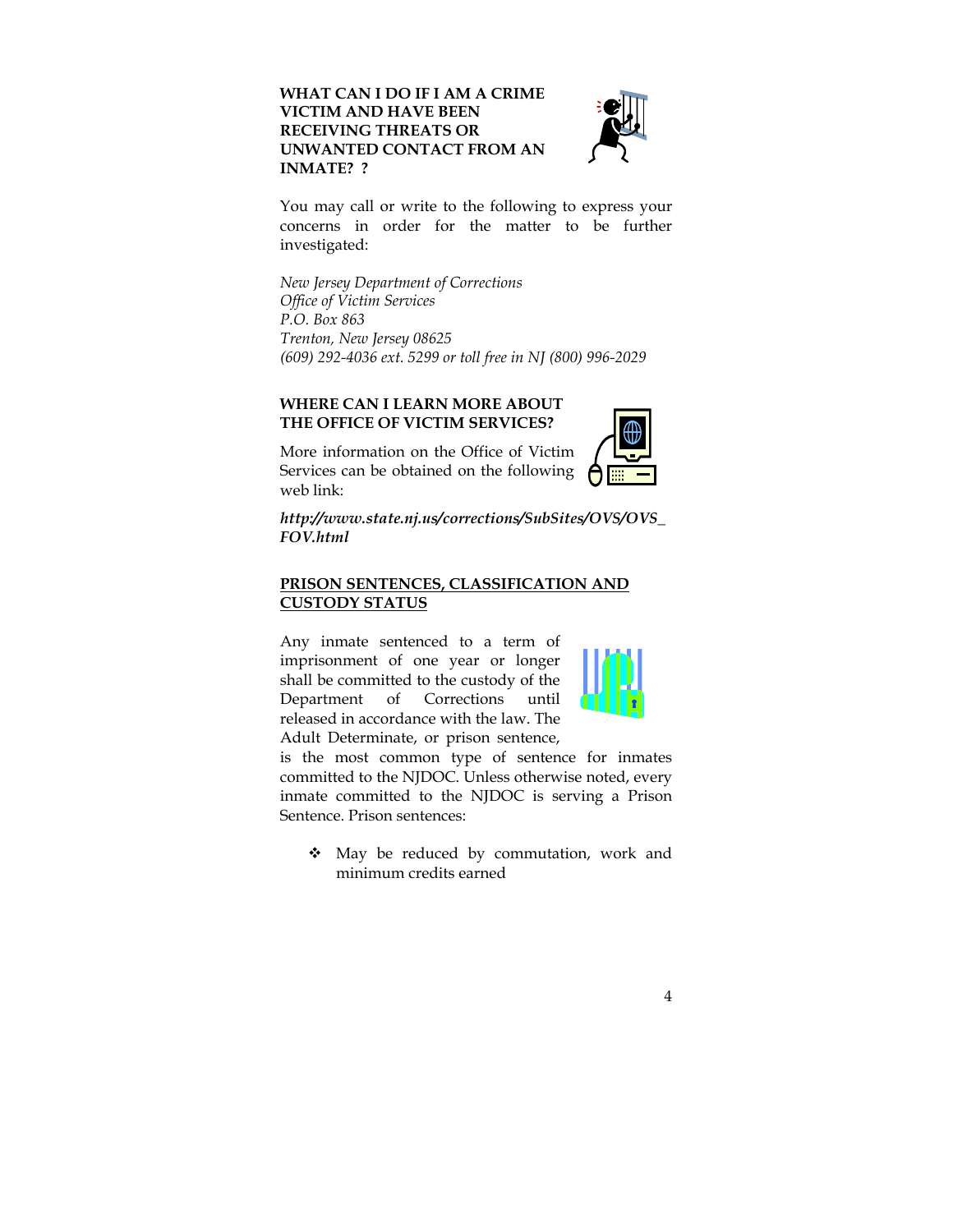**WHAT CAN I DO IF I AM A CRIME VICTIM AND HAVE BEEN RECEIVING THREATS OR UNWANTED CONTACT FROM AN INMATE? ?** 



You may call or write to the following to express your concerns in order for the matter to be further investigated:

*New Jersey Department of Corrections Office of Victim Services P.O. Box 863 Trenton, New Jersey 08625 (609) 292-4036 ext. 5299 or toll free in NJ (800) 996-2029* 

# **WHERE CAN I LEARN MORE ABOUT THE OFFICE OF VICTIM SERVICES?**

More information on the Office of Victim Services can be obtained on the following web link:



*http://www.state.nj.us/corrections/SubSites/OVS/OVS\_ FOV.html* 

# **PRISON SENTENCES, CLASSIFICATION AND CUSTODY STATUS**

Any inmate sentenced to a term of imprisonment of one year or longer shall be committed to the custody of the Department of Corrections until released in accordance with the law. The Adult Determinate, or prison sentence,



is the most common type of sentence for inmates committed to the NJDOC. Unless otherwise noted, every inmate committed to the NJDOC is serving a Prison Sentence. Prison sentences:

 May be reduced by commutation, work and minimum credits earned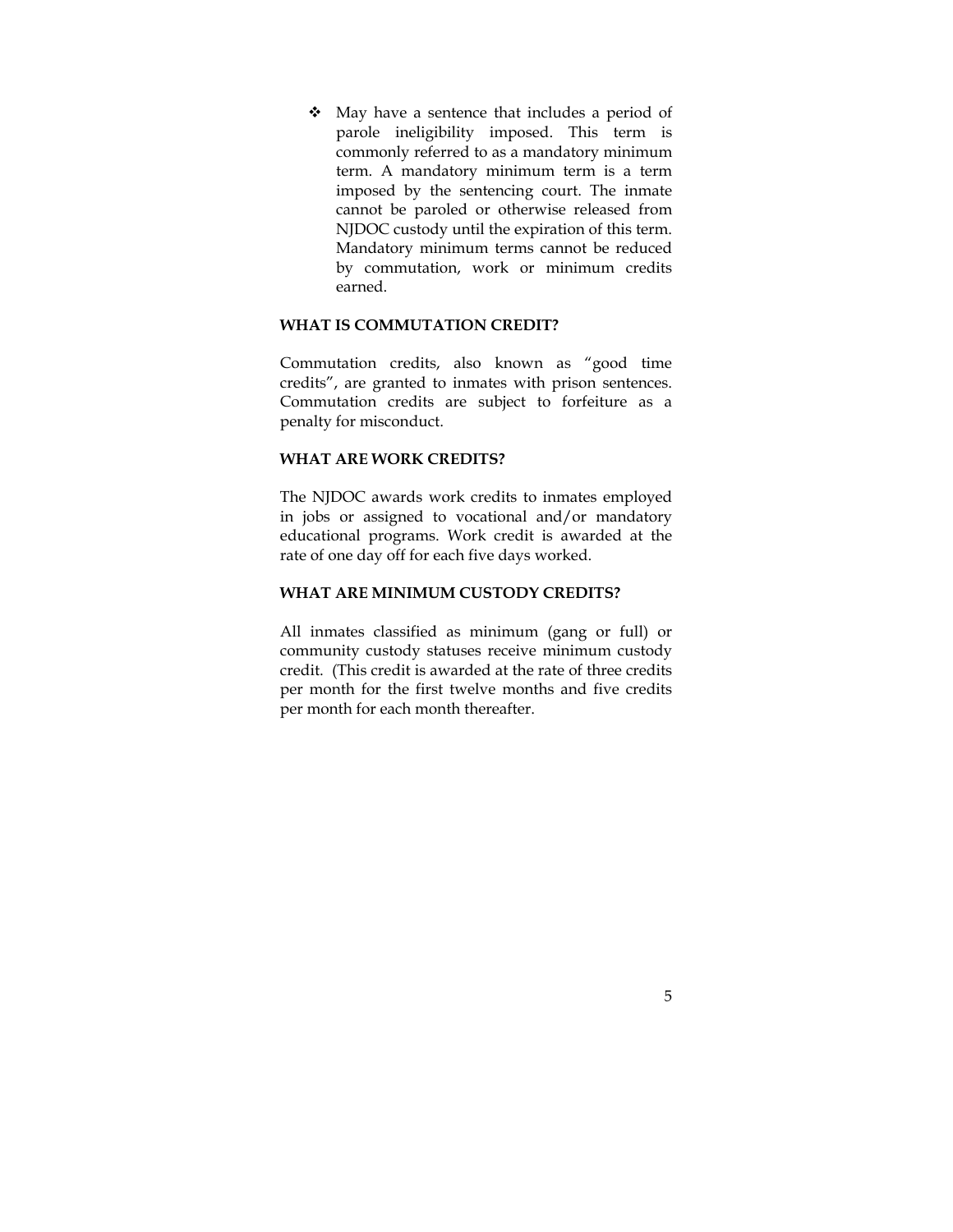May have a sentence that includes a period of parole ineligibility imposed. This term is commonly referred to as a mandatory minimum term. A mandatory minimum term is a term imposed by the sentencing court. The inmate cannot be paroled or otherwise released from NJDOC custody until the expiration of this term. Mandatory minimum terms cannot be reduced by commutation, work or minimum credits earned.

#### **WHAT IS COMMUTATION CREDIT?**

Commutation credits, also known as "good time credits", are granted to inmates with prison sentences. Commutation credits are subject to forfeiture as a penalty for misconduct.

#### **WHAT ARE WORK CREDITS?**

The NJDOC awards work credits to inmates employed in jobs or assigned to vocational and/or mandatory educational programs. Work credit is awarded at the rate of one day off for each five days worked.

# **WHAT ARE MINIMUM CUSTODY CREDITS?**

All inmates classified as minimum (gang or full) or community custody statuses receive minimum custody credit. (This credit is awarded at the rate of three credits per month for the first twelve months and five credits per month for each month thereafter.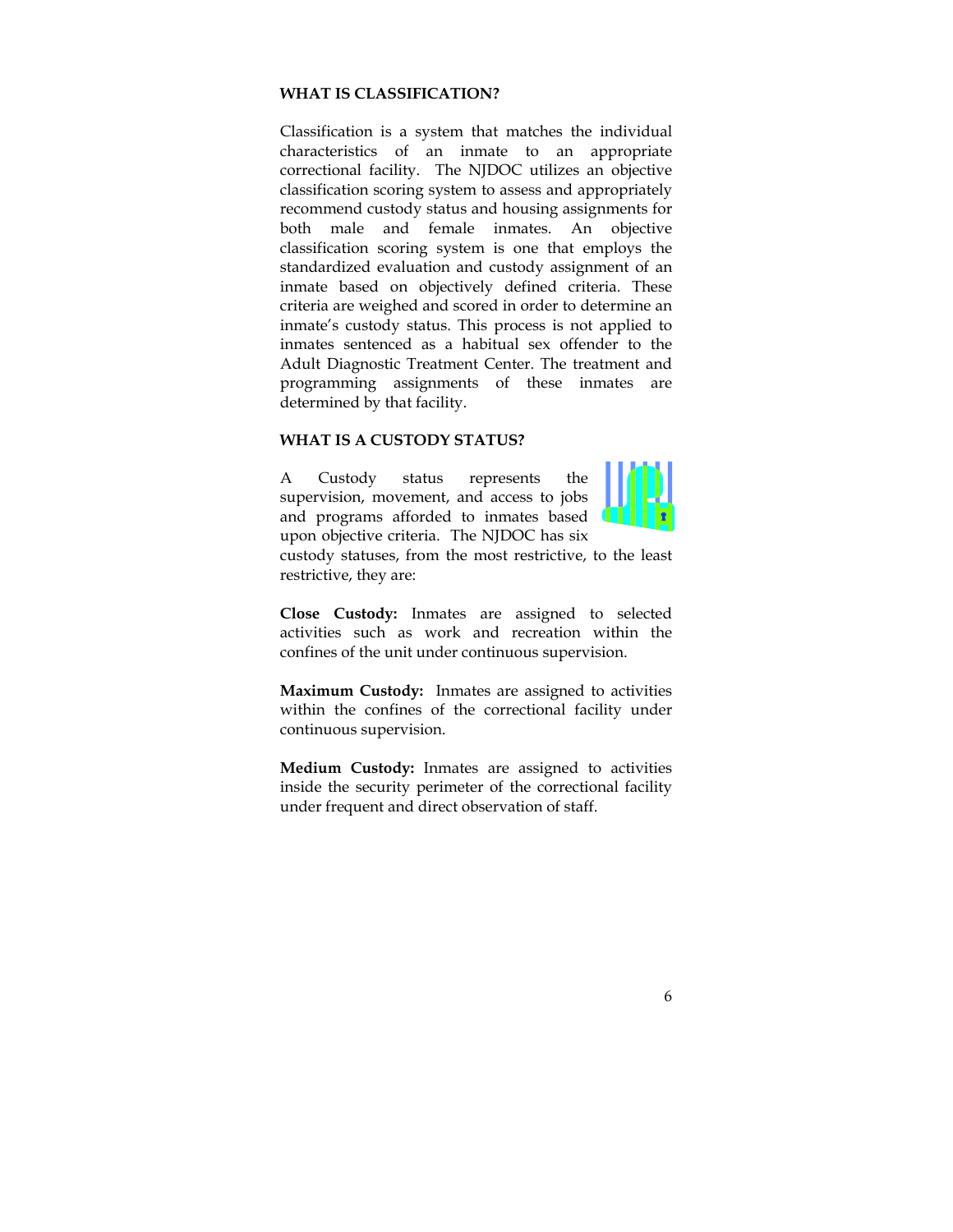#### **WHAT IS CLASSIFICATION?**

Classification is a system that matches the individual characteristics of an inmate to an appropriate correctional facility. The NJDOC utilizes an objective classification scoring system to assess and appropriately recommend custody status and housing assignments for both male and female inmates. An objective classification scoring system is one that employs the standardized evaluation and custody assignment of an inmate based on objectively defined criteria. These criteria are weighed and scored in order to determine an inmate's custody status. This process is not applied to inmates sentenced as a habitual sex offender to the Adult Diagnostic Treatment Center. The treatment and programming assignments of these inmates are determined by that facility.

#### **WHAT IS A CUSTODY STATUS?**

A Custody status represents the supervision, movement, and access to jobs and programs afforded to inmates based upon objective criteria. The NJDOC has six



custody statuses, from the most restrictive, to the least restrictive, they are:

**Close Custody:** Inmates are assigned to selected activities such as work and recreation within the confines of the unit under continuous supervision.

**Maximum Custody:** Inmates are assigned to activities within the confines of the correctional facility under continuous supervision.

**Medium Custody:** Inmates are assigned to activities inside the security perimeter of the correctional facility under frequent and direct observation of staff.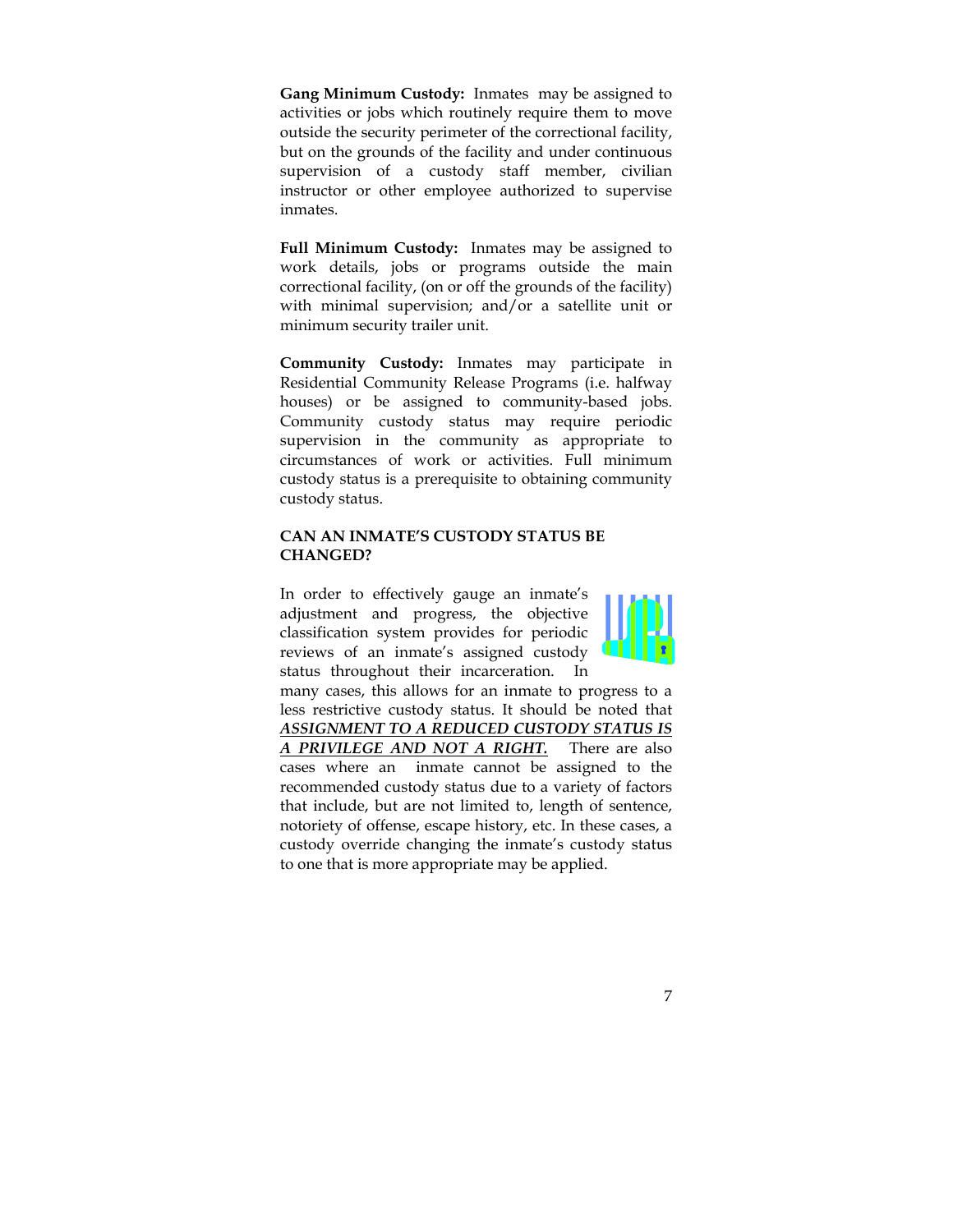**Gang Minimum Custody:** Inmates may be assigned to activities or jobs which routinely require them to move outside the security perimeter of the correctional facility, but on the grounds of the facility and under continuous supervision of a custody staff member, civilian instructor or other employee authorized to supervise inmates.

**Full Minimum Custody:** Inmates may be assigned to work details, jobs or programs outside the main correctional facility, (on or off the grounds of the facility) with minimal supervision; and/or a satellite unit or minimum security trailer unit.

**Community Custody:** Inmates may participate in Residential Community Release Programs (i.e. halfway houses) or be assigned to community-based jobs. Community custody status may require periodic supervision in the community as appropriate to circumstances of work or activities. Full minimum custody status is a prerequisite to obtaining community custody status.

## **CAN AN INMATE'S CUSTODY STATUS BE CHANGED?**

In order to effectively gauge an inmate's adjustment and progress, the objective classification system provides for periodic reviews of an inmate's assigned custody status throughout their incarceration. In



many cases, this allows for an inmate to progress to a less restrictive custody status. It should be noted that *ASSIGNMENT TO A REDUCED CUSTODY STATUS IS A PRIVILEGE AND NOT A RIGHT.* There are also cases where an inmate cannot be assigned to the recommended custody status due to a variety of factors that include, but are not limited to, length of sentence, notoriety of offense, escape history, etc. In these cases, a custody override changing the inmate's custody status to one that is more appropriate may be applied.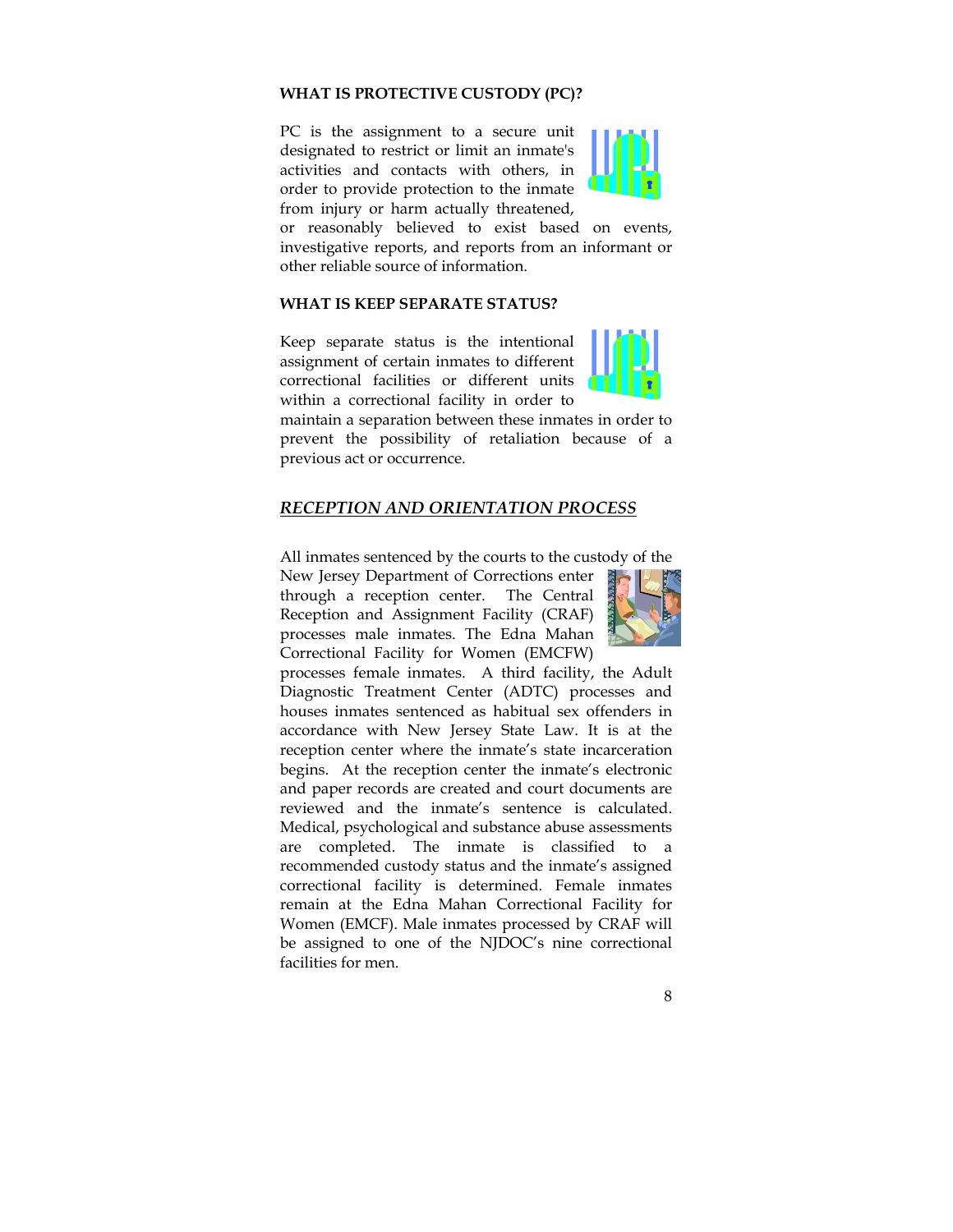#### **WHAT IS PROTECTIVE CUSTODY (PC)?**

PC is the assignment to a secure unit designated to restrict or limit an inmate's activities and contacts with others, in order to provide protection to the inmate from injury or harm actually threatened,



or reasonably believed to exist based on events, investigative reports, and reports from an informant or other reliable source of information.

#### **WHAT IS KEEP SEPARATE STATUS?**

Keep separate status is the intentional assignment of certain inmates to different correctional facilities or different units within a correctional facility in order to



maintain a separation between these inmates in order to prevent the possibility of retaliation because of a previous act or occurrence.

#### *RECEPTION AND ORIENTATION PROCESS*

All inmates sentenced by the courts to the custody of the

New Jersey Department of Corrections enter through a reception center. The Central Reception and Assignment Facility (CRAF) processes male inmates. The Edna Mahan Correctional Facility for Women (EMCFW)



processes female inmates. A third facility, the Adult Diagnostic Treatment Center (ADTC) processes and houses inmates sentenced as habitual sex offenders in accordance with New Jersey State Law. It is at the reception center where the inmate's state incarceration begins. At the reception center the inmate's electronic and paper records are created and court documents are reviewed and the inmate's sentence is calculated. Medical, psychological and substance abuse assessments are completed. The inmate is classified to a recommended custody status and the inmate's assigned correctional facility is determined. Female inmates remain at the Edna Mahan Correctional Facility for Women (EMCF). Male inmates processed by CRAF will be assigned to one of the NJDOC's nine correctional facilities for men.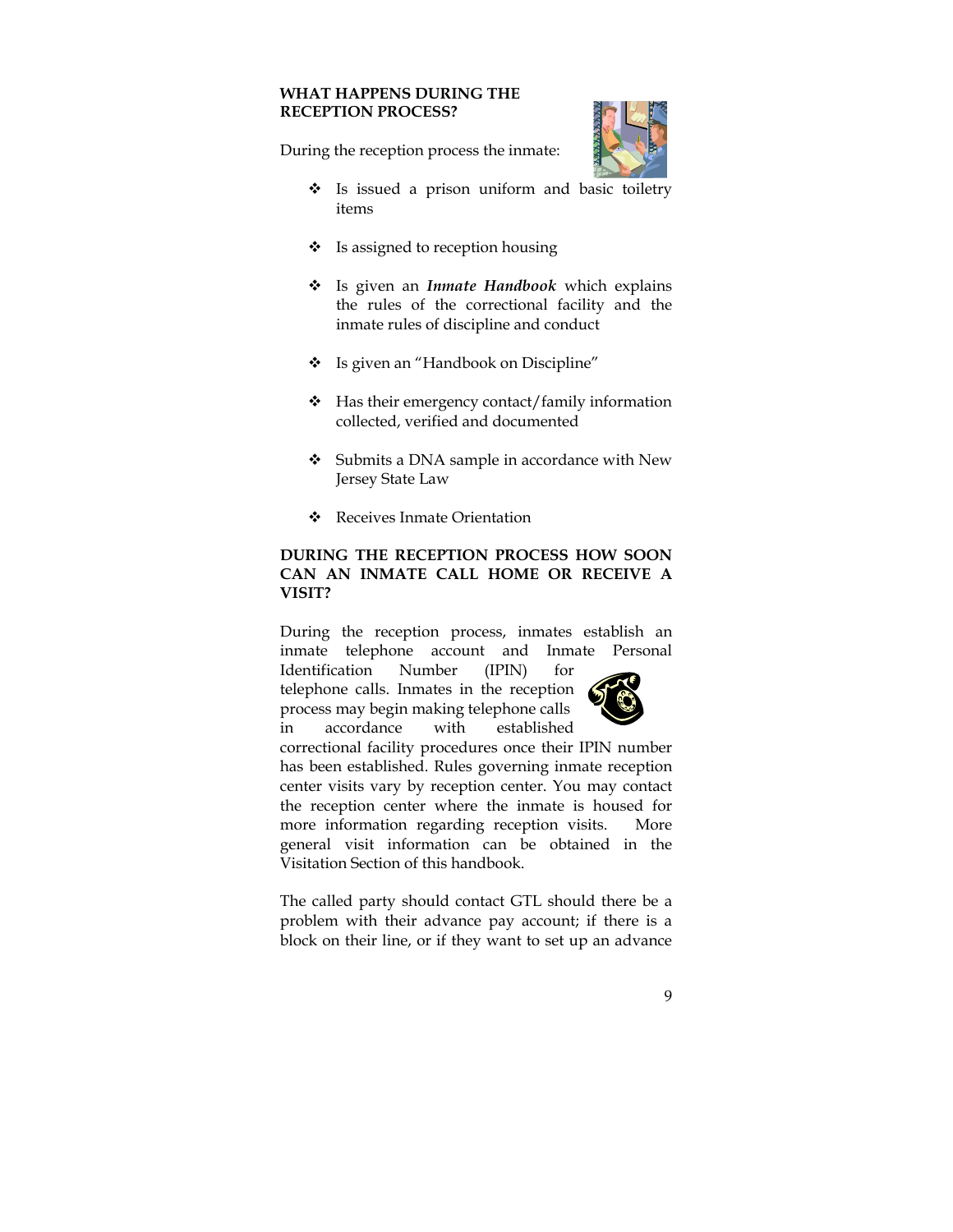## **WHAT HAPPENS DURING THE RECEPTION PROCESS?**

During the reception process the inmate:

- Is issued a prison uniform and basic toiletry items
- \* Is assigned to reception housing
- Is given an *Inmate Handbook* which explains the rules of the correctional facility and the inmate rules of discipline and conduct
- \* Is given an "Handbook on Discipline"
- $\div$  Has their emergency contact/family information collected, verified and documented
- ❖ Submits a DNA sample in accordance with New Jersey State Law
- Receives Inmate Orientation

# **DURING THE RECEPTION PROCESS HOW SOON CAN AN INMATE CALL HOME OR RECEIVE A VISIT?**

During the reception process, inmates establish an inmate telephone account and Inmate Personal

Identification Number (IPIN) for telephone calls. Inmates in the reception process may begin making telephone calls in accordance with established



correctional facility procedures once their IPIN number has been established. Rules governing inmate reception center visits vary by reception center. You may contact the reception center where the inmate is housed for more information regarding reception visits. More general visit information can be obtained in the Visitation Section of this handbook.

The called party should contact GTL should there be a problem with their advance pay account; if there is a block on their line, or if they want to set up an advance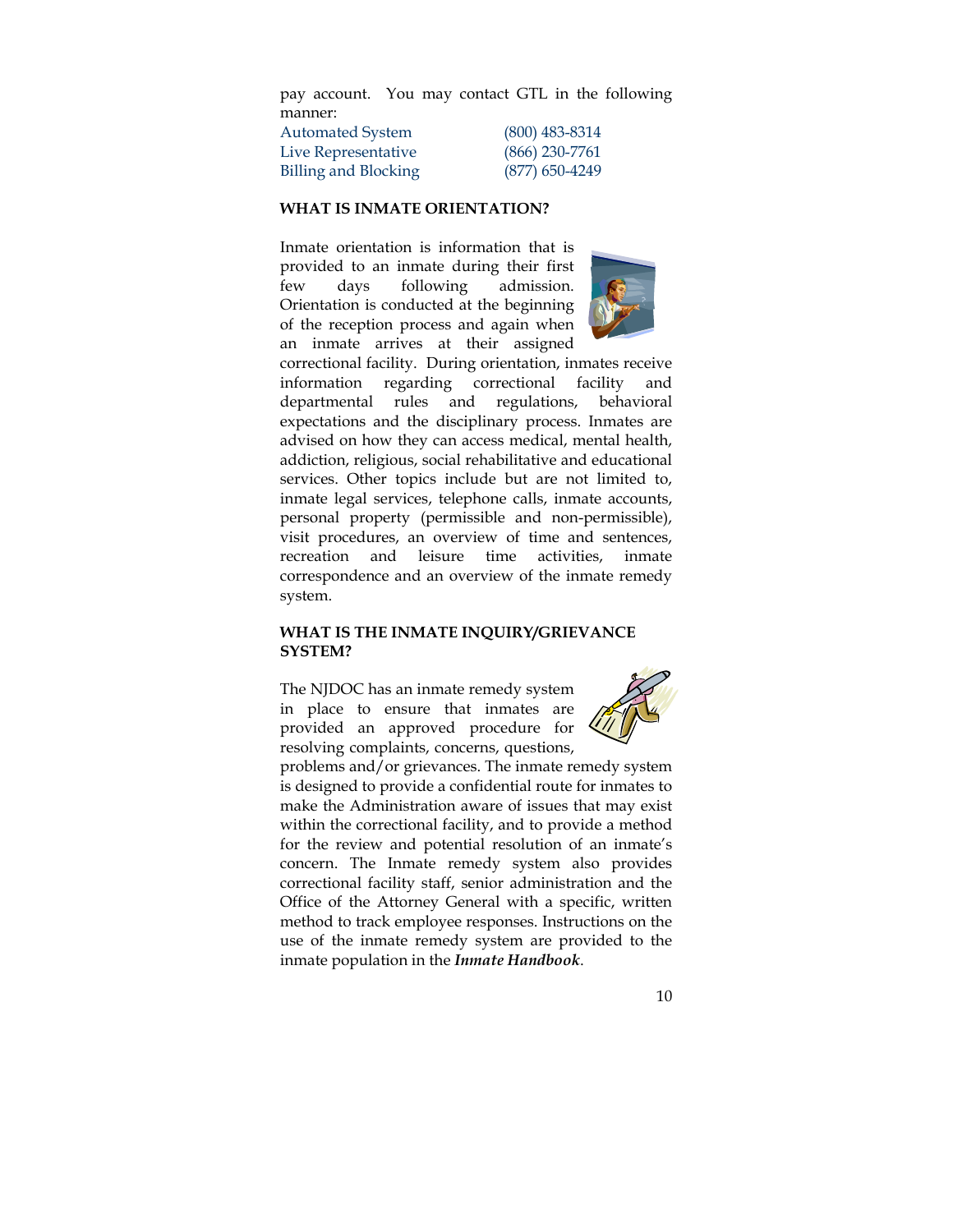pay account. You may contact GTL in the following manner:

| Automated System     | $(800)$ 483-8314 |
|----------------------|------------------|
| Live Representative  | $(866)$ 230-7761 |
| Billing and Blocking | $(877)$ 650-4249 |

#### **WHAT IS INMATE ORIENTATION?**

Inmate orientation is information that is provided to an inmate during their first few days following admission. Orientation is conducted at the beginning of the reception process and again when an inmate arrives at their assigned



correctional facility. During orientation, inmates receive information regarding correctional facility and departmental rules and regulations, behavioral expectations and the disciplinary process. Inmates are advised on how they can access medical, mental health, addiction, religious, social rehabilitative and educational services. Other topics include but are not limited to, inmate legal services, telephone calls, inmate accounts, personal property (permissible and non-permissible), visit procedures, an overview of time and sentences, recreation and leisure time activities, inmate correspondence and an overview of the inmate remedy system.

#### **WHAT IS THE INMATE INQUIRY/GRIEVANCE SYSTEM?**

The NJDOC has an inmate remedy system in place to ensure that inmates are provided an approved procedure for resolving complaints, concerns, questions,



problems and/or grievances. The inmate remedy system is designed to provide a confidential route for inmates to make the Administration aware of issues that may exist within the correctional facility, and to provide a method for the review and potential resolution of an inmate's concern. The Inmate remedy system also provides correctional facility staff, senior administration and the Office of the Attorney General with a specific, written method to track employee responses. Instructions on the use of the inmate remedy system are provided to the inmate population in the *Inmate Handbook*.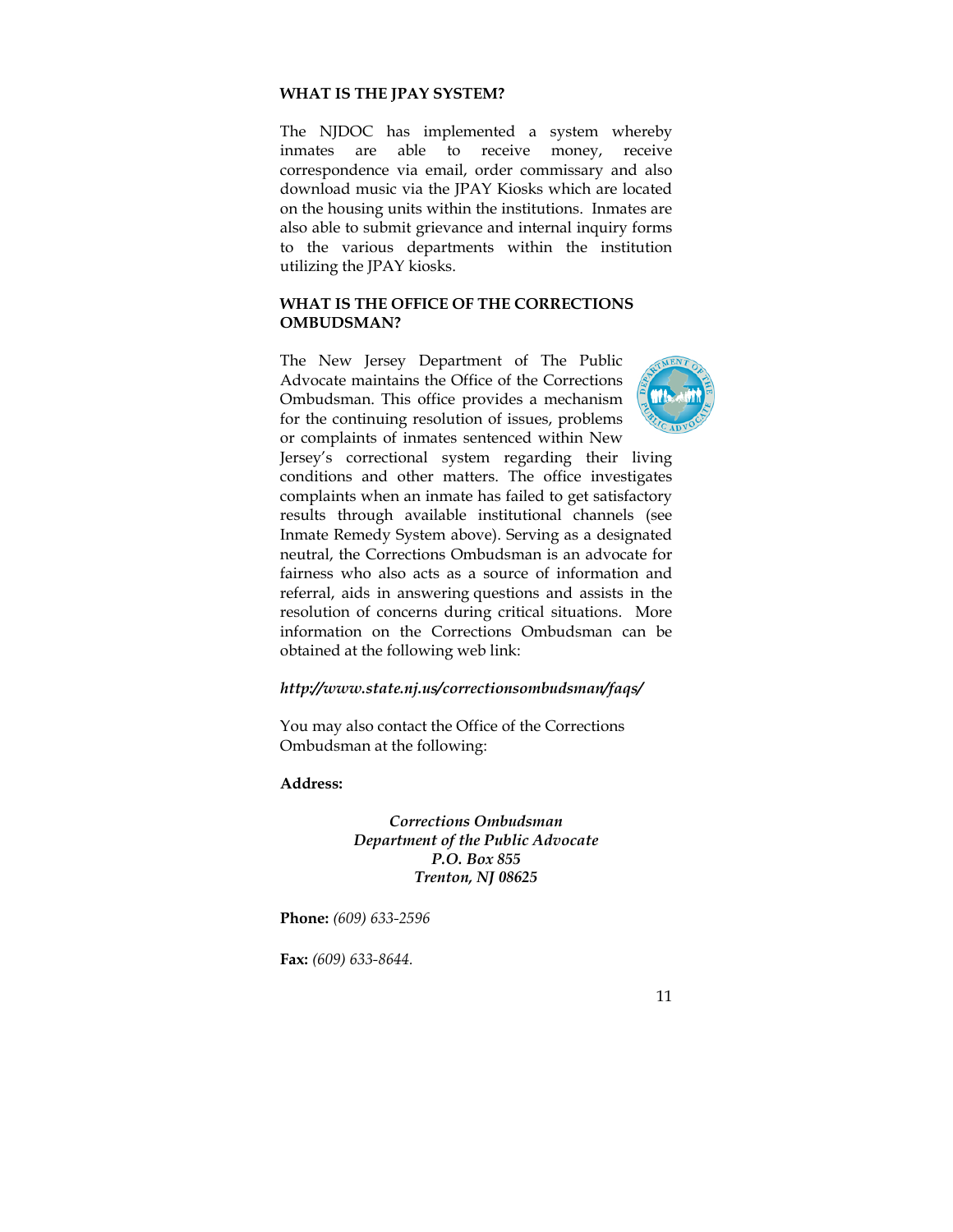#### **WHAT IS THE JPAY SYSTEM?**

The NJDOC has implemented a system whereby inmates are able to receive money, receive correspondence via email, order commissary and also download music via the JPAY Kiosks which are located on the housing units within the institutions. Inmates are also able to submit grievance and internal inquiry forms to the various departments within the institution utilizing the JPAY kiosks.

## **WHAT IS THE OFFICE OF THE CORRECTIONS OMBUDSMAN?**

The New Jersey Department of The Public Advocate maintains the Office of the Corrections Ombudsman. This office provides a mechanism for the continuing resolution of issues, problems or complaints of inmates sentenced within New



Jersey's correctional system regarding their living conditions and other matters. The office investigates complaints when an inmate has failed to get satisfactory results through available institutional channels (see Inmate Remedy System above). Serving as a designated neutral, the Corrections Ombudsman is an advocate for fairness who also acts as a source of information and referral, aids in answering questions and assists in the resolution of concerns during critical situations. More information on the Corrections Ombudsman can be obtained at the following web link:

#### *http://www.state.nj.us/correctionsombudsman/faqs/*

You may also contact the Office of the Corrections Ombudsman at the following:

**Address:** 

*Corrections Ombudsman Department of the Public Advocate P.O. Box 855 Trenton, NJ 08625* 

**Phone:** *(609) 633-2596* 

**Fax:** *(609) 633-8644.*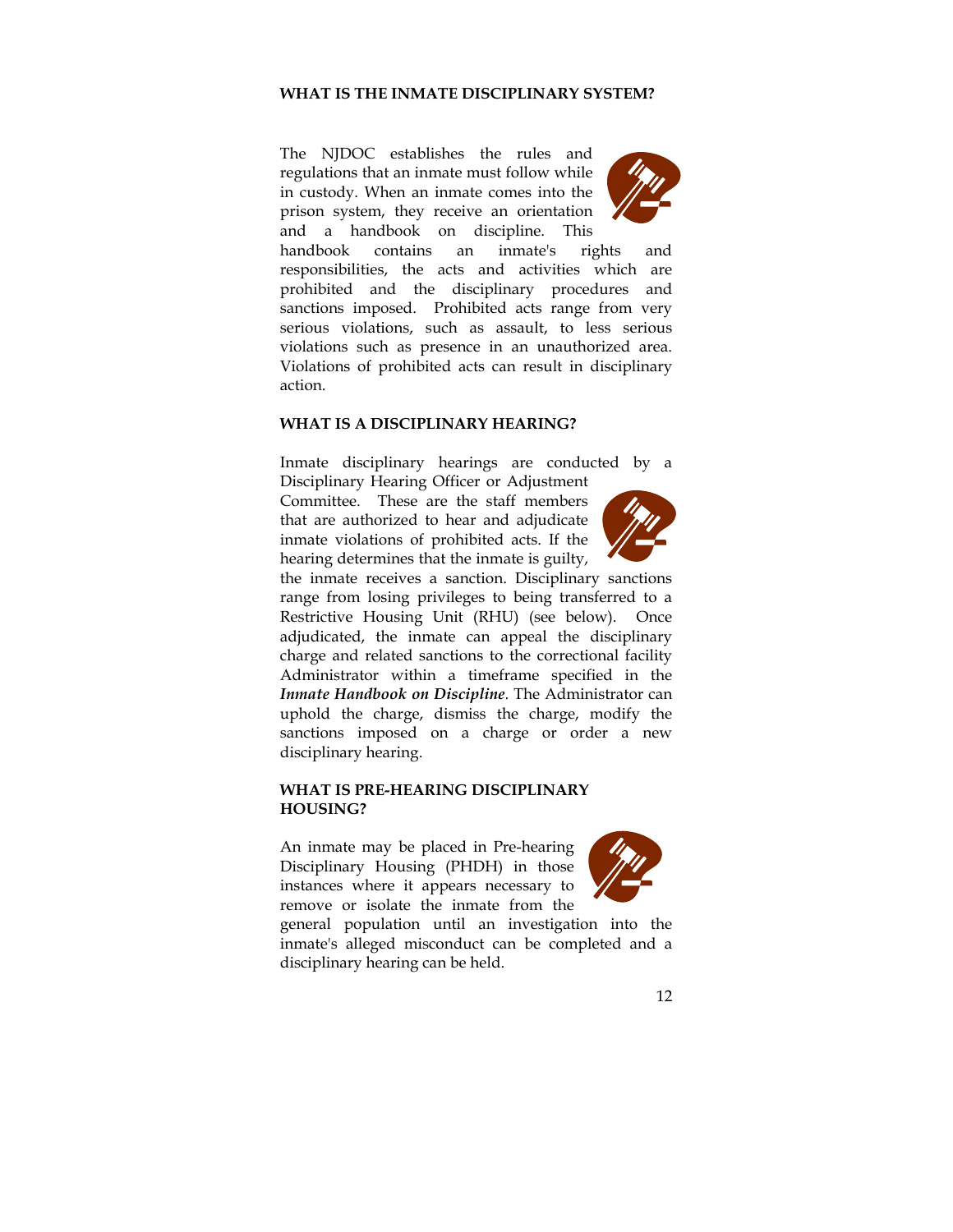#### **WHAT IS THE INMATE DISCIPLINARY SYSTEM?**

The NJDOC establishes the rules and regulations that an inmate must follow while in custody. When an inmate comes into the prison system, they receive an orientation and a handbook on discipline. This



handbook contains an inmate's rights and responsibilities, the acts and activities which are prohibited and the disciplinary procedures and sanctions imposed. Prohibited acts range from very serious violations, such as assault, to less serious violations such as presence in an unauthorized area. Violations of prohibited acts can result in disciplinary action.

#### **WHAT IS A DISCIPLINARY HEARING?**

Inmate disciplinary hearings are conducted by a Disciplinary Hearing Officer or Adjustment

Committee. These are the staff members that are authorized to hear and adjudicate inmate violations of prohibited acts. If the hearing determines that the inmate is guilty,



the inmate receives a sanction. Disciplinary sanctions range from losing privileges to being transferred to a Restrictive Housing Unit (RHU) (see below). Once adjudicated, the inmate can appeal the disciplinary charge and related sanctions to the correctional facility Administrator within a timeframe specified in the *Inmate Handbook on Discipline*. The Administrator can uphold the charge, dismiss the charge, modify the sanctions imposed on a charge or order a new disciplinary hearing.

#### **WHAT IS PRE-HEARING DISCIPLINARY HOUSING?**

An inmate may be placed in Pre-hearing Disciplinary Housing (PHDH) in those instances where it appears necessary to remove or isolate the inmate from the



general population until an investigation into the inmate's alleged misconduct can be completed and a disciplinary hearing can be held.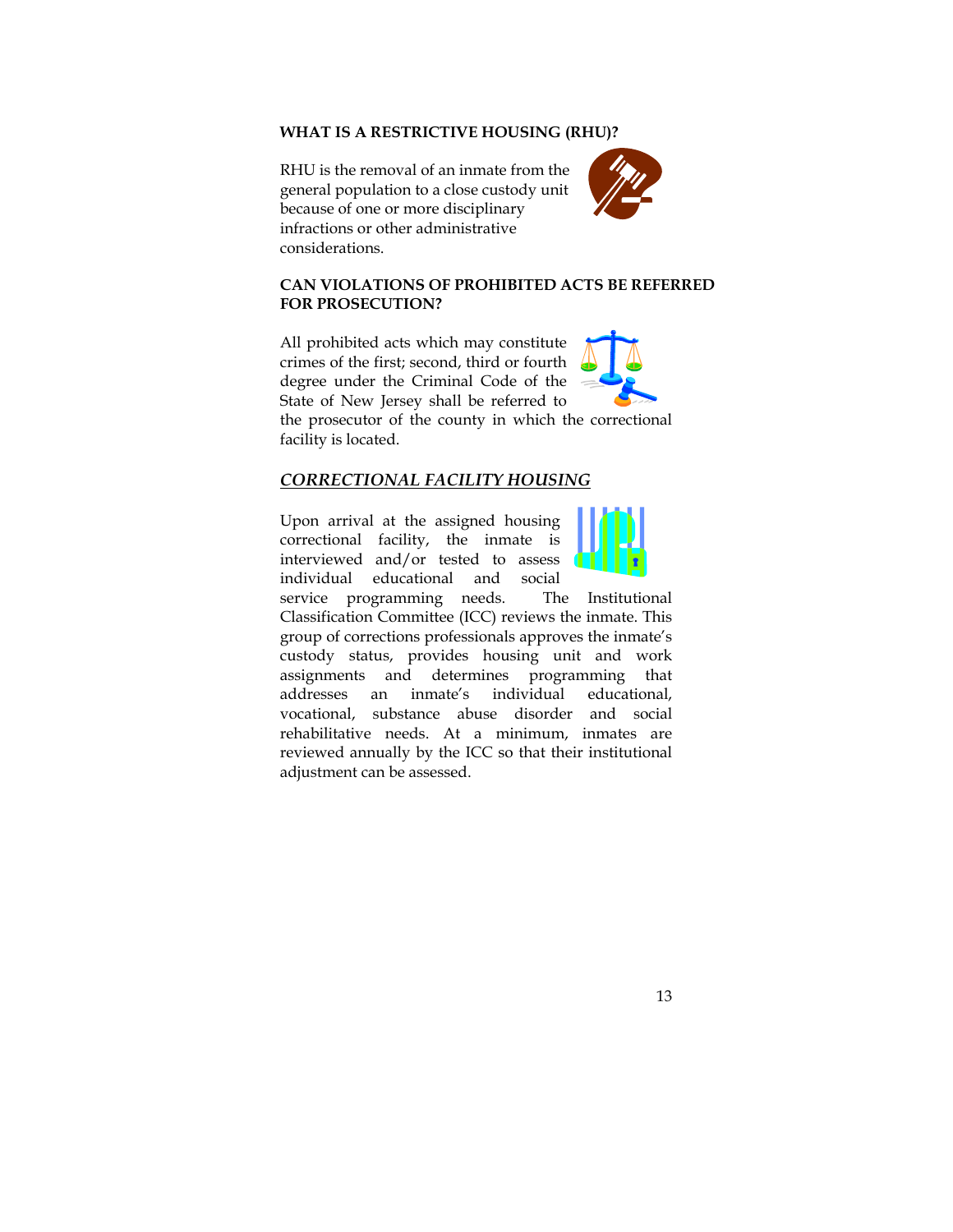#### **WHAT IS A RESTRICTIVE HOUSING (RHU)?**

RHU is the removal of an inmate from the general population to a close custody unit because of one or more disciplinary infractions or other administrative considerations.



# **CAN VIOLATIONS OF PROHIBITED ACTS BE REFERRED FOR PROSECUTION?**

All prohibited acts which may constitute crimes of the first; second, third or fourth degree under the Criminal Code of the State of New Jersey shall be referred to



the prosecutor of the county in which the correctional facility is located.

# *CORRECTIONAL FACILITY HOUSING*

Upon arrival at the assigned housing correctional facility, the inmate is interviewed and/or tested to assess individual educational and social



service programming needs. The Institutional Classification Committee (ICC) reviews the inmate. This group of corrections professionals approves the inmate's custody status, provides housing unit and work assignments and determines programming that addresses an inmate's individual educational, vocational, substance abuse disorder and social rehabilitative needs. At a minimum, inmates are reviewed annually by the ICC so that their institutional adjustment can be assessed.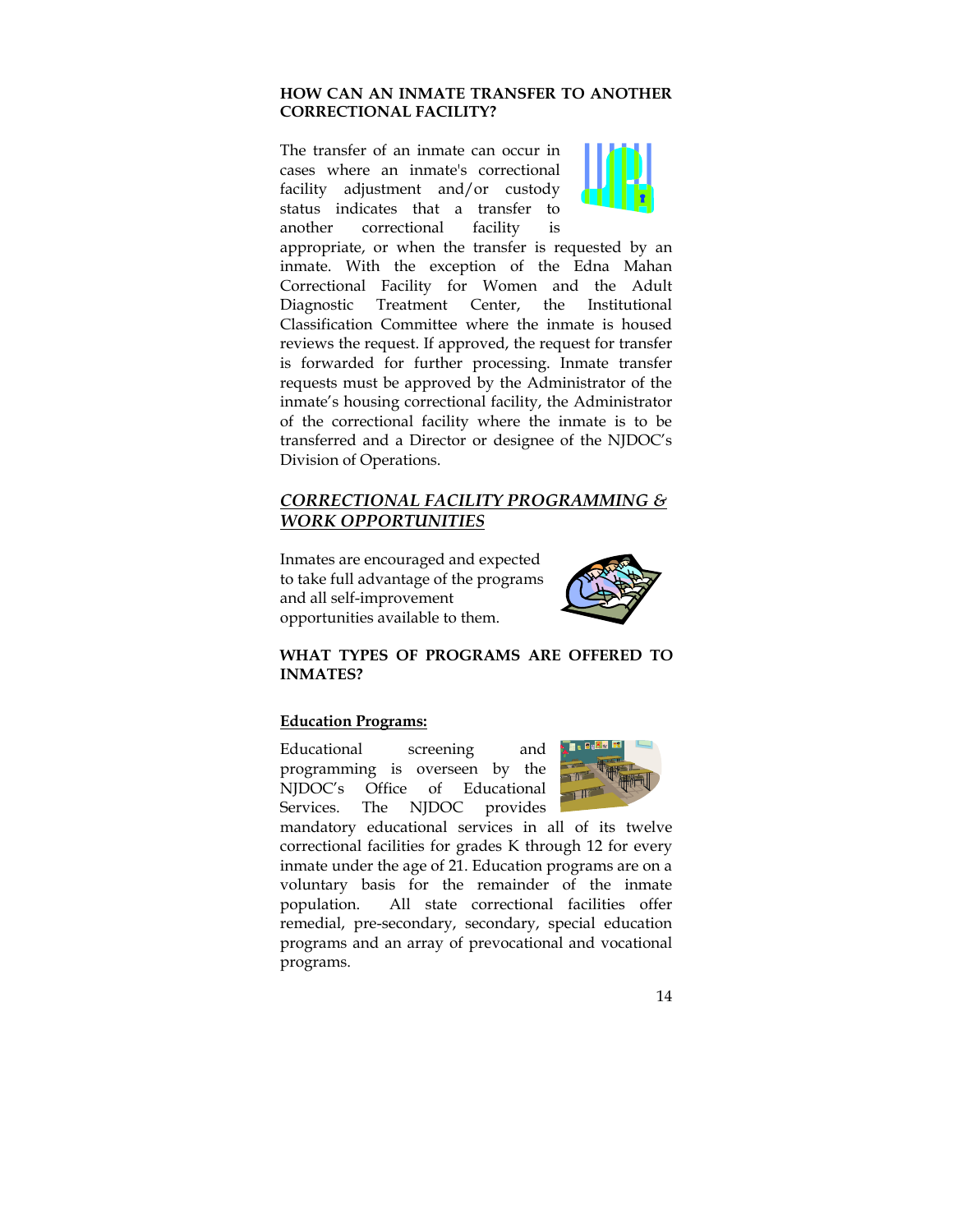## **HOW CAN AN INMATE TRANSFER TO ANOTHER CORRECTIONAL FACILITY?**

The transfer of an inmate can occur in cases where an inmate's correctional facility adjustment and/or custody status indicates that a transfer to another correctional facility is



appropriate, or when the transfer is requested by an inmate. With the exception of the Edna Mahan Correctional Facility for Women and the Adult Diagnostic Treatment Center, the Institutional Classification Committee where the inmate is housed reviews the request. If approved, the request for transfer is forwarded for further processing. Inmate transfer requests must be approved by the Administrator of the inmate's housing correctional facility, the Administrator of the correctional facility where the inmate is to be transferred and a Director or designee of the NJDOC's Division of Operations.

# *CORRECTIONAL FACILITY PROGRAMMING & WORK OPPORTUNITIES*

Inmates are encouraged and expected to take full advantage of the programs and all self-improvement opportunities available to them.



# **WHAT TYPES OF PROGRAMS ARE OFFERED TO INMATES?**

## **Education Programs:**

Educational screening and programming is overseen by the NJDOC's Office of Educational Services. The NJDOC provides



mandatory educational services in all of its twelve correctional facilities for grades K through 12 for every inmate under the age of 21. Education programs are on a voluntary basis for the remainder of the inmate population. All state correctional facilities offer remedial, pre-secondary, secondary, special education programs and an array of prevocational and vocational programs.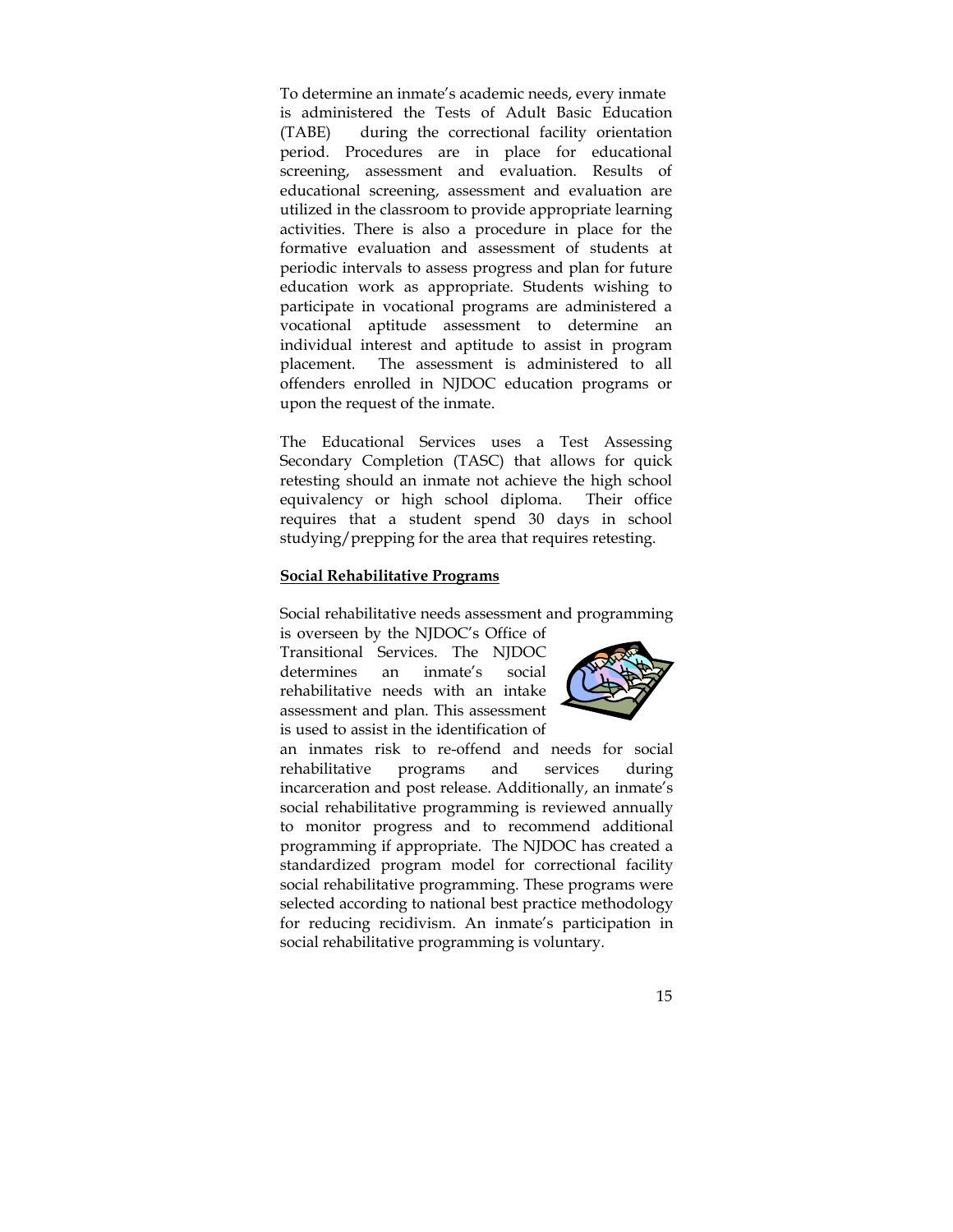To determine an inmate's academic needs, every inmate is administered the Tests of Adult Basic Education (TABE) during the correctional facility orientation period. Procedures are in place for educational screening, assessment and evaluation. Results of educational screening, assessment and evaluation are utilized in the classroom to provide appropriate learning activities. There is also a procedure in place for the formative evaluation and assessment of students at periodic intervals to assess progress and plan for future education work as appropriate. Students wishing to participate in vocational programs are administered a vocational aptitude assessment to determine an individual interest and aptitude to assist in program placement. The assessment is administered to all offenders enrolled in NJDOC education programs or upon the request of the inmate.

The Educational Services uses a Test Assessing Secondary Completion (TASC) that allows for quick retesting should an inmate not achieve the high school equivalency or high school diploma. Their office requires that a student spend 30 days in school studying/prepping for the area that requires retesting.

#### **Social Rehabilitative Programs**

Social rehabilitative needs assessment and programming is overseen by the NJDOC's Office of

Transitional Services. The NJDOC determines an inmate's social rehabilitative needs with an intake assessment and plan. This assessment is used to assist in the identification of



an inmates risk to re-offend and needs for social rehabilitative programs and services during incarceration and post release. Additionally, an inmate's social rehabilitative programming is reviewed annually to monitor progress and to recommend additional programming if appropriate. The NJDOC has created a standardized program model for correctional facility social rehabilitative programming. These programs were selected according to national best practice methodology for reducing recidivism. An inmate's participation in social rehabilitative programming is voluntary.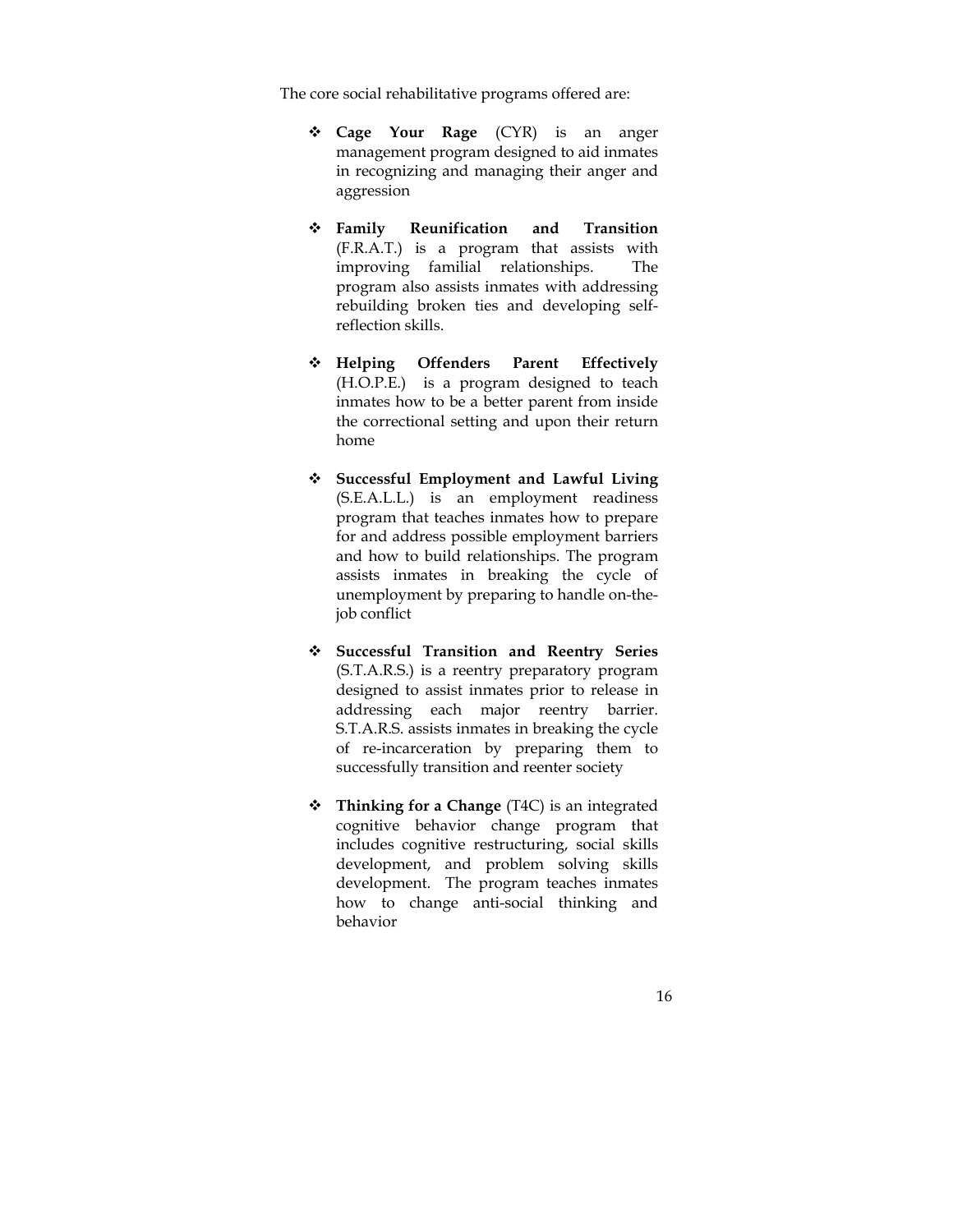The core social rehabilitative programs offered are:

- **Cage Your Rage** (CYR) is an anger management program designed to aid inmates in recognizing and managing their anger and aggression
- **Family Reunification and Transition**  (F.R.A.T.) is a program that assists with improving familial relationships. The program also assists inmates with addressing rebuilding broken ties and developing selfreflection skills.
- **Helping Offenders Parent Effectively** (H.O.P.E.) is a program designed to teach inmates how to be a better parent from inside the correctional setting and upon their return home
- **Successful Employment and Lawful Living** (S.E.A.L.L.) is an employment readiness program that teaches inmates how to prepare for and address possible employment barriers and how to build relationships. The program assists inmates in breaking the cycle of unemployment by preparing to handle on-thejob conflict
- **Successful Transition and Reentry Series** (S.T.A.R.S.) is a reentry preparatory program designed to assist inmates prior to release in addressing each major reentry barrier. S.T.A.R.S. assists inmates in breaking the cycle of re-incarceration by preparing them to successfully transition and reenter society
- **Thinking for a Change** (T4C) is an integrated cognitive behavior change program that includes cognitive restructuring, social skills development, and problem solving skills development. The program teaches inmates how to change anti-social thinking and behavior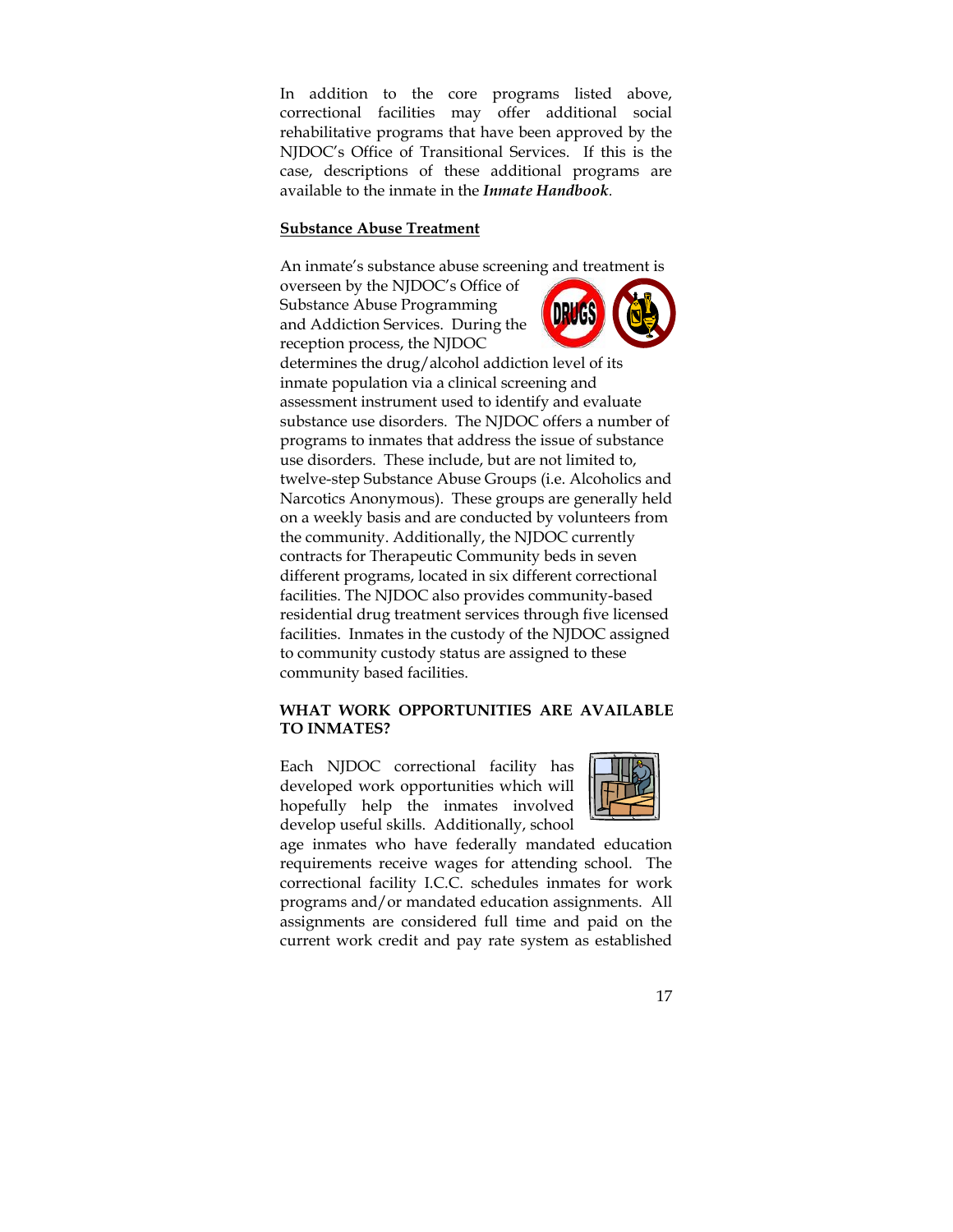In addition to the core programs listed above, correctional facilities may offer additional social rehabilitative programs that have been approved by the NJDOC's Office of Transitional Services. If this is the case, descriptions of these additional programs are available to the inmate in the *Inmate Handbook.* 

#### **Substance Abuse Treatment**

An inmate's substance abuse screening and treatment is

overseen by the NJDOC's Office of Substance Abuse Programming and Addiction Services. During the reception process, the NJDOC



determines the drug/alcohol addiction level of its inmate population via a clinical screening and assessment instrument used to identify and evaluate substance use disorders. The NJDOC offers a number of programs to inmates that address the issue of substance use disorders. These include, but are not limited to, twelve-step Substance Abuse Groups (i.e. Alcoholics and Narcotics Anonymous). These groups are generally held on a weekly basis and are conducted by volunteers from the community. Additionally, the NJDOC currently contracts for Therapeutic Community beds in seven different programs, located in six different correctional facilities. The NJDOC also provides community-based residential drug treatment services through five licensed facilities. Inmates in the custody of the NJDOC assigned to community custody status are assigned to these community based facilities.

## **WHAT WORK OPPORTUNITIES ARE AVAILABLE TO INMATES?**

Each NJDOC correctional facility has developed work opportunities which will hopefully help the inmates involved develop useful skills. Additionally, school



age inmates who have federally mandated education requirements receive wages for attending school. The correctional facility I.C.C. schedules inmates for work programs and/or mandated education assignments. All assignments are considered full time and paid on the current work credit and pay rate system as established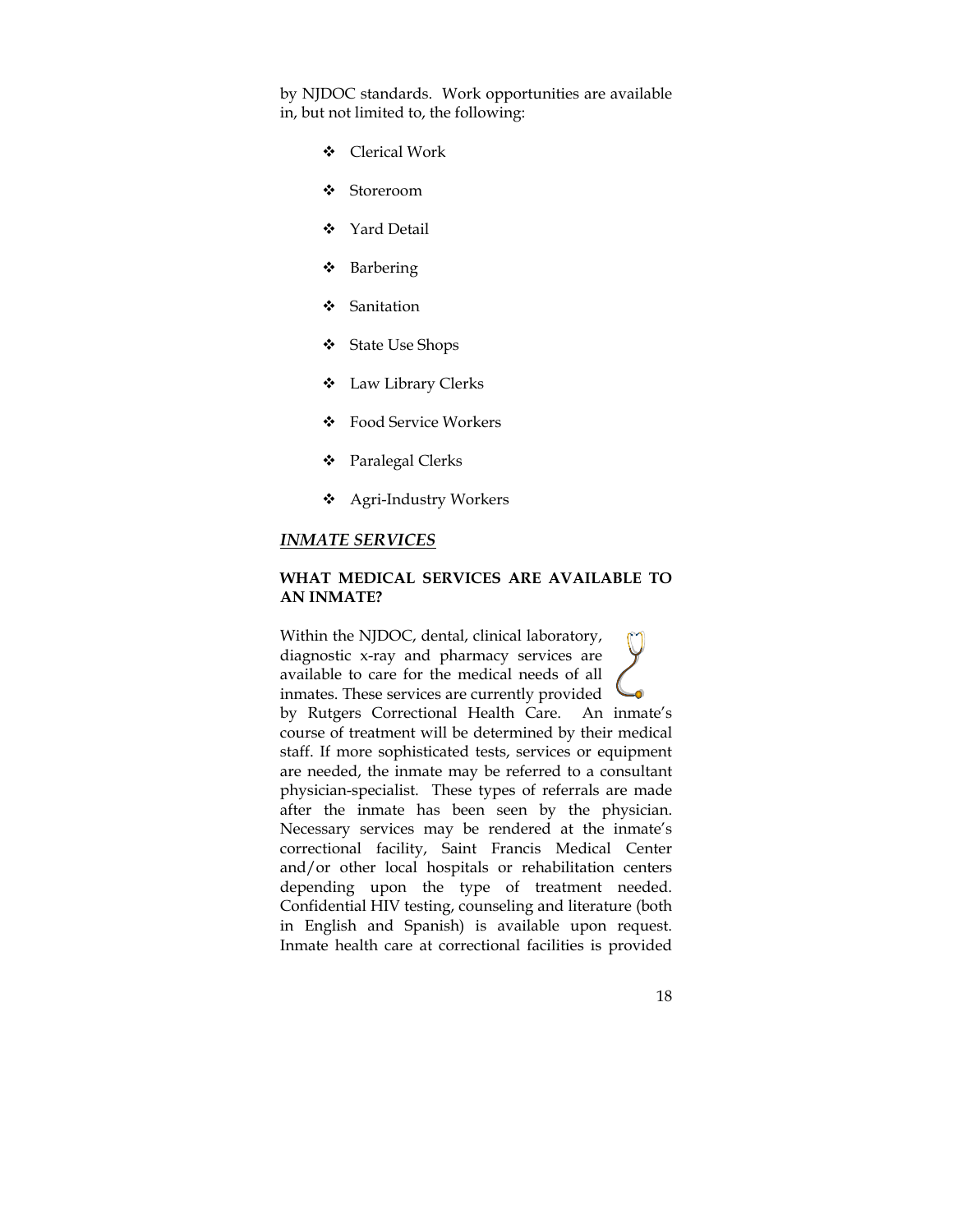by NJDOC standards. Work opportunities are available in, but not limited to, the following:

- Clerical Work
- Storeroom
- Yard Detail
- ❖ Barbering
- ❖ Sanitation
- State Use Shops
- $\div$  Law Library Clerks
- Food Service Workers
- Paralegal Clerks
- Agri-Industry Workers

#### *INMATE SERVICES*

#### **WHAT MEDICAL SERVICES ARE AVAILABLE TO AN INMATE?**

Within the NJDOC, dental, clinical laboratory, diagnostic x-ray and pharmacy services are available to care for the medical needs of all inmates. These services are currently provided by Rutgers Correctional Health Care. An inmate's course of treatment will be determined by their medical staff. If more sophisticated tests, services or equipment are needed, the inmate may be referred to a consultant physician-specialist. These types of referrals are made after the inmate has been seen by the physician. Necessary services may be rendered at the inmate's correctional facility, Saint Francis Medical Center and/or other local hospitals or rehabilitation centers depending upon the type of treatment needed. Confidential HIV testing, counseling and literature (both in English and Spanish) is available upon request. Inmate health care at correctional facilities is provided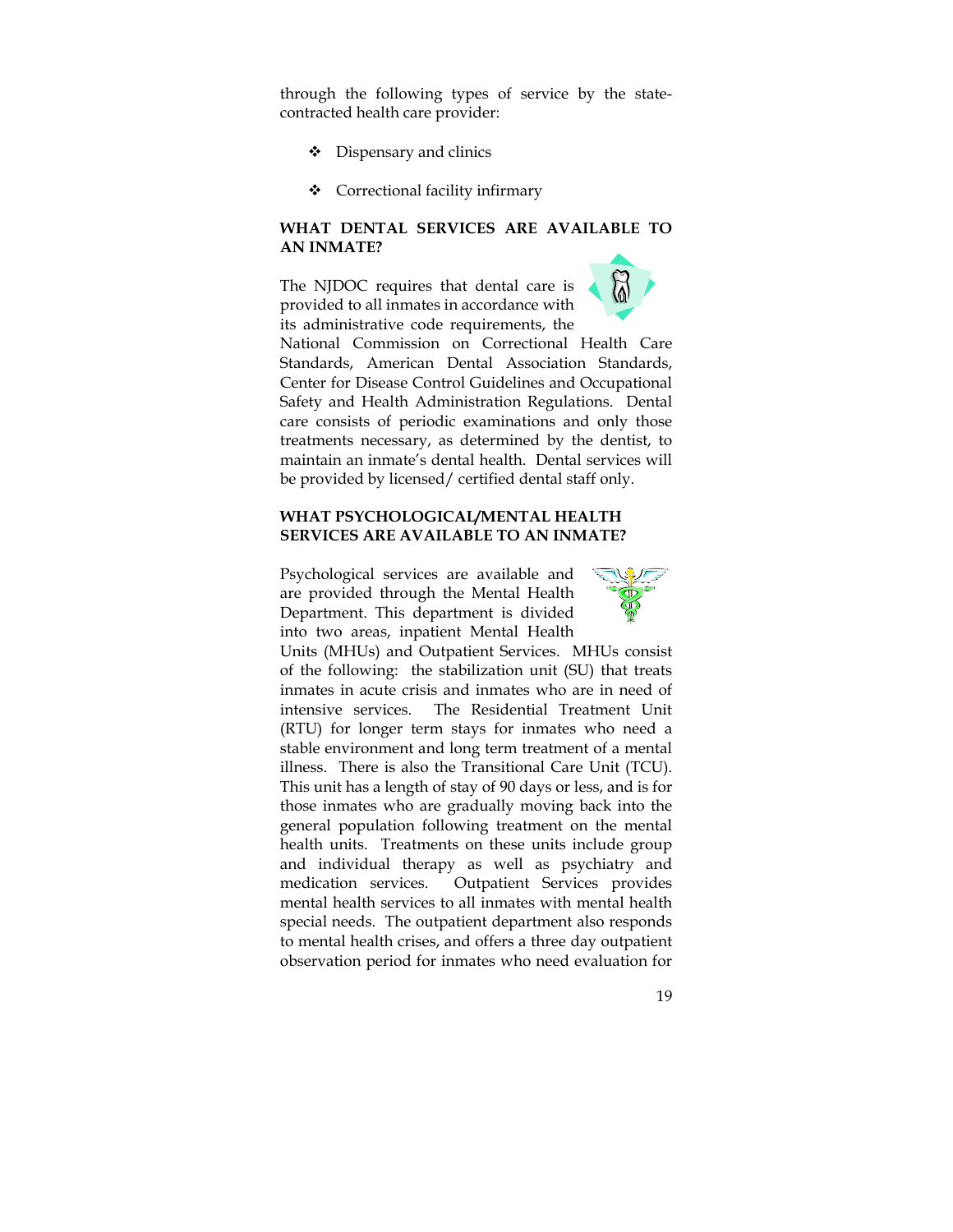through the following types of service by the statecontracted health care provider:

- Dispensary and clinics
- Correctional facility infirmary

## **WHAT DENTAL SERVICES ARE AVAILABLE TO AN INMATE?**

The NJDOC requires that dental care is provided to all inmates in accordance with its administrative code requirements, the



#### **WHAT PSYCHOLOGICAL/MENTAL HEALTH SERVICES ARE AVAILABLE TO AN INMATE?**

Psychological services are available and are provided through the Mental Health Department. This department is divided into two areas, inpatient Mental Health



Units (MHUs) and Outpatient Services. MHUs consist of the following: the stabilization unit (SU) that treats inmates in acute crisis and inmates who are in need of intensive services. The Residential Treatment Unit (RTU) for longer term stays for inmates who need a stable environment and long term treatment of a mental illness. There is also the Transitional Care Unit (TCU). This unit has a length of stay of 90 days or less, and is for those inmates who are gradually moving back into the general population following treatment on the mental health units. Treatments on these units include group and individual therapy as well as psychiatry and medication services. Outpatient Services provides mental health services to all inmates with mental health special needs. The outpatient department also responds to mental health crises, and offers a three day outpatient observation period for inmates who need evaluation for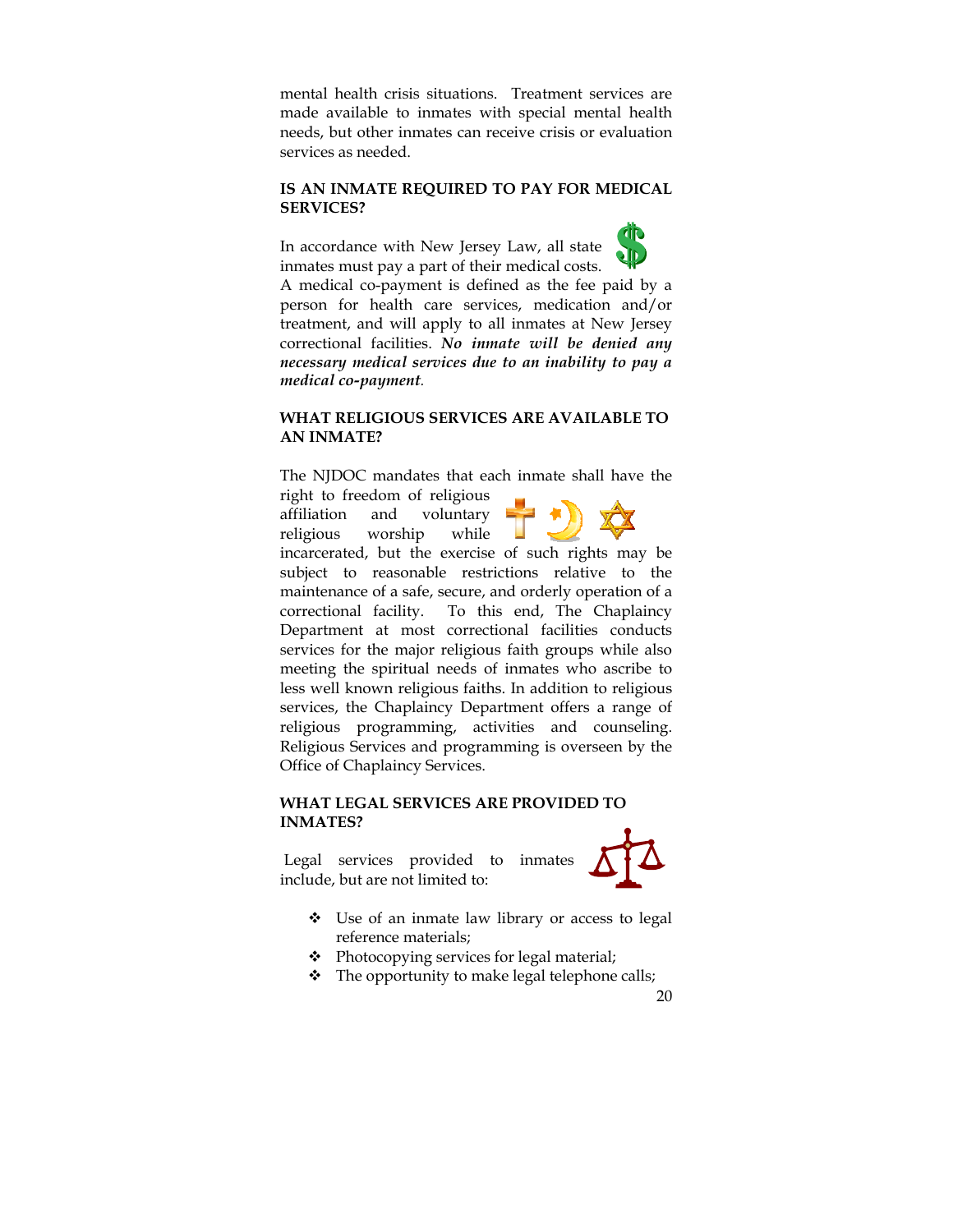mental health crisis situations. Treatment services are made available to inmates with special mental health needs, but other inmates can receive crisis or evaluation services as needed.

## **IS AN INMATE REQUIRED TO PAY FOR MEDICAL SERVICES?**

In accordance with New Jersey Law, all state inmates must pay a part of their medical costs.



A medical co-payment is defined as the fee paid by a person for health care services, medication and/or treatment, and will apply to all inmates at New Jersey correctional facilities. *No inmate will be denied any necessary medical services due to an inability to pay a medical co-payment.* 

## **WHAT RELIGIOUS SERVICES ARE AVAILABLE TO AN INMATE?**

The NJDOC mandates that each inmate shall have the right to freedom of religious

affiliation and voluntary religious worship while



incarcerated, but the exercise of such rights may be subject to reasonable restrictions relative to the maintenance of a safe, secure, and orderly operation of a correctional facility. To this end, The Chaplaincy Department at most correctional facilities conducts services for the major religious faith groups while also meeting the spiritual needs of inmates who ascribe to less well known religious faiths. In addition to religious services, the Chaplaincy Department offers a range of religious programming, activities and counseling. Religious Services and programming is overseen by the Office of Chaplaincy Services.

## **WHAT LEGAL SERVICES ARE PROVIDED TO INMATES?**

Legal services provided to inmates include, but are not limited to:



- Use of an inmate law library or access to legal reference materials;
- Photocopying services for legal material;
- $\div$  The opportunity to make legal telephone calls;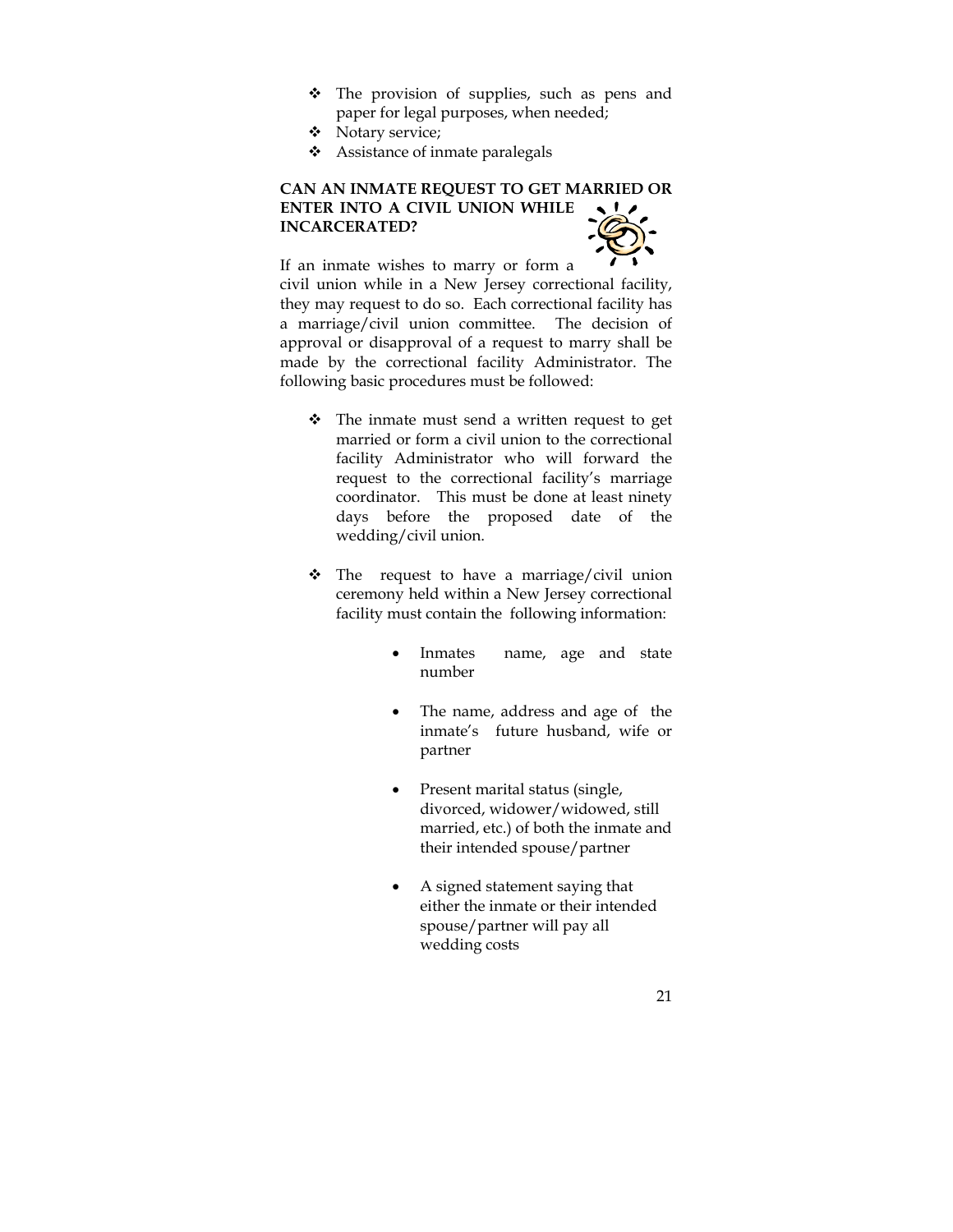- The provision of supplies, such as pens and paper for legal purposes, when needed;
- Notary service;
- Assistance of inmate paralegals

# **CAN AN INMATE REQUEST TO GET MARRIED OR ENTER INTO A CIVIL UNION WHILE INCARCERATED?**



If an inmate wishes to marry or form a civil union while in a New Jersey correctional facility, they may request to do so. Each correctional facility has a marriage/civil union committee. The decision of approval or disapproval of a request to marry shall be made by the correctional facility Administrator. The following basic procedures must be followed:

- $\div$  The inmate must send a written request to get married or form a civil union to the correctional facility Administrator who will forward the request to the correctional facility's marriage coordinator. This must be done at least ninety days before the proposed date of the wedding/civil union.
- $\cdot \cdot$  The request to have a marriage/civil union ceremony held within a New Jersey correctional facility must contain the following information:
	- Inmates name, age and state number
	- The name, address and age of the inmate's future husband, wife or partner
	- Present marital status (single, divorced, widower/widowed, still married, etc.) of both the inmate and their intended spouse/partner
	- A signed statement saying that either the inmate or their intended spouse/partner will pay all wedding costs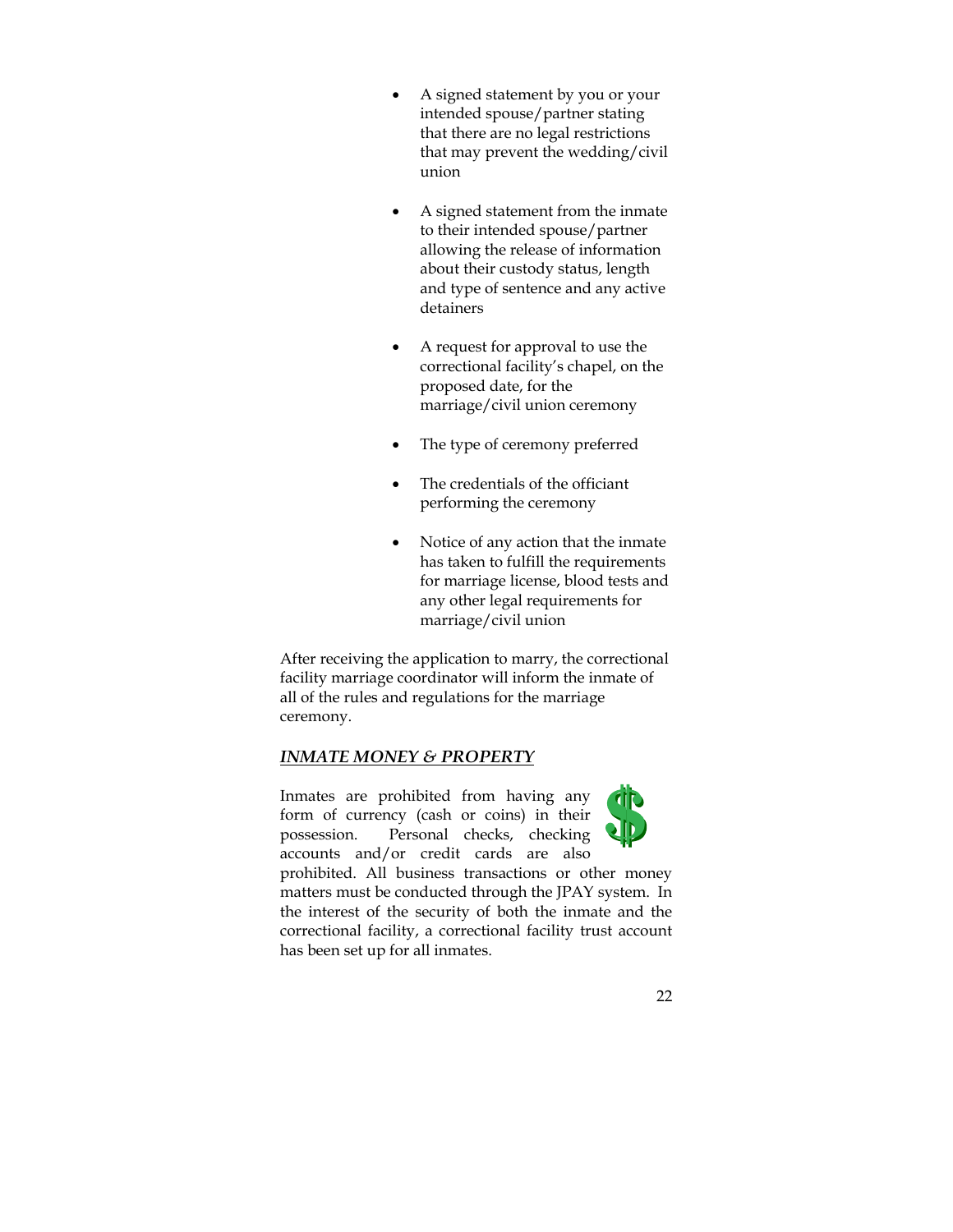- A signed statement by you or your intended spouse/partner stating that there are no legal restrictions that may prevent the wedding/civil union
- A signed statement from the inmate to their intended spouse/partner allowing the release of information about their custody status, length and type of sentence and any active detainers
- A request for approval to use the correctional facility's chapel, on the proposed date, for the marriage/civil union ceremony
- The type of ceremony preferred
- The credentials of the officiant performing the ceremony
- Notice of any action that the inmate has taken to fulfill the requirements for marriage license, blood tests and any other legal requirements for marriage/civil union

After receiving the application to marry, the correctional facility marriage coordinator will inform the inmate of all of the rules and regulations for the marriage ceremony.

# *INMATE MONEY & PROPERTY*

Inmates are prohibited from having any form of currency (cash or coins) in their possession. Personal checks, checking accounts and/or credit cards are also



prohibited. All business transactions or other money matters must be conducted through the JPAY system. In the interest of the security of both the inmate and the correctional facility, a correctional facility trust account has been set up for all inmates.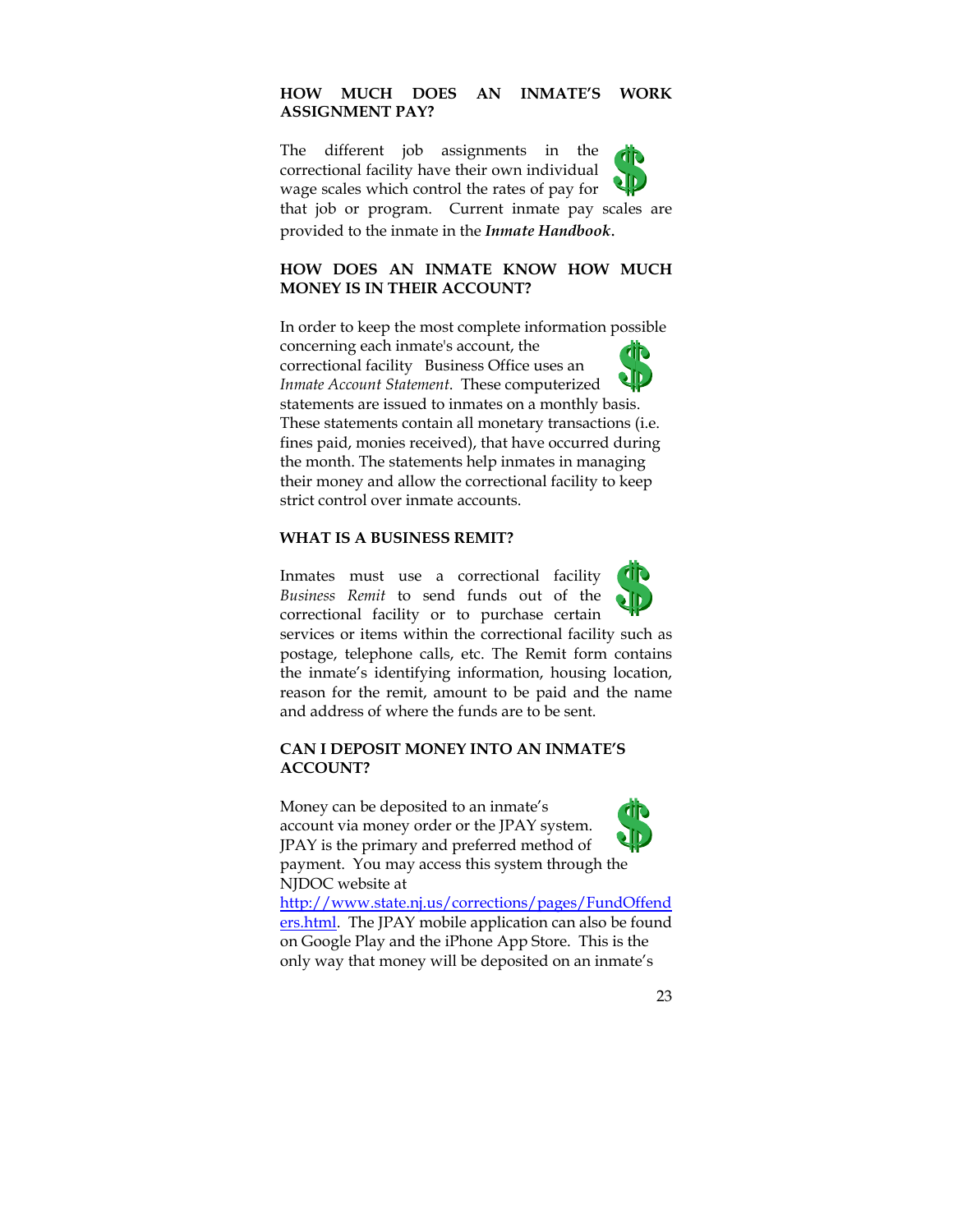# **HOW MUCH DOES AN INMATE'S WORK ASSIGNMENT PAY?**

The different job assignments in the correctional facility have their own individual wage scales which control the rates of pay for that job or program. Current inmate pay scales are provided to the inmate in the *Inmate Handbook*.

# **HOW DOES AN INMATE KNOW HOW MUCH MONEY IS IN THEIR ACCOUNT?**

In order to keep the most complete information possible concerning each inmate's account, the correctional facility Business Office uses an *Inmate Account Statement*. These computerized statements are issued to inmates on a monthly basis. These statements contain all monetary transactions (i.e. fines paid, monies received), that have occurred during the month. The statements help inmates in managing their money and allow the correctional facility to keep strict control over inmate accounts.

## **WHAT IS A BUSINESS REMIT?**

Inmates must use a correctional facility *Business Remit* to send funds out of the correctional facility or to purchase certain services or items within the correctional facility such as postage, telephone calls, etc. The Remit form contains the inmate's identifying information, housing location, reason for the remit, amount to be paid and the name and address of where the funds are to be sent.

#### **CAN I DEPOSIT MONEY INTO AN INMATE'S ACCOUNT?**

Money can be deposited to an inmate's account via money order or the JPAY system. JPAY is the primary and preferred method of payment. You may access this system through the NJDOC website at



http://www.state.nj.us/corrections/pages/FundOffend ers.html. The JPAY mobile application can also be found on Google Play and the iPhone App Store. This is the only way that money will be deposited on an inmate's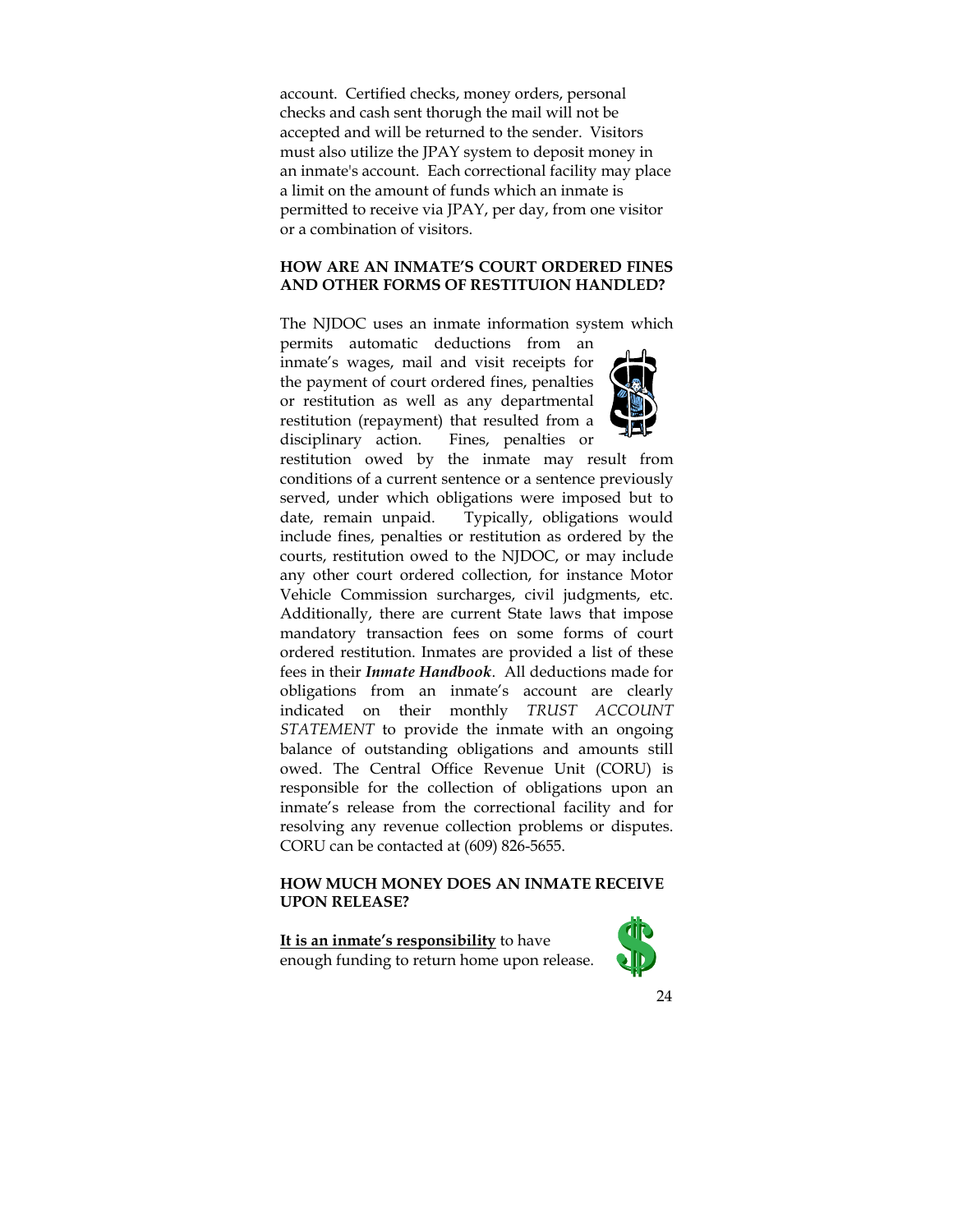account. Certified checks, money orders, personal checks and cash sent thorugh the mail will not be accepted and will be returned to the sender. Visitors must also utilize the JPAY system to deposit money in an inmate's account. Each correctional facility may place a limit on the amount of funds which an inmate is permitted to receive via JPAY, per day, from one visitor or a combination of visitors.

#### **HOW ARE AN INMATE'S COURT ORDERED FINES AND OTHER FORMS OF RESTITUION HANDLED?**

The NJDOC uses an inmate information system which

permits automatic deductions from an inmate's wages, mail and visit receipts for the payment of court ordered fines, penalties or restitution as well as any departmental restitution (repayment) that resulted from a disciplinary action. Fines, penalties or



restitution owed by the inmate may result from conditions of a current sentence or a sentence previously served, under which obligations were imposed but to date, remain unpaid. Typically, obligations would include fines, penalties or restitution as ordered by the courts, restitution owed to the NJDOC, or may include any other court ordered collection, for instance Motor Vehicle Commission surcharges, civil judgments, etc. Additionally, there are current State laws that impose mandatory transaction fees on some forms of court ordered restitution. Inmates are provided a list of these fees in their *Inmate Handbook*. All deductions made for obligations from an inmate's account are clearly indicated on their monthly *TRUST ACCOUNT STATEMENT* to provide the inmate with an ongoing balance of outstanding obligations and amounts still owed. The Central Office Revenue Unit (CORU) is responsible for the collection of obligations upon an inmate's release from the correctional facility and for resolving any revenue collection problems or disputes. CORU can be contacted at (609) 826-5655.

## **HOW MUCH MONEY DOES AN INMATE RECEIVE UPON RELEASE?**

**It is an inmate's responsibility** to have enough funding to return home upon release.

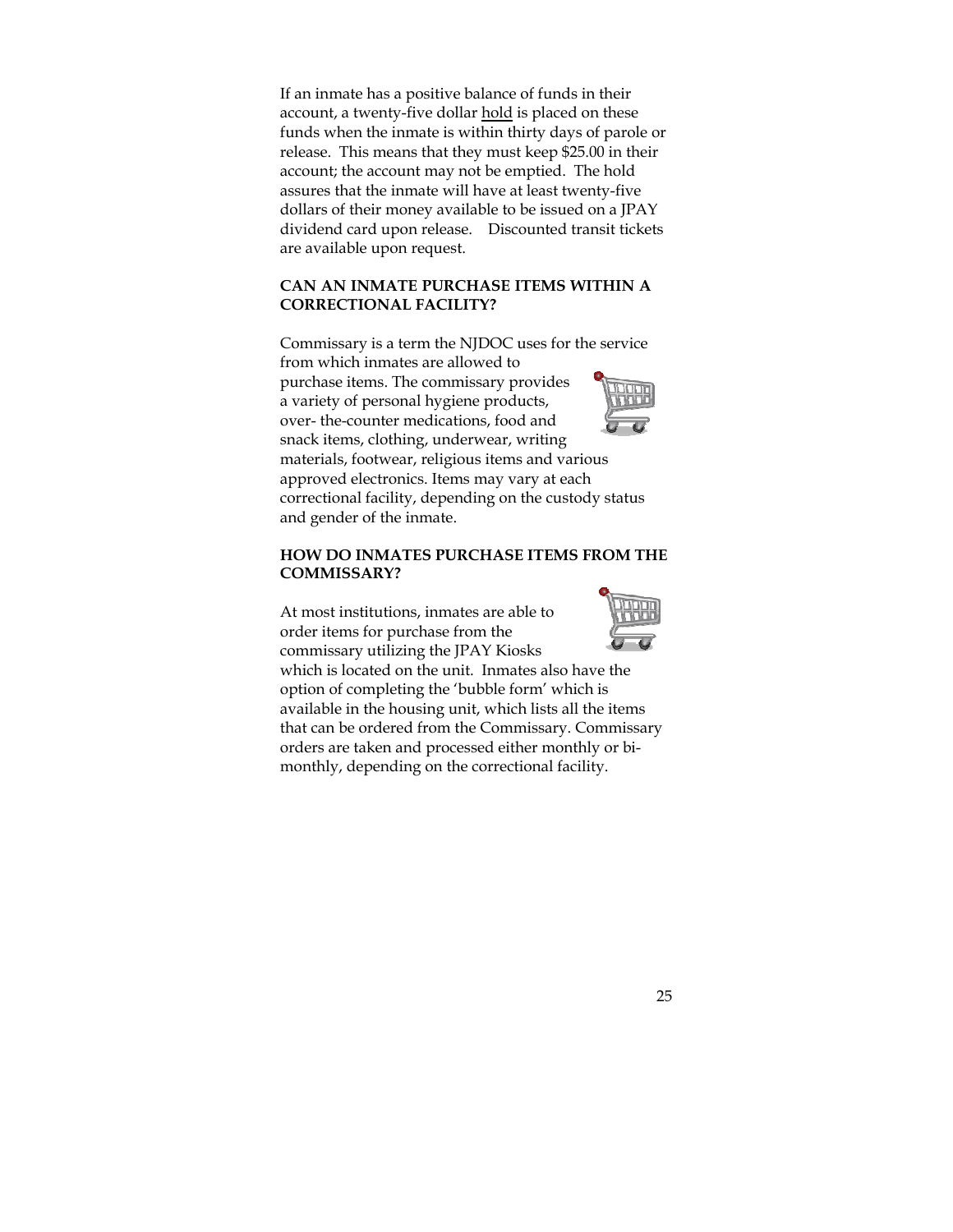If an inmate has a positive balance of funds in their account, a twenty-five dollar hold is placed on these funds when the inmate is within thirty days of parole or release. This means that they must keep \$25.00 in their account; the account may not be emptied. The hold assures that the inmate will have at least twenty-five dollars of their money available to be issued on a JPAY dividend card upon release. Discounted transit tickets are available upon request.

#### **CAN AN INMATE PURCHASE ITEMS WITHIN A CORRECTIONAL FACILITY?**

Commissary is a term the NJDOC uses for the service from which inmates are allowed to purchase items. The commissary provides a variety of personal hygiene products, over- the-counter medications, food and snack items, clothing, underwear, writing materials, footwear, religious items and various approved electronics. Items may vary at each correctional facility, depending on the custody status and gender of the inmate.

#### **HOW DO INMATES PURCHASE ITEMS FROM THE COMMISSARY?**

At most institutions, inmates are able to order items for purchase from the commissary utilizing the JPAY Kiosks



which is located on the unit. Inmates also have the option of completing the 'bubble form' which is available in the housing unit, which lists all the items that can be ordered from the Commissary. Commissary orders are taken and processed either monthly or bimonthly, depending on the correctional facility.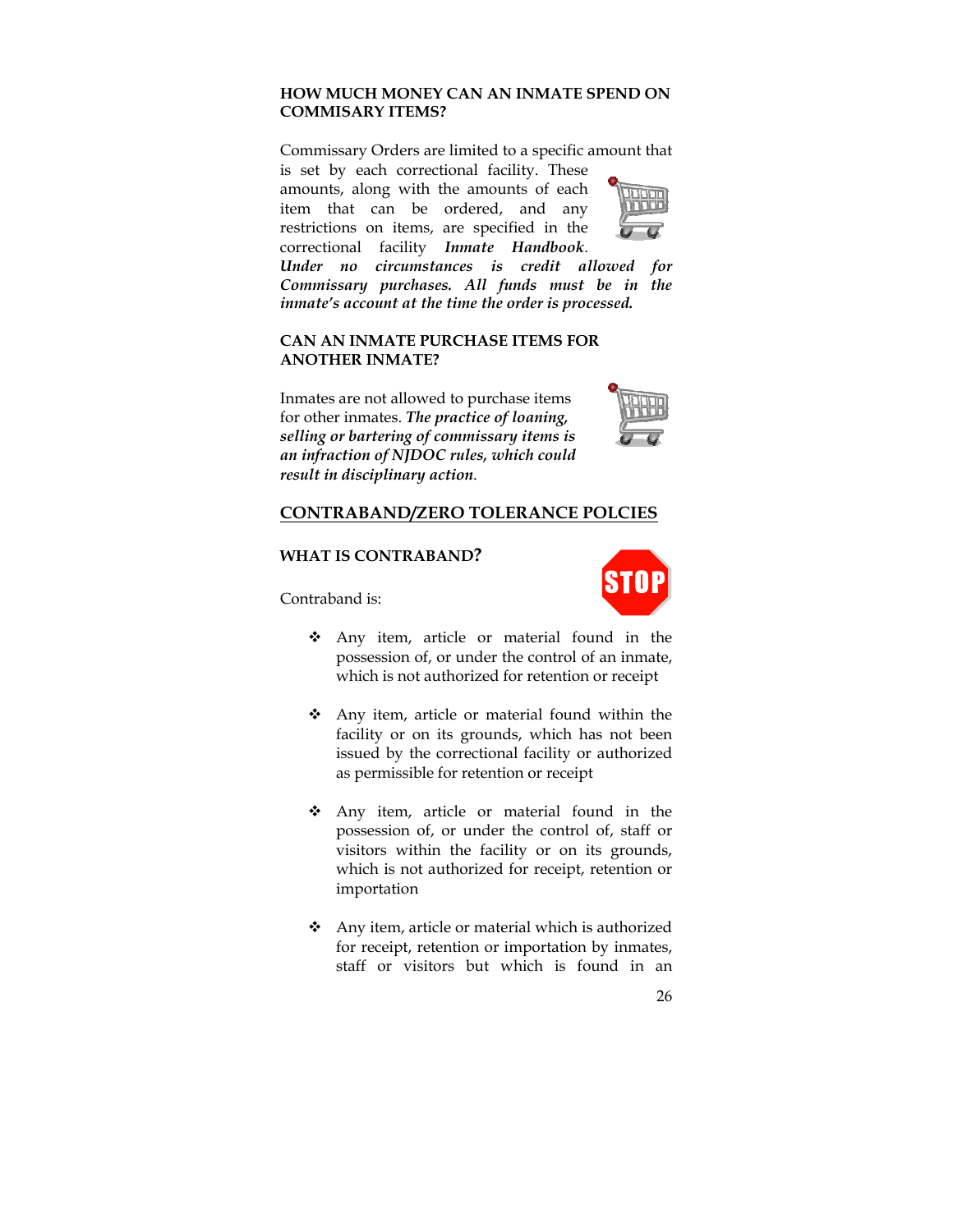# **HOW MUCH MONEY CAN AN INMATE SPEND ON COMMISARY ITEMS?**

Commissary Orders are limited to a specific amount that is set by each correctional facility. These

amounts, along with the amounts of each item that can be ordered, and any restrictions on items, are specified in the correctional facility *Inmate Handbook*.



*Under no circumstances is credit allowed for Commissary purchases. All funds must be in the inmate's account at the time the order is processed.*

#### **CAN AN INMATE PURCHASE ITEMS FOR ANOTHER INMATE?**

Inmates are not allowed to purchase items for other inmates. *The practice of loaning, selling or bartering of commissary items is an infraction of NJDOC rules, which could result in disciplinary action*.



# **CONTRABAND/ZERO TOLERANCE POLCIES**

#### **WHAT IS CONTRABAND?**

Contraband is:



- Any item, article or material found in the possession of, or under the control of an inmate, which is not authorized for retention or receipt
- Any item, article or material found within the facility or on its grounds, which has not been issued by the correctional facility or authorized as permissible for retention or receipt
- Any item, article or material found in the possession of, or under the control of, staff or visitors within the facility or on its grounds, which is not authorized for receipt, retention or importation
- $\triangleleft$  Any item, article or material which is authorized for receipt, retention or importation by inmates, staff or visitors but which is found in an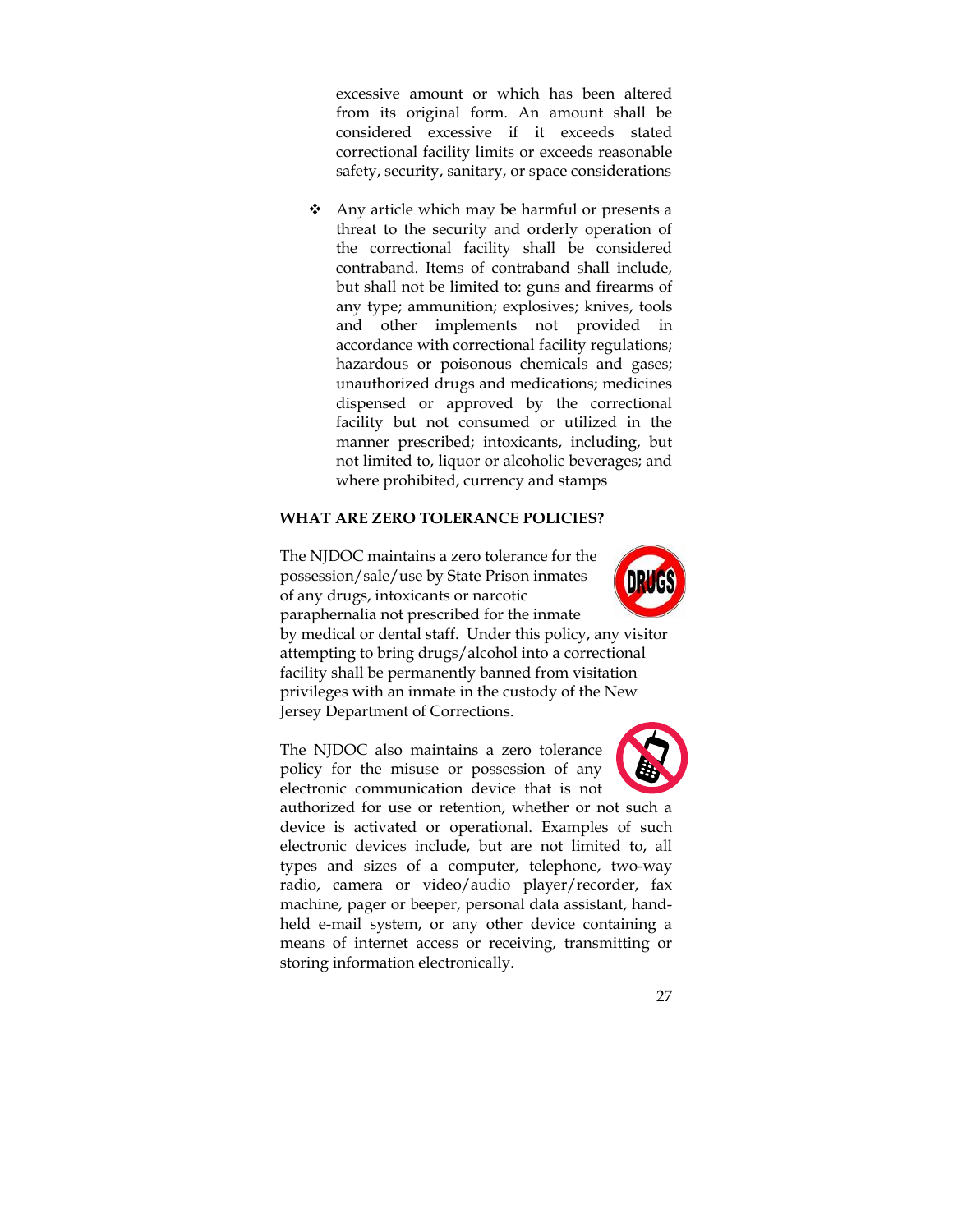excessive amount or which has been altered from its original form. An amount shall be considered excessive if it exceeds stated correctional facility limits or exceeds reasonable safety, security, sanitary, or space considerations

 Any article which may be harmful or presents a threat to the security and orderly operation of the correctional facility shall be considered contraband. Items of contraband shall include, but shall not be limited to: guns and firearms of any type; ammunition; explosives; knives, tools and other implements not provided in accordance with correctional facility regulations; hazardous or poisonous chemicals and gases; unauthorized drugs and medications; medicines dispensed or approved by the correctional facility but not consumed or utilized in the manner prescribed; intoxicants, including, but not limited to, liquor or alcoholic beverages; and where prohibited, currency and stamps

#### **WHAT ARE ZERO TOLERANCE POLICIES?**



The NJDOC maintains a zero tolerance for the possession/sale/use by State Prison inmates of any drugs, intoxicants or narcotic paraphernalia not prescribed for the inmate by medical or dental staff. Under this policy, any visitor attempting to bring drugs/alcohol into a correctional facility shall be permanently banned from visitation privileges with an inmate in the custody of the New Jersey Department of Corrections.

The NJDOC also maintains a zero tolerance policy for the misuse or possession of any electronic communication device that is not



authorized for use or retention, whether or not such a device is activated or operational. Examples of such electronic devices include, but are not limited to, all types and sizes of a computer, telephone, two-way radio, camera or video/audio player/recorder, fax machine, pager or beeper, personal data assistant, handheld e-mail system, or any other device containing a means of internet access or receiving, transmitting or storing information electronically.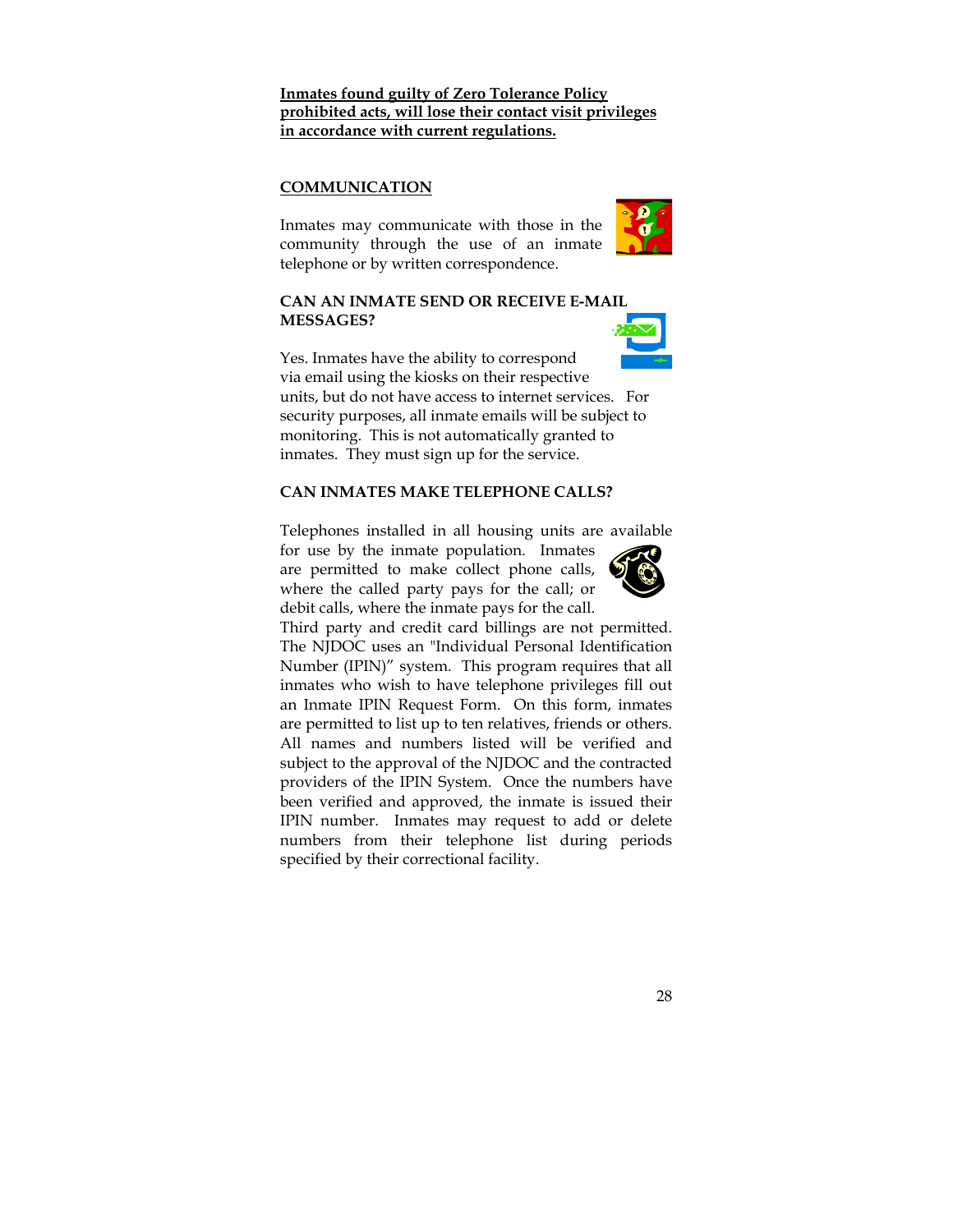# **Inmates found guilty of Zero Tolerance Policy prohibited acts, will lose their contact visit privileges in accordance with current regulations.**

## **COMMUNICATION**

Inmates may communicate with those in the community through the use of an inmate telephone or by written correspondence.





Yes. Inmates have the ability to correspond via email using the kiosks on their respective units, but do not have access to internet services. For security purposes, all inmate emails will be subject to monitoring. This is not automatically granted to inmates. They must sign up for the service.

#### **CAN INMATES MAKE TELEPHONE CALLS?**

Telephones installed in all housing units are available

for use by the inmate population. Inmates are permitted to make collect phone calls, where the called party pays for the call; or debit calls, where the inmate pays for the call.



Third party and credit card billings are not permitted. The NJDOC uses an "Individual Personal Identification Number (IPIN)" system. This program requires that all inmates who wish to have telephone privileges fill out an Inmate IPIN Request Form. On this form, inmates are permitted to list up to ten relatives, friends or others. All names and numbers listed will be verified and subject to the approval of the NJDOC and the contracted providers of the IPIN System. Once the numbers have been verified and approved, the inmate is issued their IPIN number. Inmates may request to add or delete numbers from their telephone list during periods specified by their correctional facility.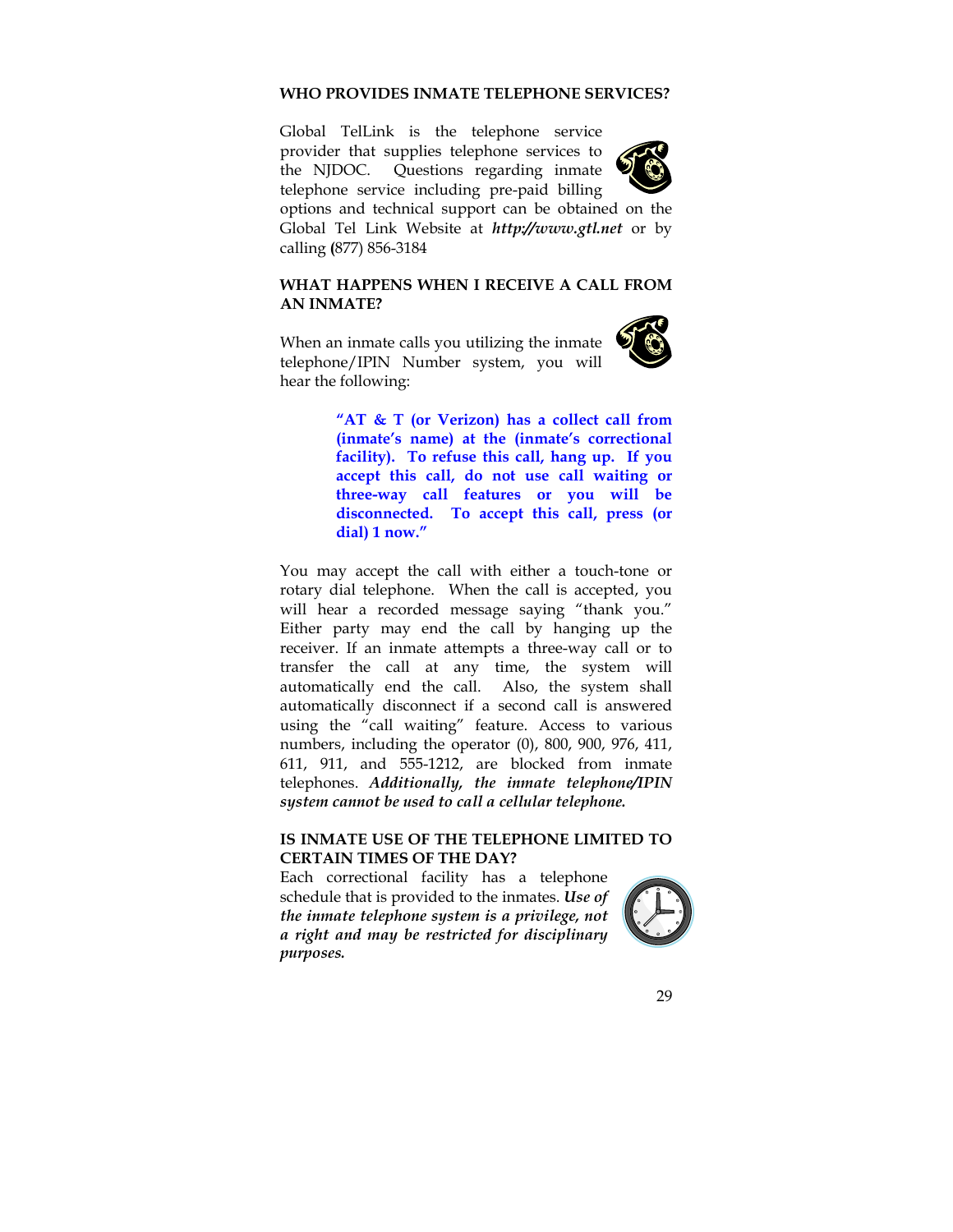#### **WHO PROVIDES INMATE TELEPHONE SERVICES?**

Global TelLink is the telephone service provider that supplies telephone services to the NJDOC. Questions regarding inmate telephone service including pre-paid billing



options and technical support can be obtained on the Global Tel Link Website at *http://www.gtl.net* or by calling **(**877) 856-3184

### **WHAT HAPPENS WHEN I RECEIVE A CALL FROM AN INMATE?**

When an inmate calls you utilizing the inmate telephone/IPIN Number system, you will hear the following:



**"AT & T (or Verizon) has a collect call from (inmate's name) at the (inmate's correctional facility). To refuse this call, hang up. If you accept this call, do not use call waiting or three-way call features or you will be disconnected. To accept this call, press (or dial) 1 now."** 

You may accept the call with either a touch-tone or rotary dial telephone. When the call is accepted, you will hear a recorded message saying "thank you." Either party may end the call by hanging up the receiver. If an inmate attempts a three-way call or to transfer the call at any time, the system will automatically end the call. Also, the system shall automatically disconnect if a second call is answered using the "call waiting" feature. Access to various numbers, including the operator (0), 800, 900, 976, 411, 611, 911, and 555-1212, are blocked from inmate telephones. *Additionally, the inmate telephone/IPIN system cannot be used to call a cellular telephone.*

#### **IS INMATE USE OF THE TELEPHONE LIMITED TO CERTAIN TIMES OF THE DAY?**

Each correctional facility has a telephone schedule that is provided to the inmates. *Use of the inmate telephone system is a privilege, not a right and may be restricted for disciplinary purposes.* 

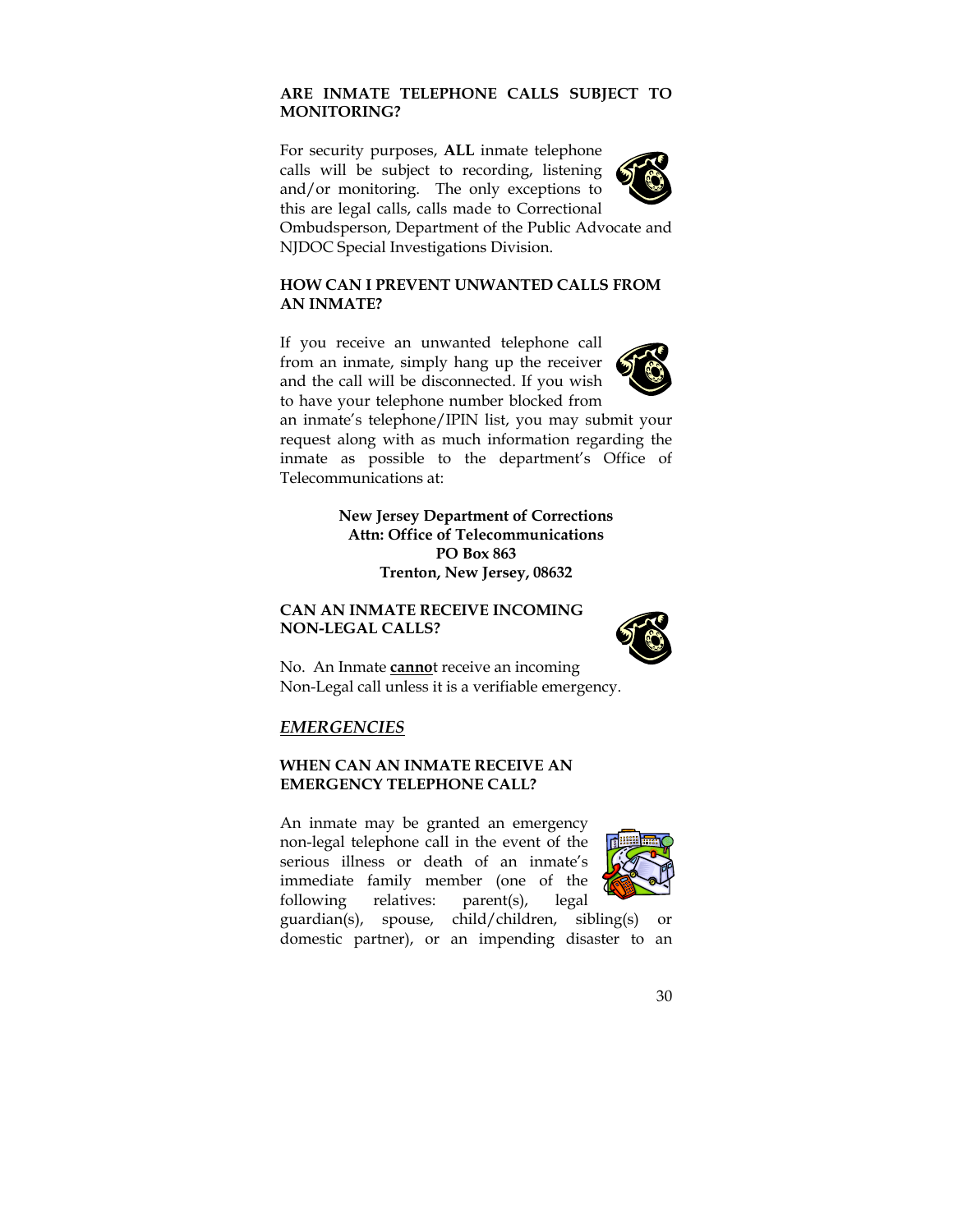# **ARE INMATE TELEPHONE CALLS SUBJECT TO MONITORING?**

For security purposes, **ALL** inmate telephone calls will be subject to recording, listening and/or monitoring. The only exceptions to this are legal calls, calls made to Correctional Ombudsperson, Department of the Public Advocate and NJDOC Special Investigations Division.

## **HOW CAN I PREVENT UNWANTED CALLS FROM AN INMATE?**

If you receive an unwanted telephone call from an inmate, simply hang up the receiver and the call will be disconnected. If you wish to have your telephone number blocked from



an inmate's telephone/IPIN list, you may submit your request along with as much information regarding the inmate as possible to the department's Office of Telecommunications at:

> **New Jersey Department of Corrections Attn: Office of Telecommunications PO Box 863 Trenton, New Jersey, 08632**

## **CAN AN INMATE RECEIVE INCOMING NON-LEGAL CALLS?**



No. An Inmate **canno**t receive an incoming Non-Legal call unless it is a verifiable emergency.

## *EMERGENCIES*

## **WHEN CAN AN INMATE RECEIVE AN EMERGENCY TELEPHONE CALL?**

An inmate may be granted an emergency non-legal telephone call in the event of the serious illness or death of an inmate's immediate family member (one of the following relatives: parent(s), legal



guardian(s), spouse, child/children, sibling(s) or domestic partner), or an impending disaster to an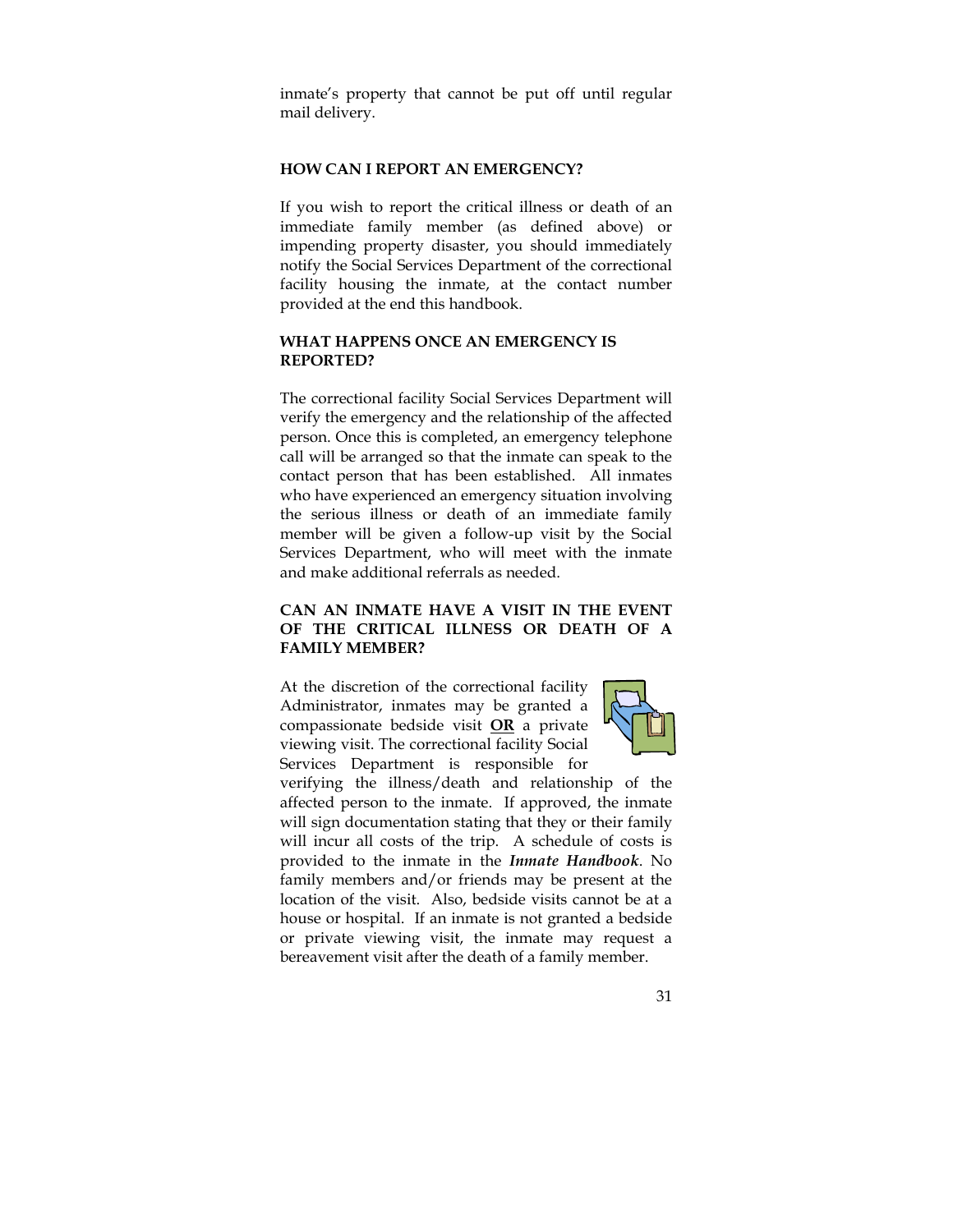inmate's property that cannot be put off until regular mail delivery.

#### **HOW CAN I REPORT AN EMERGENCY?**

If you wish to report the critical illness or death of an immediate family member (as defined above) or impending property disaster, you should immediately notify the Social Services Department of the correctional facility housing the inmate, at the contact number provided at the end this handbook.

#### **WHAT HAPPENS ONCE AN EMERGENCY IS REPORTED?**

The correctional facility Social Services Department will verify the emergency and the relationship of the affected person. Once this is completed, an emergency telephone call will be arranged so that the inmate can speak to the contact person that has been established. All inmates who have experienced an emergency situation involving the serious illness or death of an immediate family member will be given a follow-up visit by the Social Services Department, who will meet with the inmate and make additional referrals as needed.

## **CAN AN INMATE HAVE A VISIT IN THE EVENT OF THE CRITICAL ILLNESS OR DEATH OF A FAMILY MEMBER?**

At the discretion of the correctional facility Administrator, inmates may be granted a compassionate bedside visit **OR** a private viewing visit. The correctional facility Social Services Department is responsible for



verifying the illness/death and relationship of the affected person to the inmate. If approved, the inmate will sign documentation stating that they or their family will incur all costs of the trip. A schedule of costs is provided to the inmate in the *Inmate Handbook*. No family members and/or friends may be present at the location of the visit. Also, bedside visits cannot be at a house or hospital. If an inmate is not granted a bedside or private viewing visit, the inmate may request a bereavement visit after the death of a family member.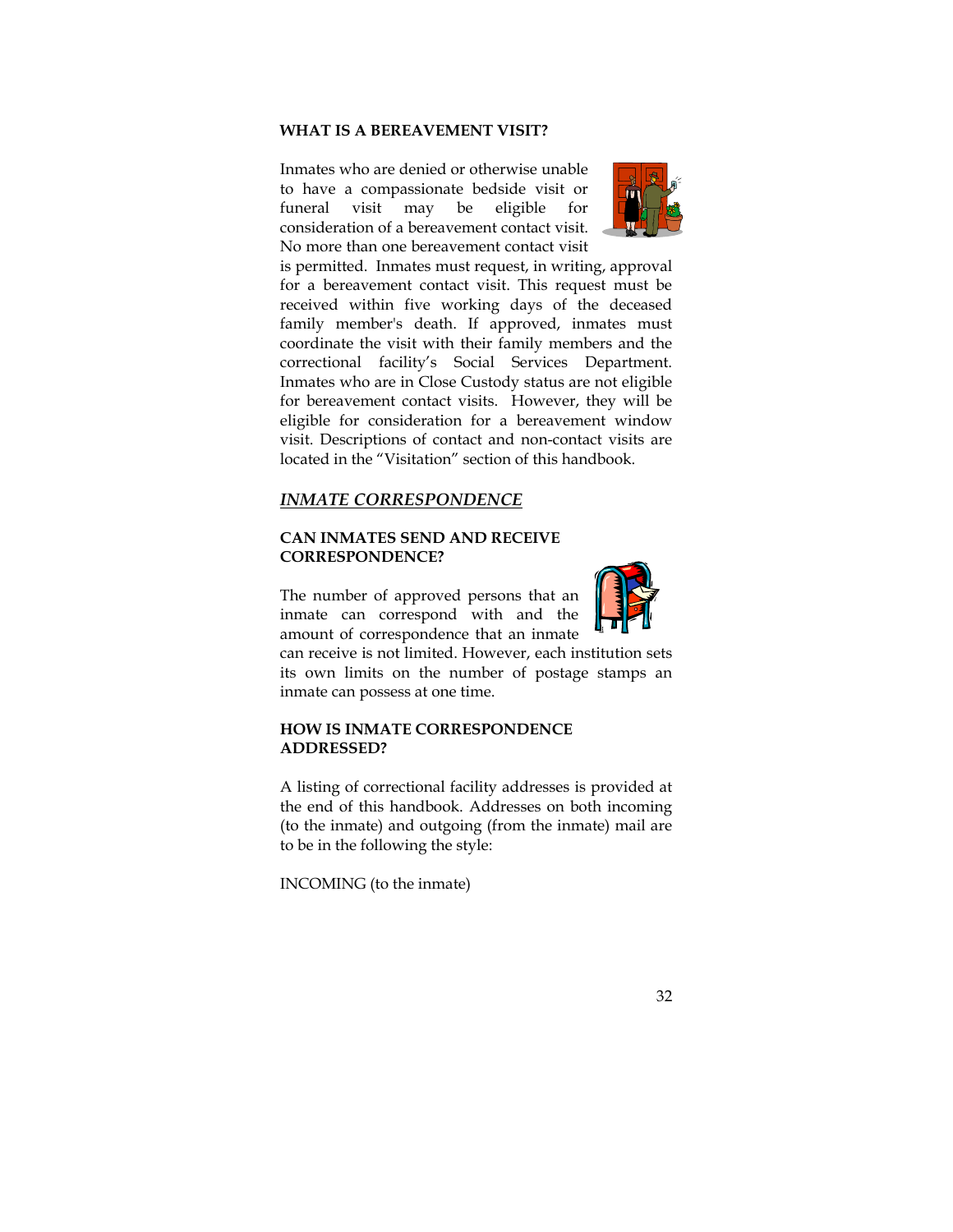#### **WHAT IS A BEREAVEMENT VISIT?**

Inmates who are denied or otherwise unable to have a compassionate bedside visit or funeral visit may be eligible for consideration of a bereavement contact visit. No more than one bereavement contact visit



is permitted. Inmates must request, in writing, approval for a bereavement contact visit. This request must be received within five working days of the deceased family member's death. If approved, inmates must coordinate the visit with their family members and the correctional facility's Social Services Department. Inmates who are in Close Custody status are not eligible for bereavement contact visits. However, they will be eligible for consideration for a bereavement window visit. Descriptions of contact and non-contact visits are located in the "Visitation" section of this handbook.

#### *INMATE CORRESPONDENCE*

## **CAN INMATES SEND AND RECEIVE CORRESPONDENCE?**

The number of approved persons that an inmate can correspond with and the amount of correspondence that an inmate



can receive is not limited. However, each institution sets its own limits on the number of postage stamps an inmate can possess at one time.

## **HOW IS INMATE CORRESPONDENCE ADDRESSED?**

A listing of correctional facility addresses is provided at the end of this handbook. Addresses on both incoming (to the inmate) and outgoing (from the inmate) mail are to be in the following the style:

INCOMING (to the inmate)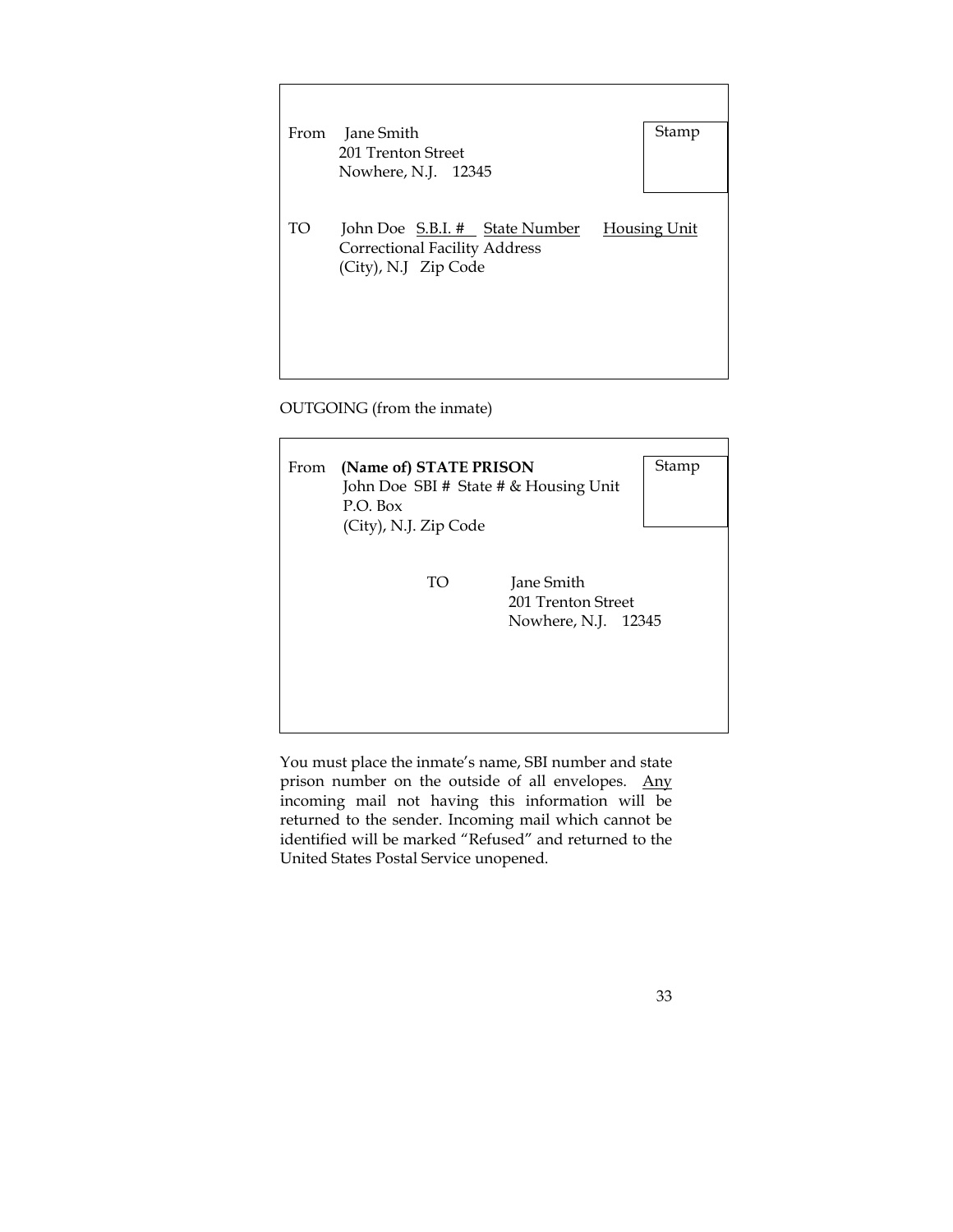| From | Jane Smith                                                                                     | Stamp               |
|------|------------------------------------------------------------------------------------------------|---------------------|
|      | 201 Trenton Street                                                                             |                     |
|      | Nowhere, N.J. 12345                                                                            |                     |
|      |                                                                                                |                     |
| TO   | John Doe S.B.I. # State Number<br><b>Correctional Facility Address</b><br>(City), N.J Zip Code | <b>Housing Unit</b> |
|      |                                                                                                |                     |
|      |                                                                                                |                     |
|      |                                                                                                |                     |
|      |                                                                                                |                     |

OUTGOING (from the inmate)

| From | (Name of) STATE PRISON<br>P.O. Box<br>(City), N.J. Zip Code | John Doe SBI # State # & Housing Unit                   | Stamp |
|------|-------------------------------------------------------------|---------------------------------------------------------|-------|
|      | TO                                                          | Jane Smith<br>201 Trenton Street<br>Nowhere, N.J. 12345 |       |

You must place the inmate's name, SBI number and state prison number on the outside of all envelopes. Any incoming mail not having this information will be returned to the sender. Incoming mail which cannot be identified will be marked "Refused" and returned to the United States Postal Service unopened.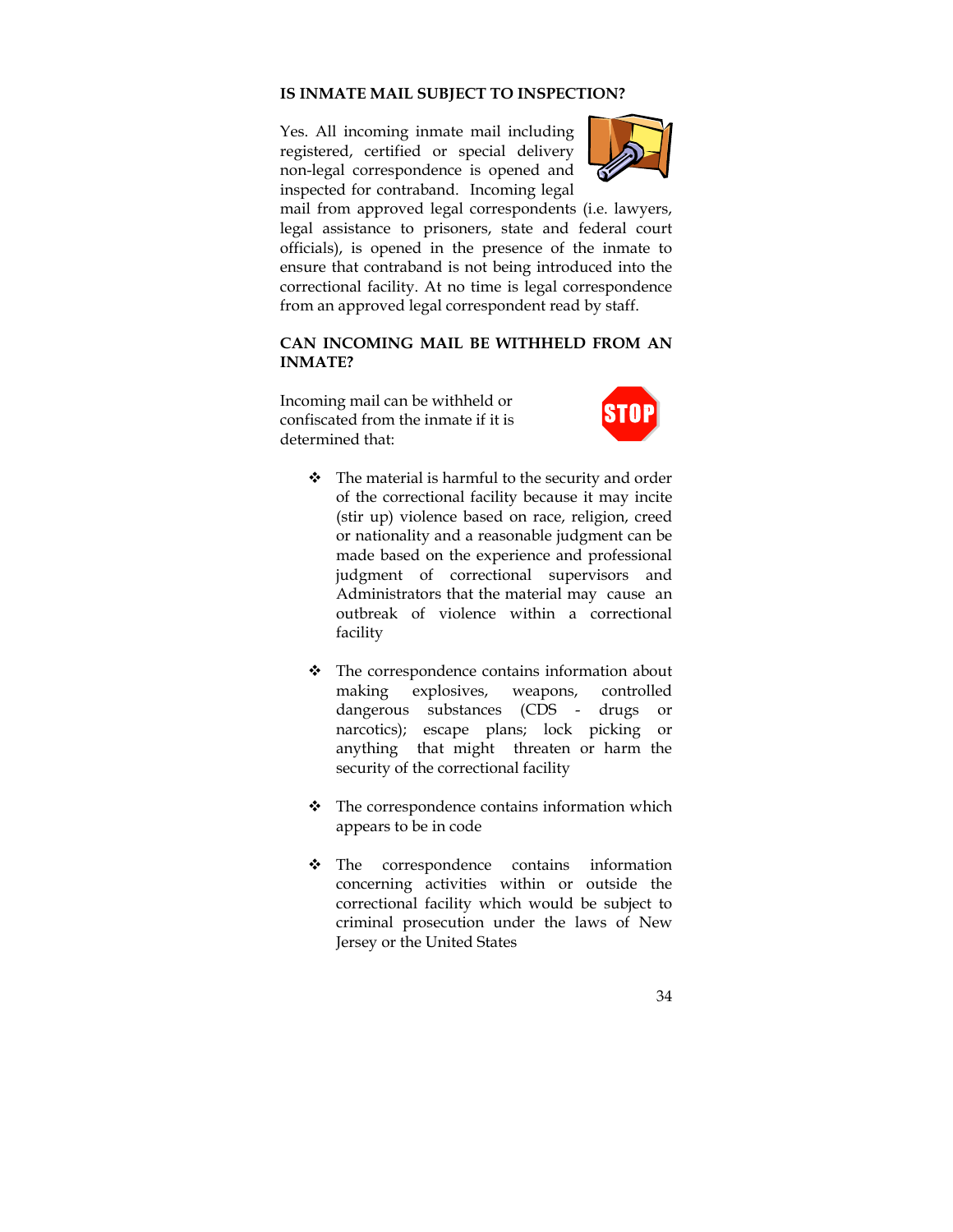#### **IS INMATE MAIL SUBJECT TO INSPECTION?**

Yes. All incoming inmate mail including registered, certified or special delivery non-legal correspondence is opened and inspected for contraband. Incoming legal



mail from approved legal correspondents (i.e. lawyers, legal assistance to prisoners, state and federal court officials), is opened in the presence of the inmate to ensure that contraband is not being introduced into the correctional facility. At no time is legal correspondence from an approved legal correspondent read by staff.

## **CAN INCOMING MAIL BE WITHHELD FROM AN INMATE?**

Incoming mail can be withheld or confiscated from the inmate if it is determined that:



- \* The material is harmful to the security and order of the correctional facility because it may incite (stir up) violence based on race, religion, creed or nationality and a reasonable judgment can be made based on the experience and professional judgment of correctional supervisors and Administrators that the material may cause an outbreak of violence within a correctional facility
- $\div$  The correspondence contains information about making explosives, weapons, controlled dangerous substances (CDS - drugs or narcotics); escape plans; lock picking or anything that might threaten or harm the security of the correctional facility
- $\div$  The correspondence contains information which appears to be in code
- The correspondence contains information concerning activities within or outside the correctional facility which would be subject to criminal prosecution under the laws of New Jersey or the United States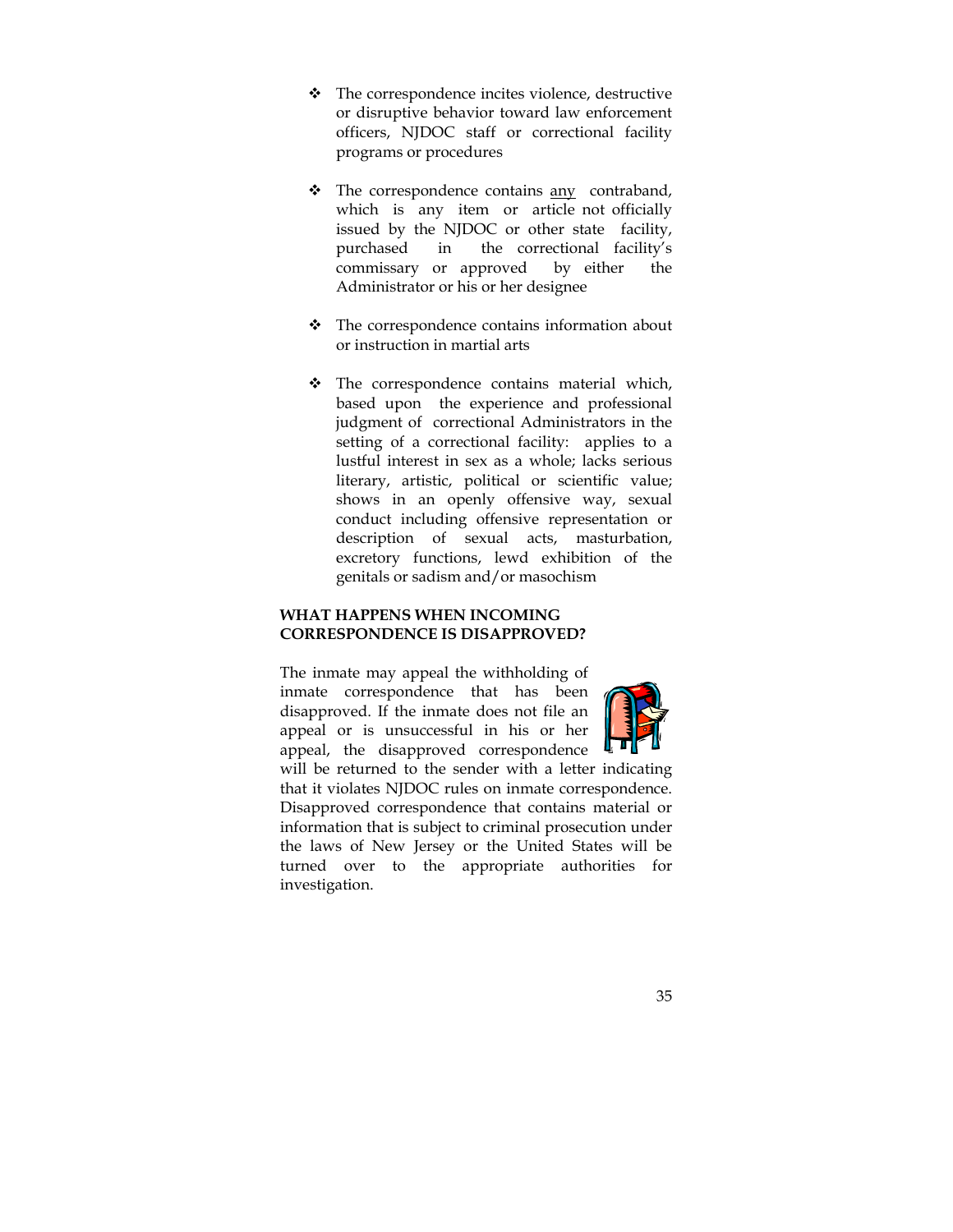- The correspondence incites violence, destructive or disruptive behavior toward law enforcement officers, NJDOC staff or correctional facility programs or procedures
- $\cdot \cdot$  The correspondence contains  $\frac{any}{any}$  contraband, which is any item or article not officially issued by the NJDOC or other state facility, purchased in the correctional facility's commissary or approved by either the Administrator or his or her designee
- The correspondence contains information about or instruction in martial arts
- \* The correspondence contains material which, based upon the experience and professional judgment of correctional Administrators in the setting of a correctional facility: applies to a lustful interest in sex as a whole; lacks serious literary, artistic, political or scientific value; shows in an openly offensive way, sexual conduct including offensive representation or description of sexual acts, masturbation, excretory functions, lewd exhibition of the genitals or sadism and/or masochism

## **WHAT HAPPENS WHEN INCOMING CORRESPONDENCE IS DISAPPROVED?**

The inmate may appeal the withholding of inmate correspondence that has been disapproved. If the inmate does not file an appeal or is unsuccessful in his or her appeal, the disapproved correspondence



will be returned to the sender with a letter indicating that it violates NJDOC rules on inmate correspondence. Disapproved correspondence that contains material or information that is subject to criminal prosecution under the laws of New Jersey or the United States will be turned over to the appropriate authorities for investigation.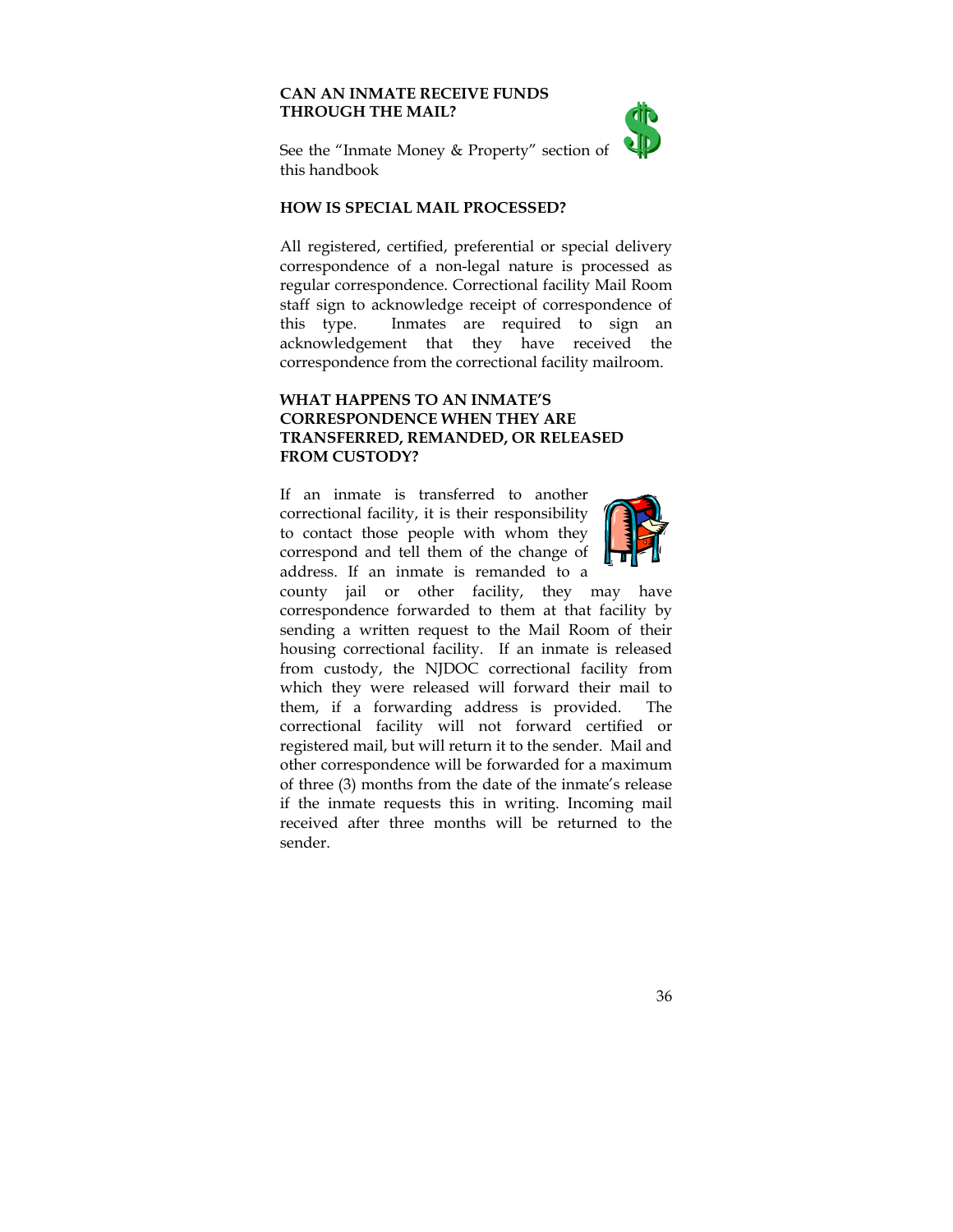## **CAN AN INMATE RECEIVE FUNDS THROUGH THE MAIL?**



See the "Inmate Money & Property" section of this handbook

#### **HOW IS SPECIAL MAIL PROCESSED?**

All registered, certified, preferential or special delivery correspondence of a non-legal nature is processed as regular correspondence. Correctional facility Mail Room staff sign to acknowledge receipt of correspondence of this type. Inmates are required to sign an acknowledgement that they have received the correspondence from the correctional facility mailroom.

## **WHAT HAPPENS TO AN INMATE'S CORRESPONDENCE WHEN THEY ARE TRANSFERRED, REMANDED, OR RELEASED FROM CUSTODY?**

If an inmate is transferred to another correctional facility, it is their responsibility to contact those people with whom they correspond and tell them of the change of address. If an inmate is remanded to a



county jail or other facility, they may have correspondence forwarded to them at that facility by sending a written request to the Mail Room of their housing correctional facility. If an inmate is released from custody, the NJDOC correctional facility from which they were released will forward their mail to them, if a forwarding address is provided. The correctional facility will not forward certified or registered mail, but will return it to the sender. Mail and other correspondence will be forwarded for a maximum of three (3) months from the date of the inmate's release if the inmate requests this in writing. Incoming mail received after three months will be returned to the sender.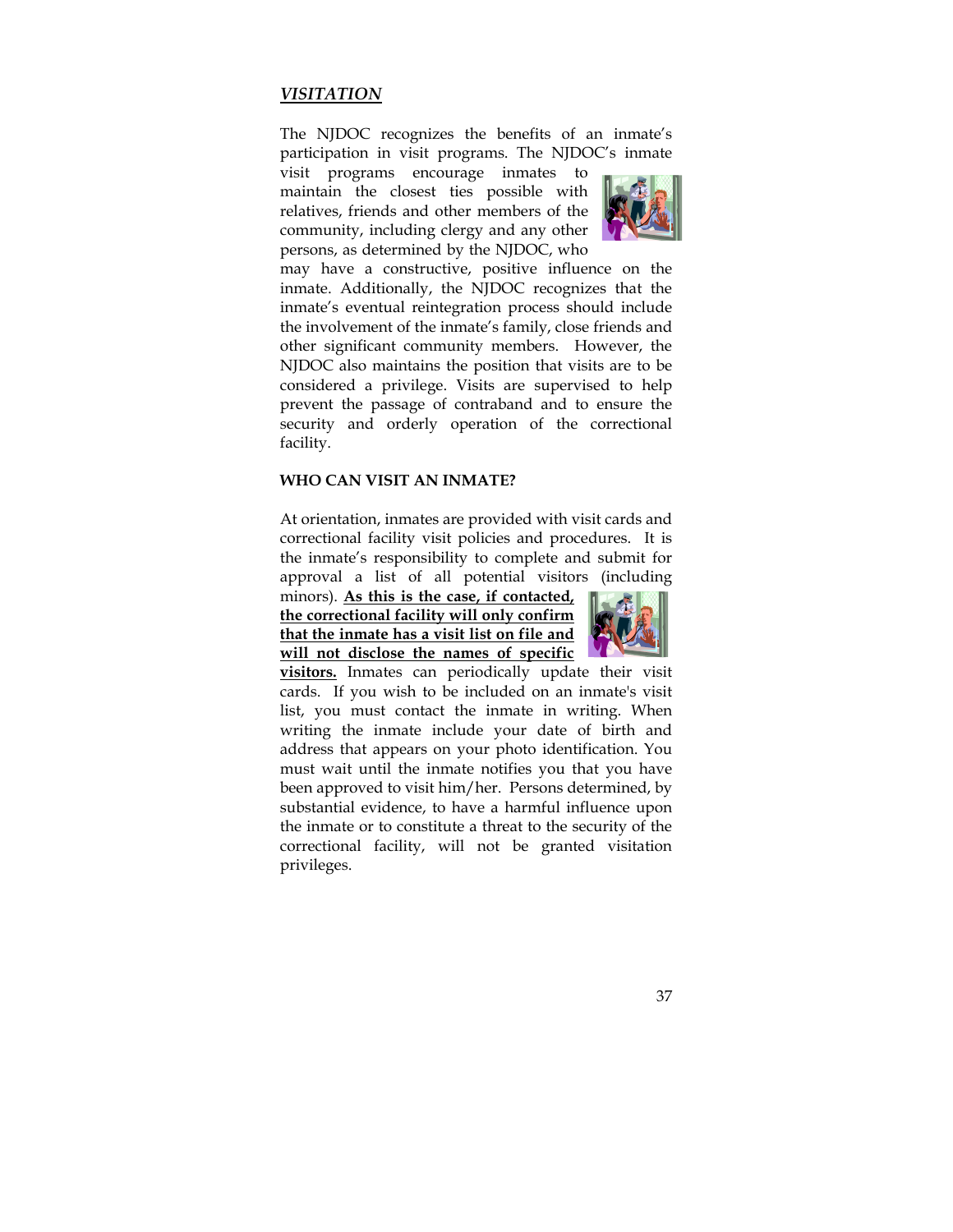## *VISITATION*

The NJDOC recognizes the benefits of an inmate's participation in visit programs. The NJDOC's inmate

visit programs encourage inmates to maintain the closest ties possible with relatives, friends and other members of the community, including clergy and any other persons, as determined by the NJDOC, who



may have a constructive, positive influence on the inmate. Additionally, the NJDOC recognizes that the inmate's eventual reintegration process should include the involvement of the inmate's family, close friends and other significant community members. However, the NJDOC also maintains the position that visits are to be considered a privilege. Visits are supervised to help prevent the passage of contraband and to ensure the security and orderly operation of the correctional facility.

## **WHO CAN VISIT AN INMATE?**

At orientation, inmates are provided with visit cards and correctional facility visit policies and procedures. It is the inmate's responsibility to complete and submit for approval a list of all potential visitors (including

minors). **As this is the case, if contacted, the correctional facility will only confirm that the inmate has a visit list on file and will not disclose the names of specific** 



**visitors.** Inmates can periodically update their visit cards. If you wish to be included on an inmate's visit list, you must contact the inmate in writing. When writing the inmate include your date of birth and address that appears on your photo identification. You must wait until the inmate notifies you that you have been approved to visit him/her. Persons determined, by substantial evidence, to have a harmful influence upon the inmate or to constitute a threat to the security of the correctional facility, will not be granted visitation privileges.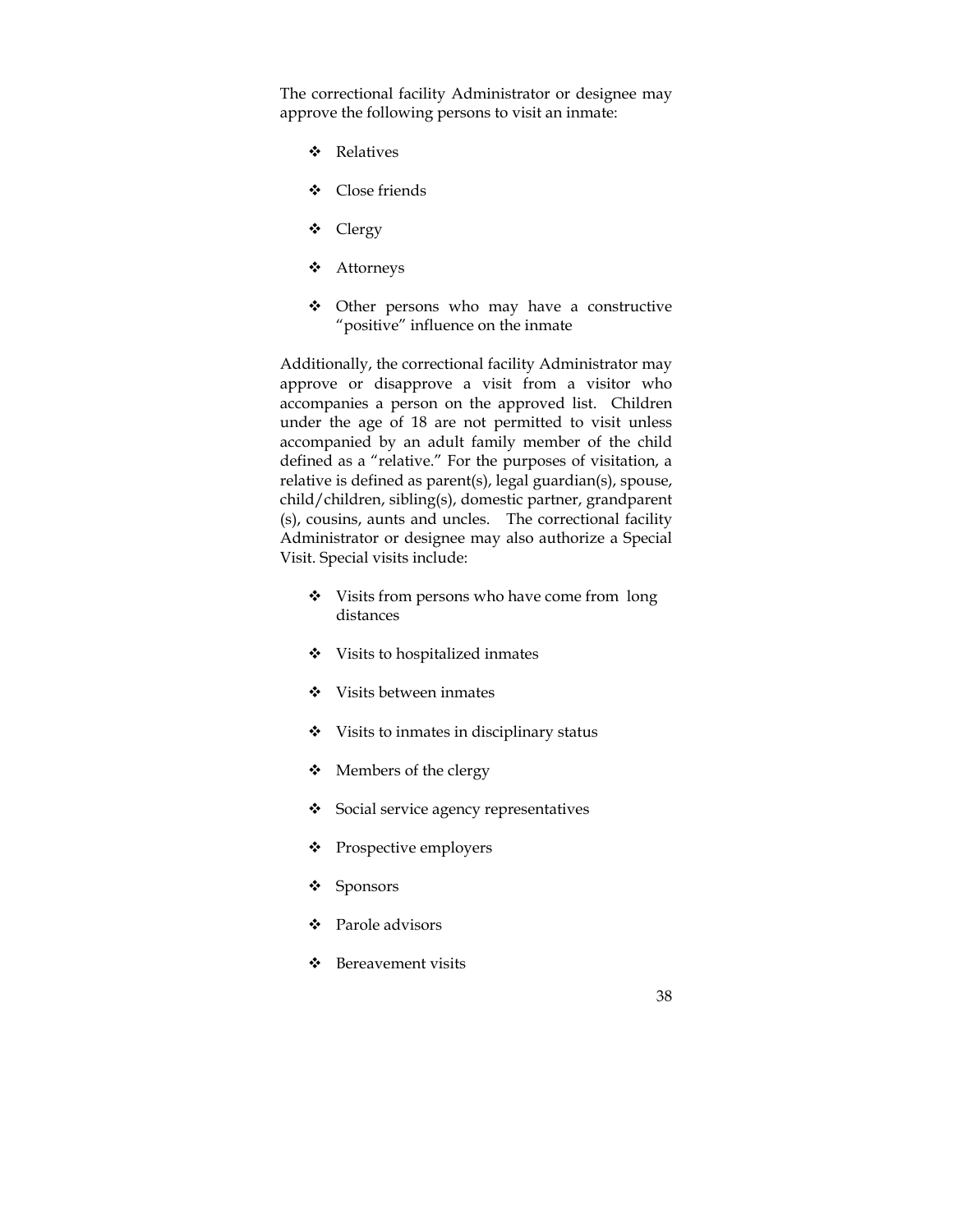The correctional facility Administrator or designee may approve the following persons to visit an inmate:

- Relatives
- Close friends
- Clergy
- Attorneys
- Other persons who may have a constructive "positive" influence on the inmate

Additionally, the correctional facility Administrator may approve or disapprove a visit from a visitor who accompanies a person on the approved list. Children under the age of 18 are not permitted to visit unless accompanied by an adult family member of the child defined as a "relative." For the purposes of visitation, a relative is defined as parent(s), legal guardian(s), spouse, child/children, sibling(s), domestic partner, grandparent (s), cousins, aunts and uncles. The correctional facility Administrator or designee may also authorize a Special Visit. Special visits include:

- ◆ Visits from persons who have come from long distances
- Visits to hospitalized inmates
- Visits between inmates
- $\div$  Visits to inmates in disciplinary status
- Members of the clergy
- Social service agency representatives
- Prospective employers
- Sponsors
- ❖ Parole advisors
- Bereavement visits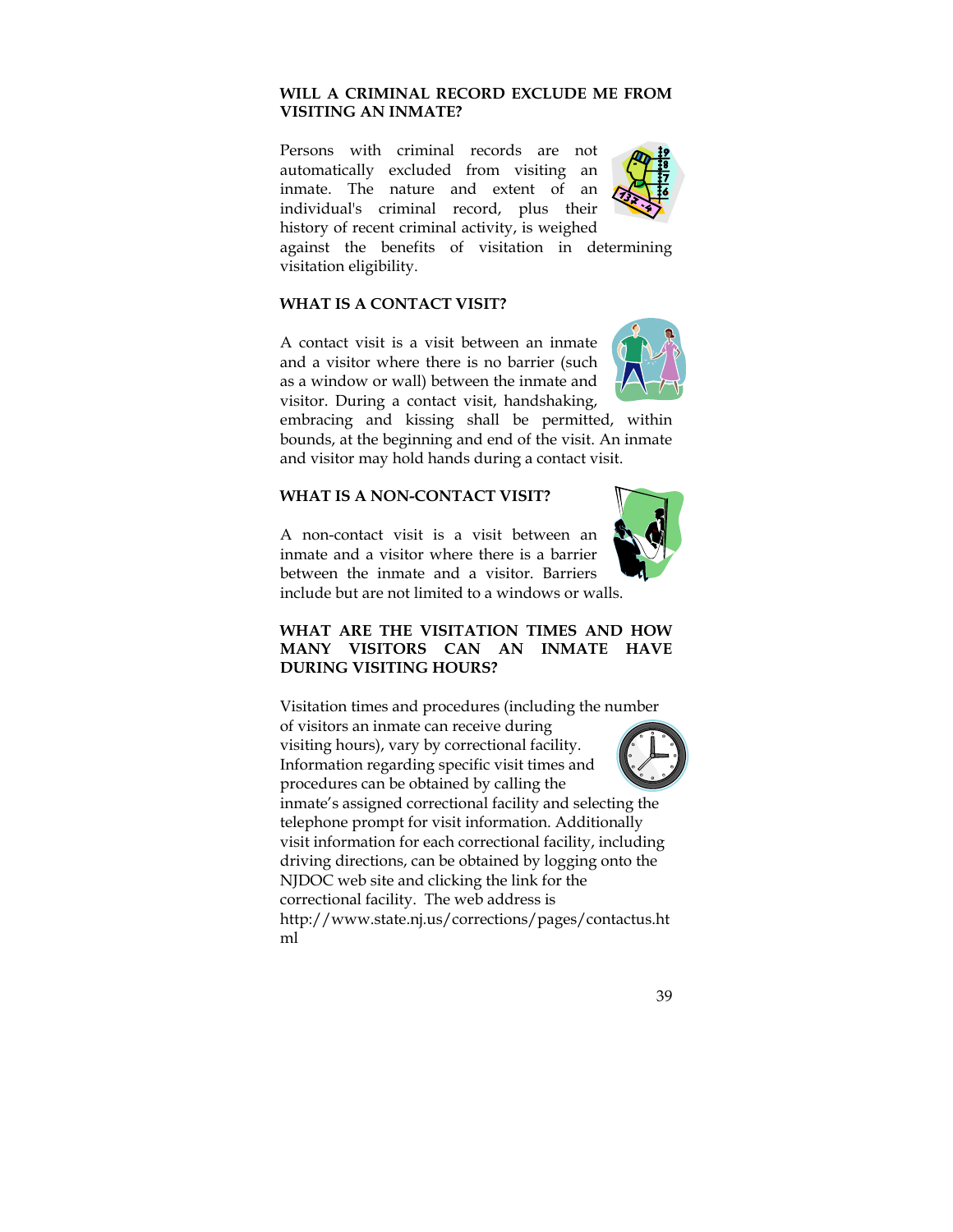# **WILL A CRIMINAL RECORD EXCLUDE ME FROM VISITING AN INMATE?**

Persons with criminal records are not automatically excluded from visiting an inmate. The nature and extent of an individual's criminal record, plus their history of recent criminal activity, is weighed



against the benefits of visitation in determining visitation eligibility.

## **WHAT IS A CONTACT VISIT?**

A contact visit is a visit between an inmate and a visitor where there is no barrier (such as a window or wall) between the inmate and visitor. During a contact visit, handshaking,



embracing and kissing shall be permitted, within bounds, at the beginning and end of the visit. An inmate and visitor may hold hands during a contact visit.

# **WHAT IS A NON-CONTACT VISIT?**

A non-contact visit is a visit between an inmate and a visitor where there is a barrier between the inmate and a visitor. Barriers include but are not limited to a windows or walls.



## **WHAT ARE THE VISITATION TIMES AND HOW MANY VISITORS CAN AN INMATE HAVE DURING VISITING HOURS?**

Visitation times and procedures (including the number of visitors an inmate can receive during visiting hours), vary by correctional facility. Information regarding specific visit times and procedures can be obtained by calling the inmate's assigned correctional facility and selecting the telephone prompt for visit information. Additionally visit information for each correctional facility, including driving directions, can be obtained by logging onto the NJDOC web site and clicking the link for the correctional facility. The web address is http://www.state.nj.us/corrections/pages/contactus.ht ml



39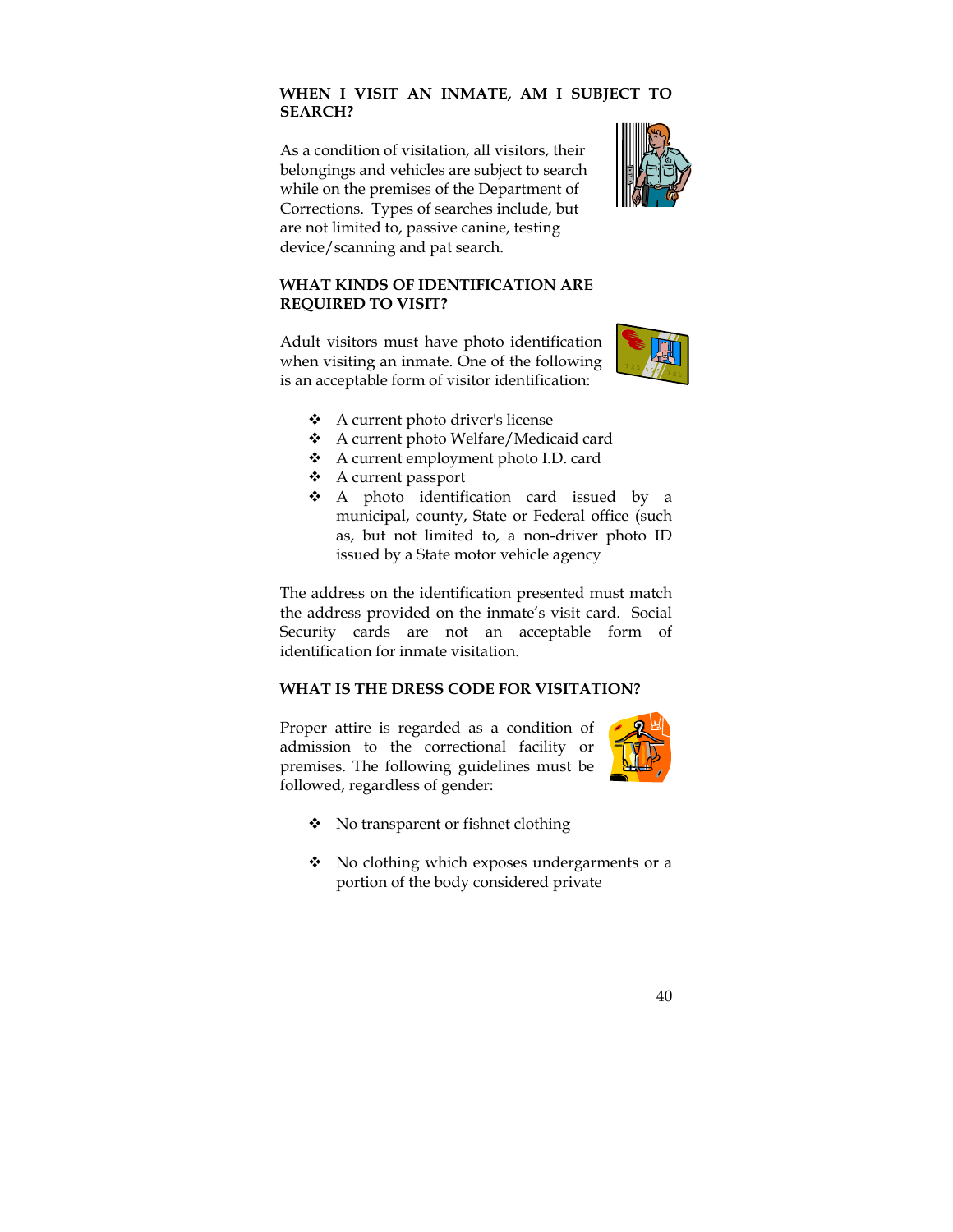## **WHEN I VISIT AN INMATE, AM I SUBJECT TO SEARCH?**

As a condition of visitation, all visitors, their belongings and vehicles are subject to search while on the premises of the Department of Corrections. Types of searches include, but are not limited to, passive canine, testing device/scanning and pat search.



## **WHAT KINDS OF IDENTIFICATION ARE REQUIRED TO VISIT?**

Adult visitors must have photo identification when visiting an inmate. One of the following is an acceptable form of visitor identification:



- A current photo driver's license
- A current photo Welfare/Medicaid card
- A current employment photo I.D. card
- A current passport
- A photo identification card issued by a municipal, county, State or Federal office (such as, but not limited to, a non-driver photo ID issued by a State motor vehicle agency

The address on the identification presented must match the address provided on the inmate's visit card. Social Security cards are not an acceptable form of identification for inmate visitation.

## **WHAT IS THE DRESS CODE FOR VISITATION?**

Proper attire is regarded as a condition of admission to the correctional facility or premises. The following guidelines must be followed, regardless of gender:



- ◆ No transparent or fishnet clothing
- No clothing which exposes undergarments or a portion of the body considered private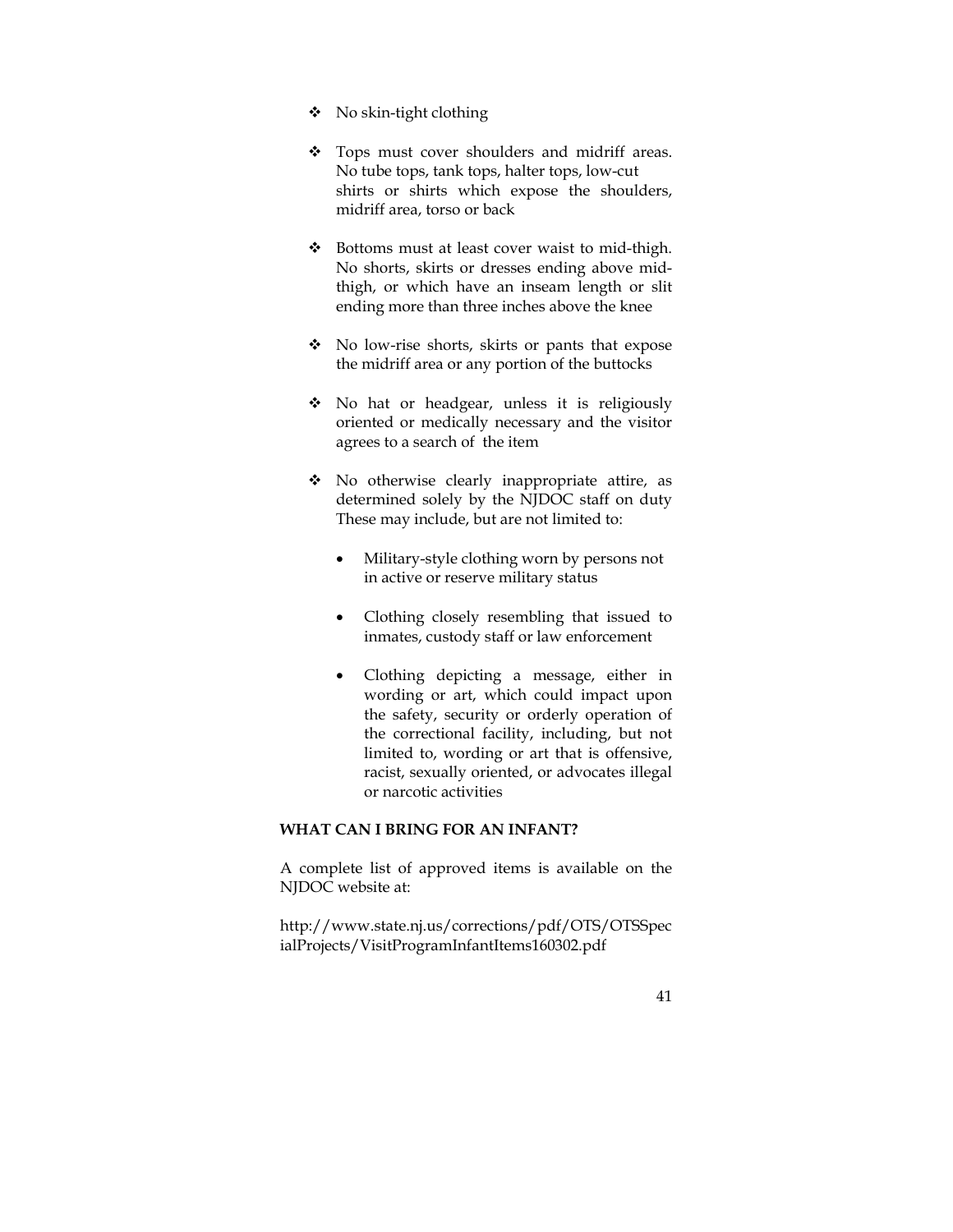- $\bullet$  No skin-tight clothing
- \* Tops must cover shoulders and midriff areas. No tube tops, tank tops, halter tops, low-cut shirts or shirts which expose the shoulders, midriff area, torso or back
- Bottoms must at least cover waist to mid-thigh. No shorts, skirts or dresses ending above midthigh, or which have an inseam length or slit ending more than three inches above the knee
- No low-rise shorts, skirts or pants that expose the midriff area or any portion of the buttocks
- No hat or headgear, unless it is religiously oriented or medically necessary and the visitor agrees to a search of the item
- No otherwise clearly inappropriate attire, as determined solely by the NJDOC staff on duty These may include, but are not limited to:
	- Military-style clothing worn by persons not in active or reserve military status
	- Clothing closely resembling that issued to inmates, custody staff or law enforcement
	- Clothing depicting a message, either in wording or art, which could impact upon the safety, security or orderly operation of the correctional facility, including, but not limited to, wording or art that is offensive, racist, sexually oriented, or advocates illegal or narcotic activities

## **WHAT CAN I BRING FOR AN INFANT?**

A complete list of approved items is available on the NJDOC website at:

http://www.state.nj.us/corrections/pdf/OTS/OTSSpec ialProjects/VisitProgramInfantItems160302.pdf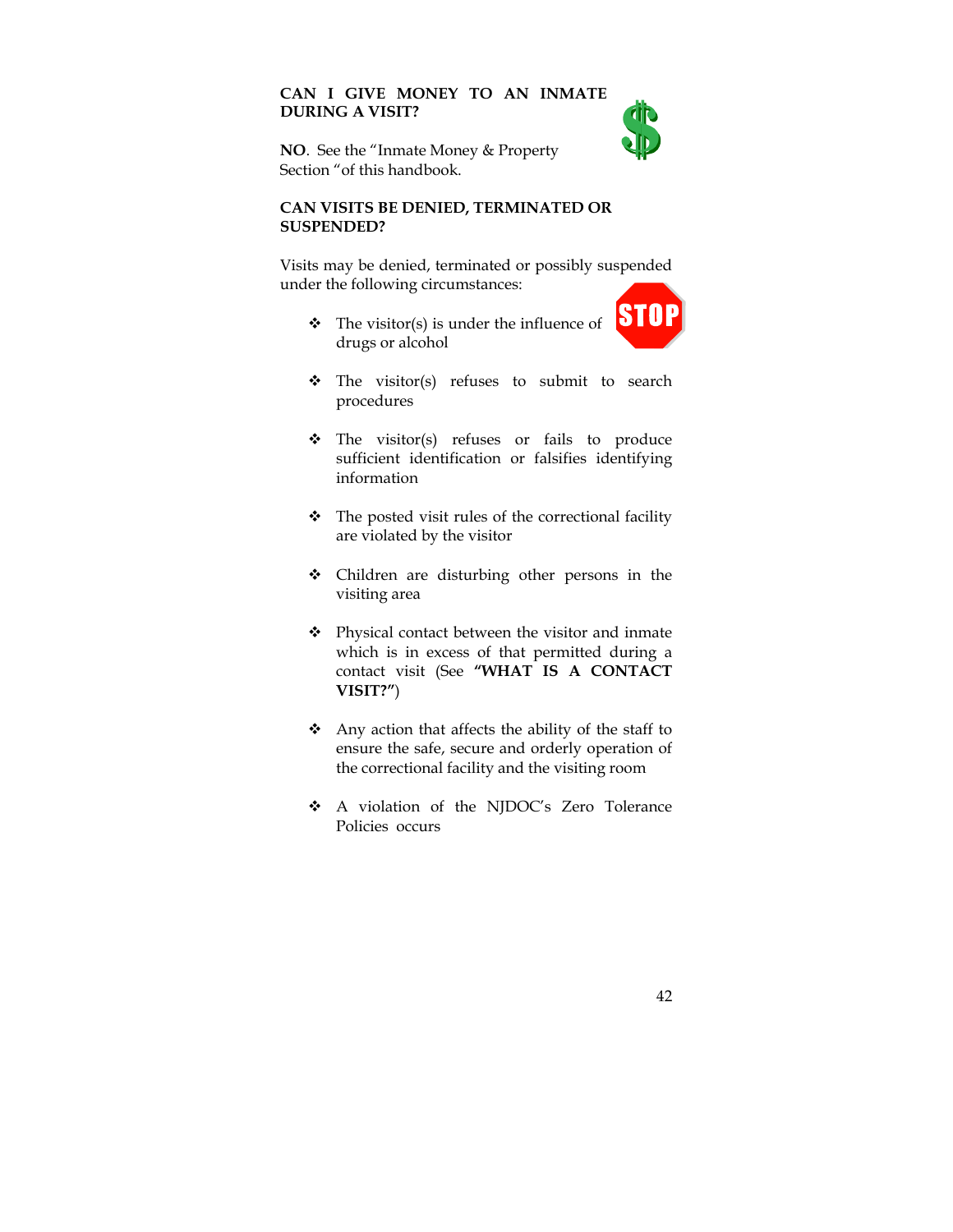# **CAN I GIVE MONEY TO AN INMATE DURING A VISIT?**



**NO**. See the "Inmate Money & Property Section "of this handbook.

#### **CAN VISITS BE DENIED, TERMINATED OR SUSPENDED?**

Visits may be denied, terminated or possibly suspended under the following circumstances:

 $\triangleleft$  The visitor(s) is under the influence of drugs or alcohol



- \* The visitor(s) refuses to submit to search procedures
- The visitor(s) refuses or fails to produce sufficient identification or falsifies identifying information
- $\bullet$  The posted visit rules of the correctional facility are violated by the visitor
- Children are disturbing other persons in the visiting area
- \* Physical contact between the visitor and inmate which is in excess of that permitted during a contact visit (See **"WHAT IS A CONTACT VISIT?"**)
- $\triangle$  Any action that affects the ability of the staff to ensure the safe, secure and orderly operation of the correctional facility and the visiting room
- A violation of the NJDOC's Zero Tolerance Policies occurs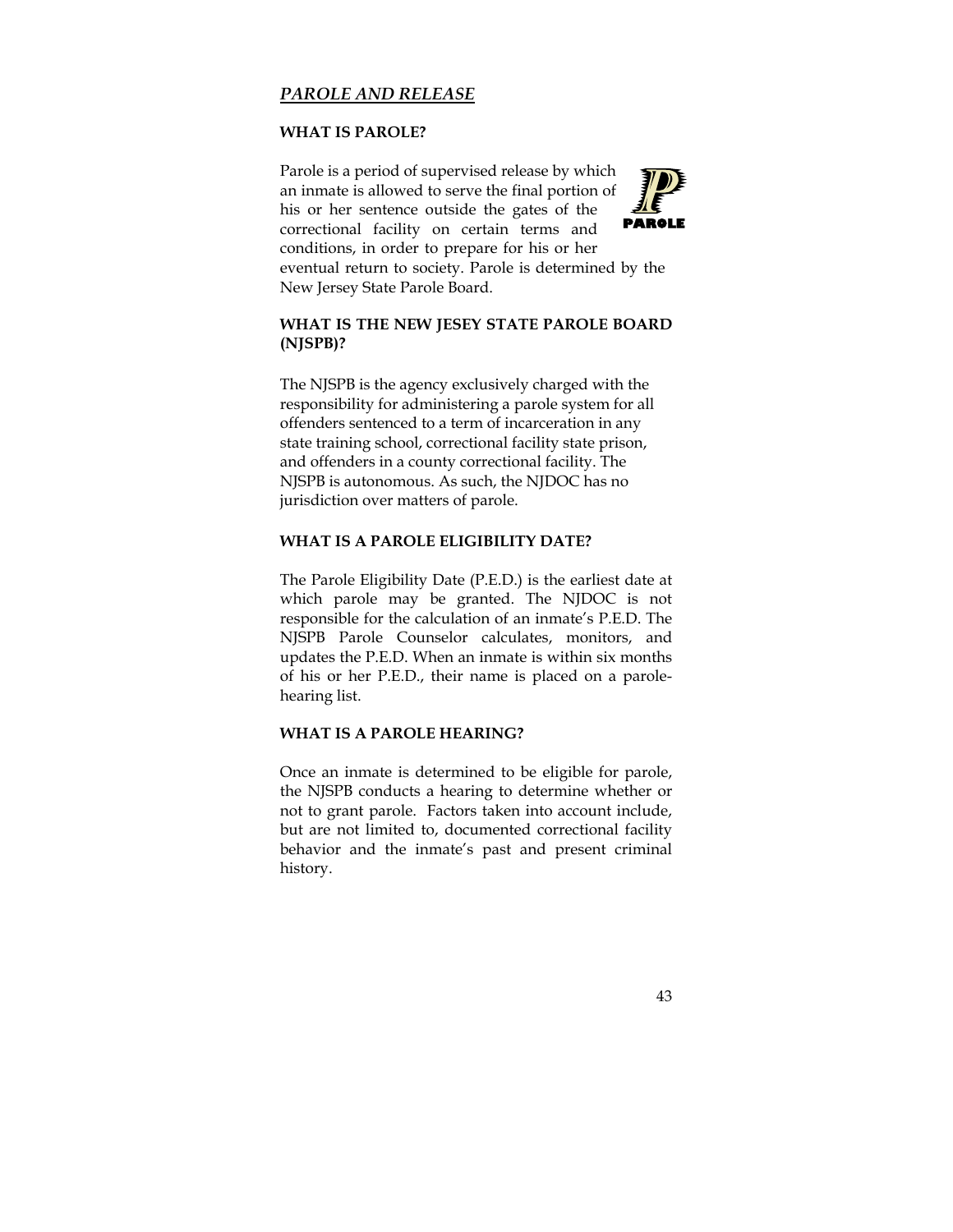# *PAROLE AND RELEASE*

#### **WHAT IS PAROLE?**

Parole is a period of supervised release by which an inmate is allowed to serve the final portion of his or her sentence outside the gates of the correctional facility on certain terms and conditions, in order to prepare for his or her eventual return to society. Parole is determined by the New Jersey State Parole Board. **PAROLE** 

## **WHAT IS THE NEW JESEY STATE PAROLE BOARD (NJSPB)?**

The NJSPB is the agency exclusively charged with the responsibility for administering a parole system for all offenders sentenced to a term of incarceration in any state training school, correctional facility state prison, and offenders in a county correctional facility. The NJSPB is autonomous. As such, the NJDOC has no jurisdiction over matters of parole.

#### **WHAT IS A PAROLE ELIGIBILITY DATE?**

The Parole Eligibility Date (P.E.D.) is the earliest date at which parole may be granted. The NJDOC is not responsible for the calculation of an inmate's P.E.D. The NJSPB Parole Counselor calculates, monitors, and updates the P.E.D. When an inmate is within six months of his or her P.E.D., their name is placed on a parolehearing list.

#### **WHAT IS A PAROLE HEARING?**

Once an inmate is determined to be eligible for parole, the NJSPB conducts a hearing to determine whether or not to grant parole. Factors taken into account include, but are not limited to, documented correctional facility behavior and the inmate's past and present criminal history.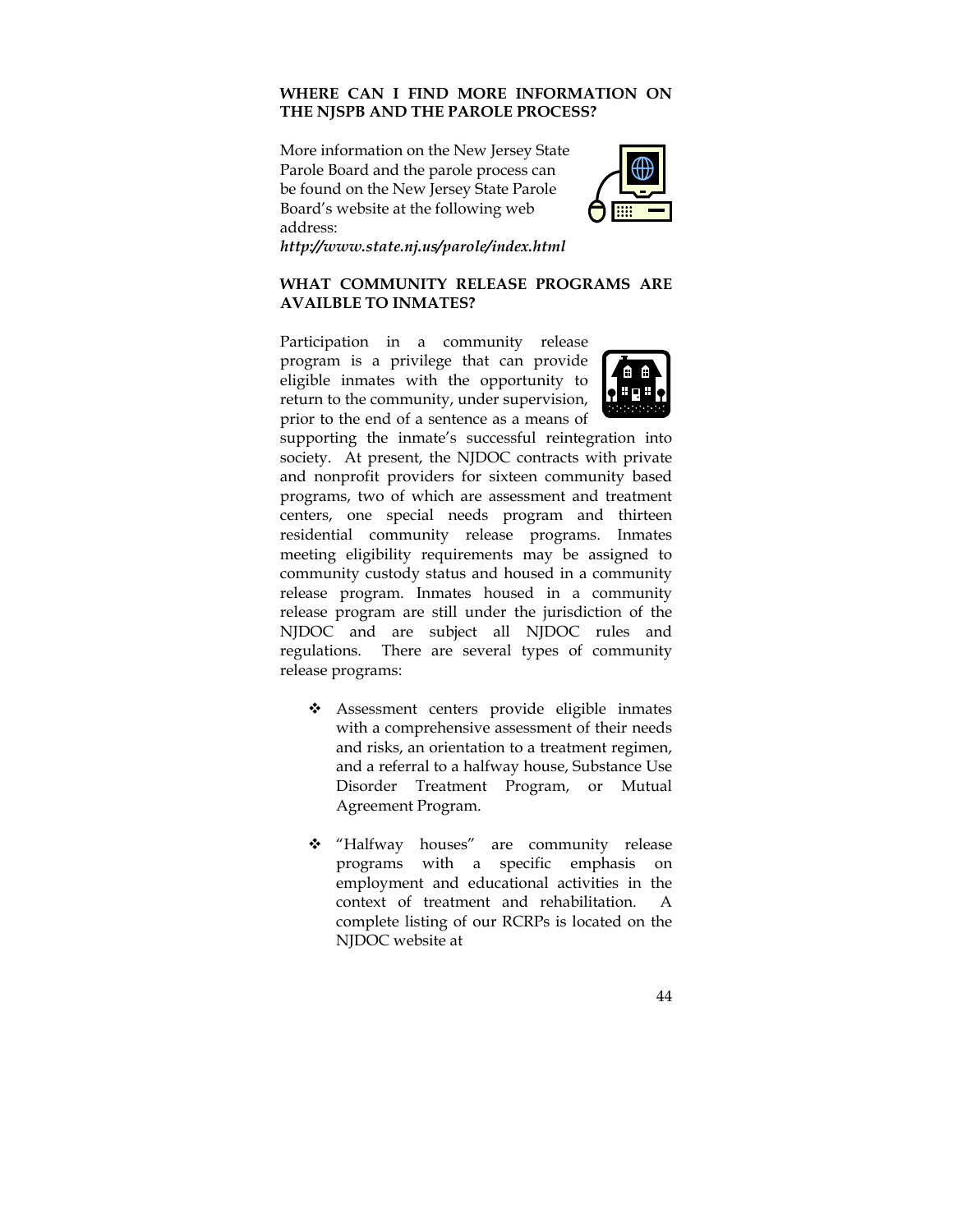## **WHERE CAN I FIND MORE INFORMATION ON THE NJSPB AND THE PAROLE PROCESS?**

More information on the New Jersey State Parole Board and the parole process can be found on the New Jersey State Parole Board's website at the following web address:



*http://www.state.nj.us/parole/index.html*

## **WHAT COMMUNITY RELEASE PROGRAMS ARE AVAILBLE TO INMATES?**

Participation in a community release program is a privilege that can provide eligible inmates with the opportunity to return to the community, under supervision, prior to the end of a sentence as a means of



supporting the inmate's successful reintegration into society. At present, the NJDOC contracts with private and nonprofit providers for sixteen community based programs, two of which are assessment and treatment centers, one special needs program and thirteen residential community release programs. Inmates meeting eligibility requirements may be assigned to community custody status and housed in a community release program. Inmates housed in a community release program are still under the jurisdiction of the NJDOC and are subject all NJDOC rules and regulations. There are several types of community release programs:

- \* Assessment centers provide eligible inmates with a comprehensive assessment of their needs and risks, an orientation to a treatment regimen, and a referral to a halfway house, Substance Use Disorder Treatment Program, or Mutual Agreement Program.
- "Halfway houses" are community release programs with a specific emphasis on employment and educational activities in the context of treatment and rehabilitation. A complete listing of our RCRPs is located on the NJDOC website at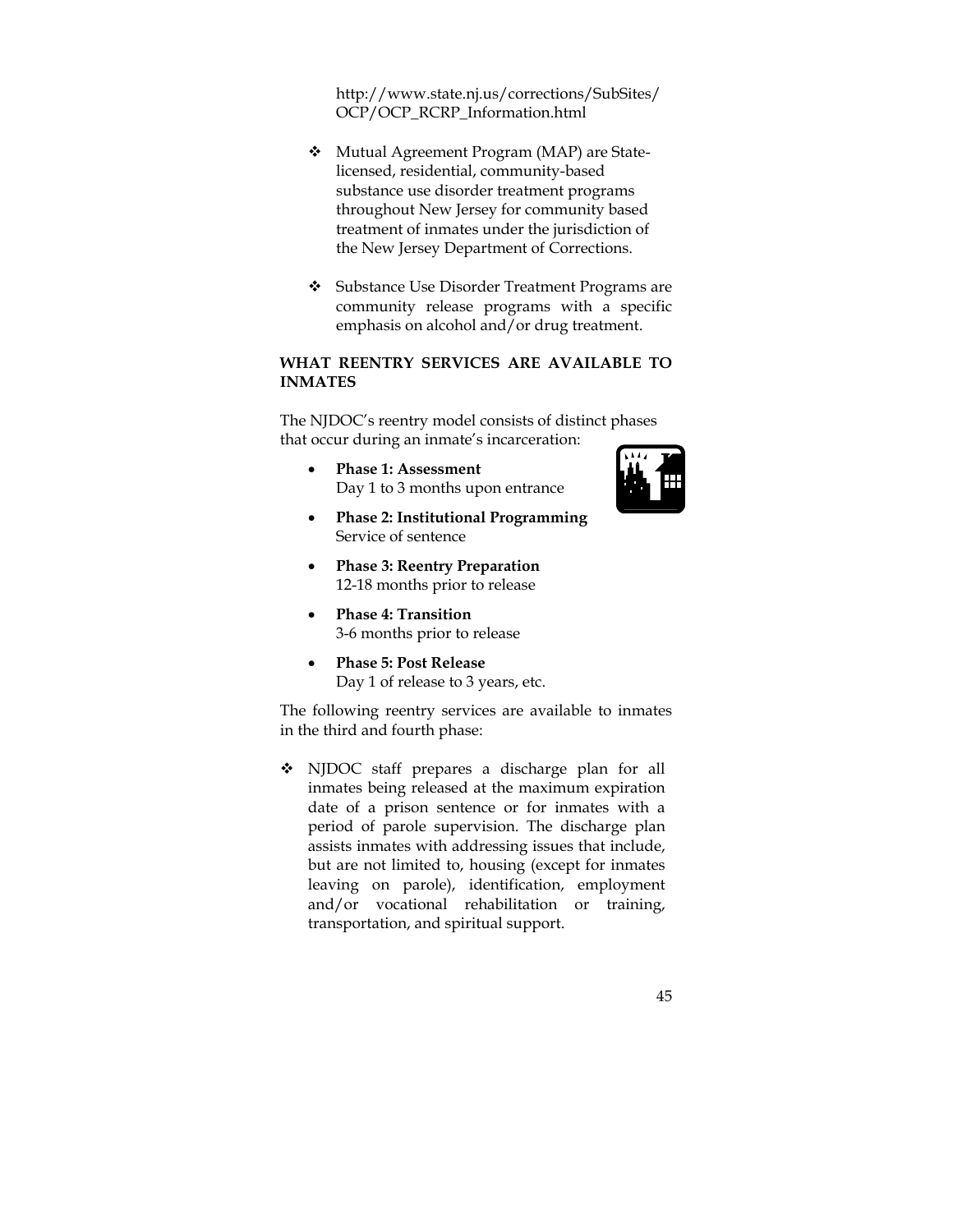http://www.state.nj.us/corrections/SubSites/ OCP/OCP\_RCRP\_Information.html

- Mutual Agreement Program (MAP) are Statelicensed, residential, community-based substance use disorder treatment programs throughout New Jersey for community based treatment of inmates under the jurisdiction of the New Jersey Department of Corrections.
- Substance Use Disorder Treatment Programs are community release programs with a specific emphasis on alcohol and/or drug treatment.

## **WHAT REENTRY SERVICES ARE AVAILABLE TO INMATES**

The NJDOC's reentry model consists of distinct phases that occur during an inmate's incarceration:

 **Phase 1: Assessment**  Day 1 to 3 months upon entrance



- **Phase 2: Institutional Programming**  Service of sentence
- **Phase 3: Reentry Preparation**  12-18 months prior to release
- **Phase 4: Transition**  3-6 months prior to release
- **Phase 5: Post Release**  Day 1 of release to 3 years, etc.

The following reentry services are available to inmates in the third and fourth phase:

 NJDOC staff prepares a discharge plan for all inmates being released at the maximum expiration date of a prison sentence or for inmates with a period of parole supervision. The discharge plan assists inmates with addressing issues that include, but are not limited to, housing (except for inmates leaving on parole), identification, employment and/or vocational rehabilitation or training, transportation, and spiritual support.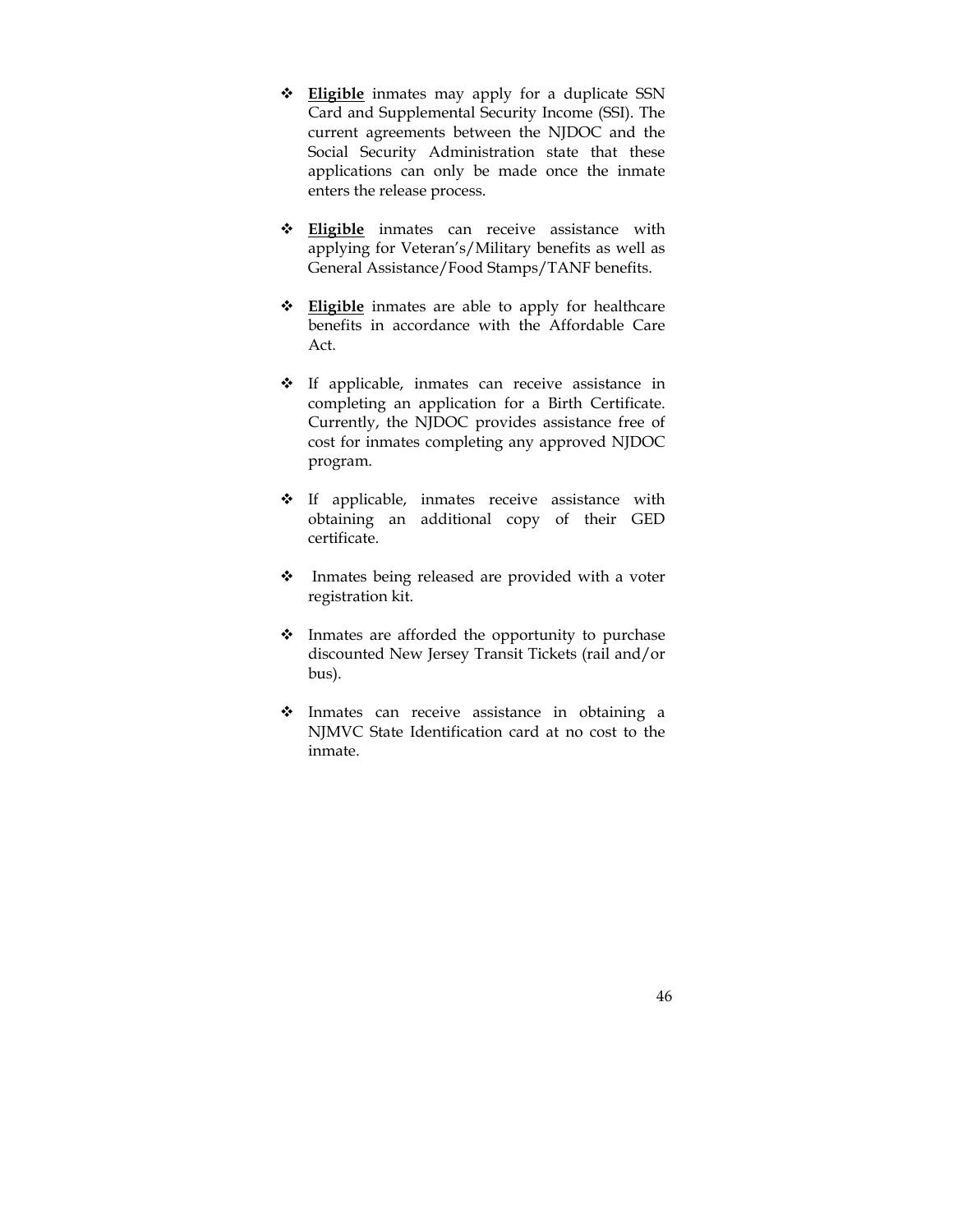- **Eligible** inmates may apply for a duplicate SSN Card and Supplemental Security Income (SSI). The current agreements between the NJDOC and the Social Security Administration state that these applications can only be made once the inmate enters the release process.
- **Eligible** inmates can receive assistance with applying for Veteran's/Military benefits as well as General Assistance/Food Stamps/TANF benefits.
- **Eligible** inmates are able to apply for healthcare benefits in accordance with the Affordable Care Act.
- \* If applicable, inmates can receive assistance in completing an application for a Birth Certificate. Currently, the NJDOC provides assistance free of cost for inmates completing any approved NJDOC program.
- $\div$  If applicable, inmates receive assistance with obtaining an additional copy of their GED certificate.
- Inmates being released are provided with a voter registration kit.
- $\triangleleft$  Inmates are afforded the opportunity to purchase discounted New Jersey Transit Tickets (rail and/or bus).
- Inmates can receive assistance in obtaining a NJMVC State Identification card at no cost to the inmate.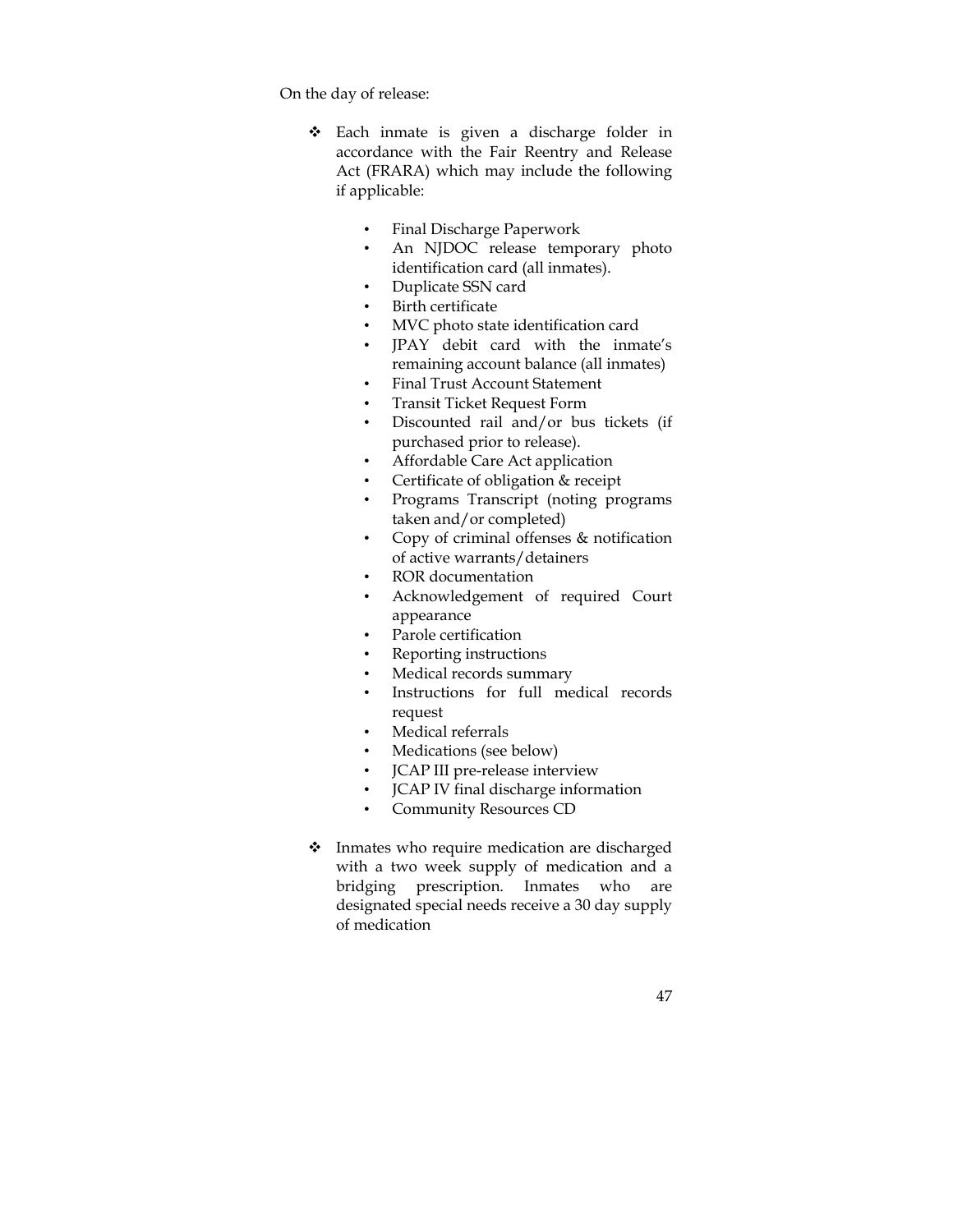On the day of release:

- Each inmate is given a discharge folder in accordance with the Fair Reentry and Release Act (FRARA) which may include the following if applicable:
	- Final Discharge Paperwork
	- An NJDOC release temporary photo identification card (all inmates).
	- Duplicate SSN card
	- Birth certificate
	- MVC photo state identification card
	- JPAY debit card with the inmate's remaining account balance (all inmates)
	- Final Trust Account Statement
	- Transit Ticket Request Form
	- Discounted rail and/or bus tickets (if purchased prior to release).
	- Affordable Care Act application
	- Certificate of obligation & receipt
	- Programs Transcript (noting programs taken and/or completed)
	- Copy of criminal offenses & notification of active warrants/detainers
	- ROR documentation
	- Acknowledgement of required Court appearance
	- Parole certification
	- Reporting instructions
	- Medical records summary
	- Instructions for full medical records request
	- Medical referrals
	- Medications (see below)
	- JCAP III pre-release interview
	- JCAP IV final discharge information
	- Community Resources CD
- Inmates who require medication are discharged with a two week supply of medication and a bridging prescription. Inmates who are designated special needs receive a 30 day supply of medication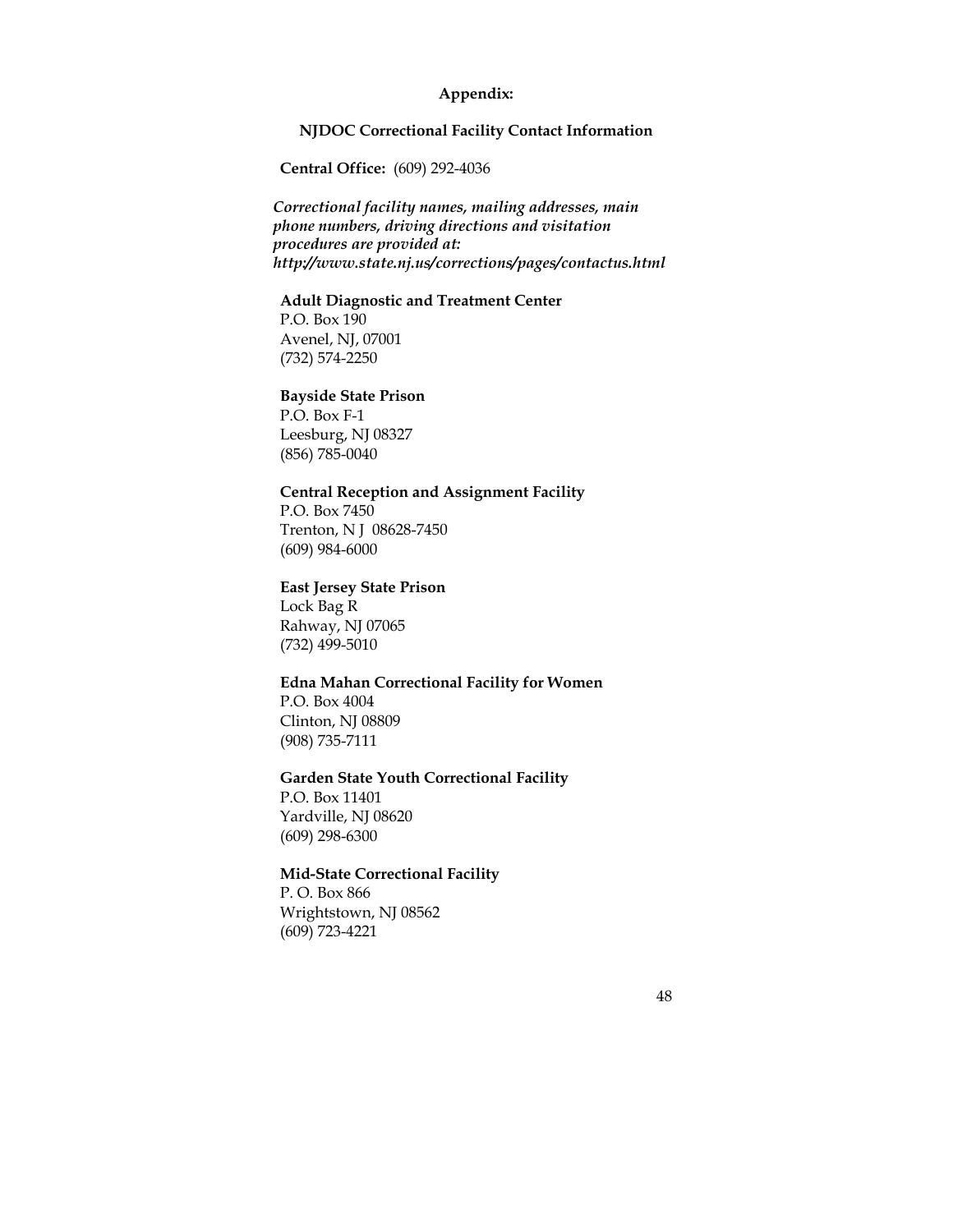## **Appendix:**

#### **NJDOC Correctional Facility Contact Information**

**Central Office:** (609) 292-4036

*Correctional facility names, mailing addresses, main phone numbers, driving directions and visitation procedures are provided at: http://www.state.nj.us/corrections/pages/contactus.html* 

#### **Adult Diagnostic and Treatment Center**

P.O. Box 190 Avenel, NJ, 07001 (732) 574-2250

#### **Bayside State Prison**

P.O. Box F-1 Leesburg, NJ 08327 (856) 785-0040

#### **Central Reception and Assignment Facility**

P.O. Box 7450 Trenton, N J 08628-7450 (609) 984-6000

#### **East Jersey State Prison**

Lock Bag R Rahway, NJ 07065 (732) 499-5010

#### **Edna Mahan Correctional Facility for Women**

P.O. Box 4004 Clinton, NJ 08809 (908) 735-7111

#### **Garden State Youth Correctional Facility**

P.O. Box 11401 Yardville, NJ 08620 (609) 298-6300

## **Mid-State Correctional Facility**

P. O. Box 866 Wrightstown, NJ 08562 (609) 723-4221